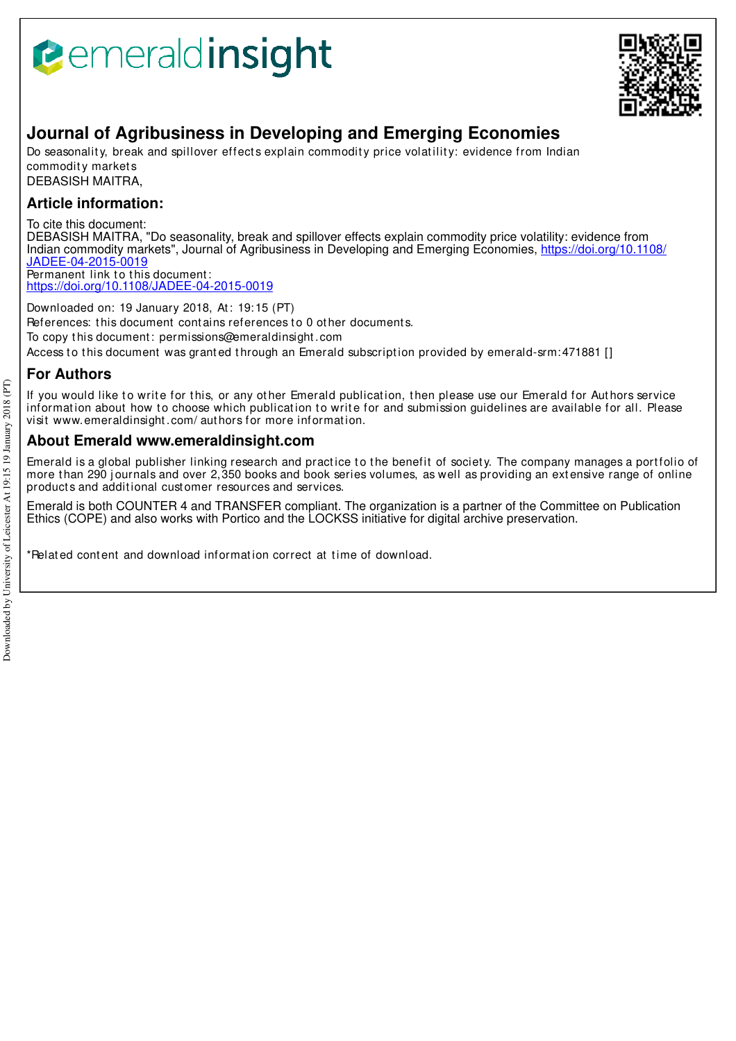# **Bemeraldinsight**



# **Journal of Agribusiness in Developing and Emerging Economies**

Do seasonality, break and spillover effects explain commodity price volatility: evidence from Indian commodity markets DEBASISH MAITRA,

# **Article information:**

To cite this document: DEBASISH MAITRA, "Do seasonality, break and spillover effects explain commodity price volatility: evidence from Indian commodity markets", Journal of Agribusiness in Developing and Emerging Economies, https://doi.org/10.1108/ JADEE-04-2015-0019

Permanent link to this document: https://doi.org/10.1108/JADEE-04-2015-0019

Downloaded on: 19 January 2018, At : 19:15 (PT) References: this document contains references to 0 other documents. To copy t his document : permissions@emeraldinsight .com Access to this document was granted through an Emerald subscription provided by emerald-srm: 471881 []

# **For Authors**

If you would like to write for this, or any other Emerald publication, then please use our Emerald for Authors service information about how to choose which publication to write for and submission guidelines are available for all. Please visit www.emeraldinsight .com/ aut hors for more informat ion.

### **About Emerald www.emeraldinsight.com**

Emerald is a global publisher linking research and practice to the benefit of society. The company manages a portfolio of more than 290 journals and over 2,350 books and book series volumes, as well as providing an extensive range of online product s and addit ional cust omer resources and services.

Emerald is both COUNTER 4 and TRANSFER compliant. The organization is a partner of the Committee on Publication Ethics (COPE) and also works with Portico and the LOCKSS initiative for digital archive preservation.

\*Relat ed cont ent and download informat ion correct at t ime of download.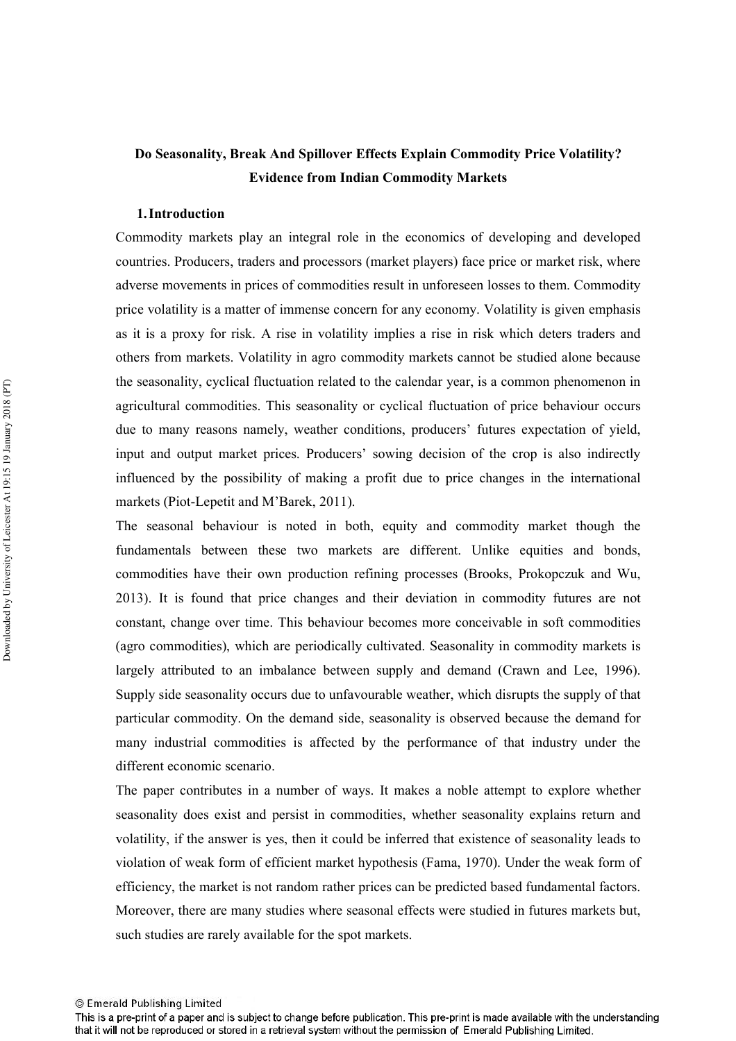# Do Seasonality, Break And Spillover Effects Explain Commodity Price Volatility? **Evidence from Indian Commodity Markets**

#### 1. Introduction

Commodity markets play an integral role in the economics of developing and developed countries. Producers, traders and processors (market players) face price or market risk, where adverse movements in prices of commodities result in unforeseen losses to them. Commodity price volatility is a matter of immense concern for any economy. Volatility is given emphasis as it is a proxy for risk. A rise in volatility implies a rise in risk which deters traders and others from markets. Volatility in agro commodity markets cannot be studied alone because the seasonality, cyclical fluctuation related to the calendar year, is a common phenomenon in agricultural commodities. This seasonality or cyclical fluctuation of price behaviour occurs due to many reasons namely, weather conditions, producers' futures expectation of yield, input and output market prices. Producers' sowing decision of the crop is also indirectly influenced by the possibility of making a profit due to price changes in the international markets (Piot-Lepetit and M'Barek, 2011).

The seasonal behaviour is noted in both, equity and commodity market though the fundamentals between these two markets are different. Unlike equities and bonds, commodities have their own production refining processes (Brooks, Prokopczuk and Wu, 2013). It is found that price changes and their deviation in commodity futures are not constant, change over time. This behaviour becomes more conceivable in soft commodities (agro commodities), which are periodically cultivated. Seasonality in commodity markets is largely attributed to an imbalance between supply and demand (Crawn and Lee, 1996). Supply side seasonality occurs due to unfavourable weather, which disrupts the supply of that particular commodity. On the demand side, seasonality is observed because the demand for many industrial commodities is affected by the performance of that industry under the different economic scenario.

The paper contributes in a number of ways. It makes a noble attempt to explore whether seasonality does exist and persist in commodities, whether seasonality explains return and volatility, if the answer is yes, then it could be inferred that existence of seasonality leads to violation of weak form of efficient market hypothesis (Fama, 1970). Under the weak form of efficiency, the market is not random rather prices can be predicted based fundamental factors. Moreover, there are many studies where seasonal effects were studied in futures markets but, such studies are rarely available for the spot markets.

This is a pre-print of a paper and is subject to change before publication. This pre-print is made available with the understanding that it will not be reproduced or stored in a retrieval system without the permission of Emerald Publishing Limited.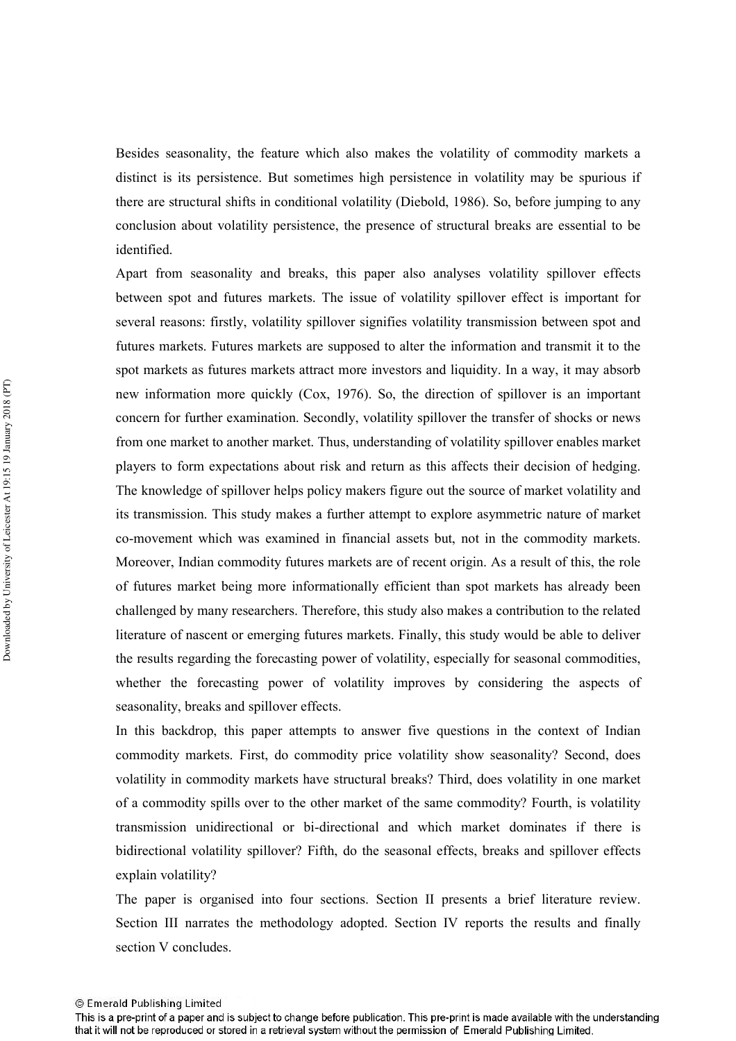Besides seasonality, the feature which also makes the volatility of commodity markets a distinct is its persistence. But sometimes high persistence in volatility may be spurious if there are structural shifts in conditional volatility (Diebold, 1986). So, before jumping to any conclusion about volatility persistence, the presence of structural breaks are essential to be identified.

Apart from seasonality and breaks, this paper also analyses volatility spillover effects between spot and futures markets. The issue of volatility spillover effect is important for several reasons: firstly, volatility spillover signifies volatility transmission between spot and futures markets. Futures markets are supposed to alter the information and transmit it to the spot markets as futures markets attract more investors and liquidity. In a way, it may absorb new information more quickly (Cox, 1976). So, the direction of spillover is an important concern for further examination. Secondly, volatility spillover the transfer of shocks or news from one market to another market. Thus, understanding of volatility spillover enables market players to form expectations about risk and return as this affects their decision of hedging. The knowledge of spillover helps policy makers figure out the source of market volatility and its transmission. This study makes a further attempt to explore asymmetric nature of market co-movement which was examined in financial assets but, not in the commodity markets. Moreover, Indian commodity futures markets are of recent origin. As a result of this, the role of futures market being more informationally efficient than spot markets has already been challenged by many researchers. Therefore, this study also makes a contribution to the related literature of nascent or emerging futures markets. Finally, this study would be able to deliver the results regarding the forecasting power of volatility, especially for seasonal commodities, whether the forecasting power of volatility improves by considering the aspects of seasonality, breaks and spillover effects.

In this backdrop, this paper attempts to answer five questions in the context of Indian commodity markets. First, do commodity price volatility show seasonality? Second, does volatility in commodity markets have structural breaks? Third, does volatility in one market of a commodity spills over to the other market of the same commodity? Fourth, is volatility transmission unidirectional or bi-directional and which market dominates if there is bidirectional volatility spillover? Fifth, do the seasonal effects, breaks and spillover effects explain volatility?

The paper is organised into four sections. Section II presents a brief literature review. Section III narrates the methodology adopted. Section IV reports the results and finally section V concludes.

<sup>©</sup> Emerald Publishing Limited

This is a pre-print of a paper and is subject to change before publication. This pre-print is made available with the understanding that it will not be reproduced or stored in a retrieval system without the permission of Emerald Publishing Limited.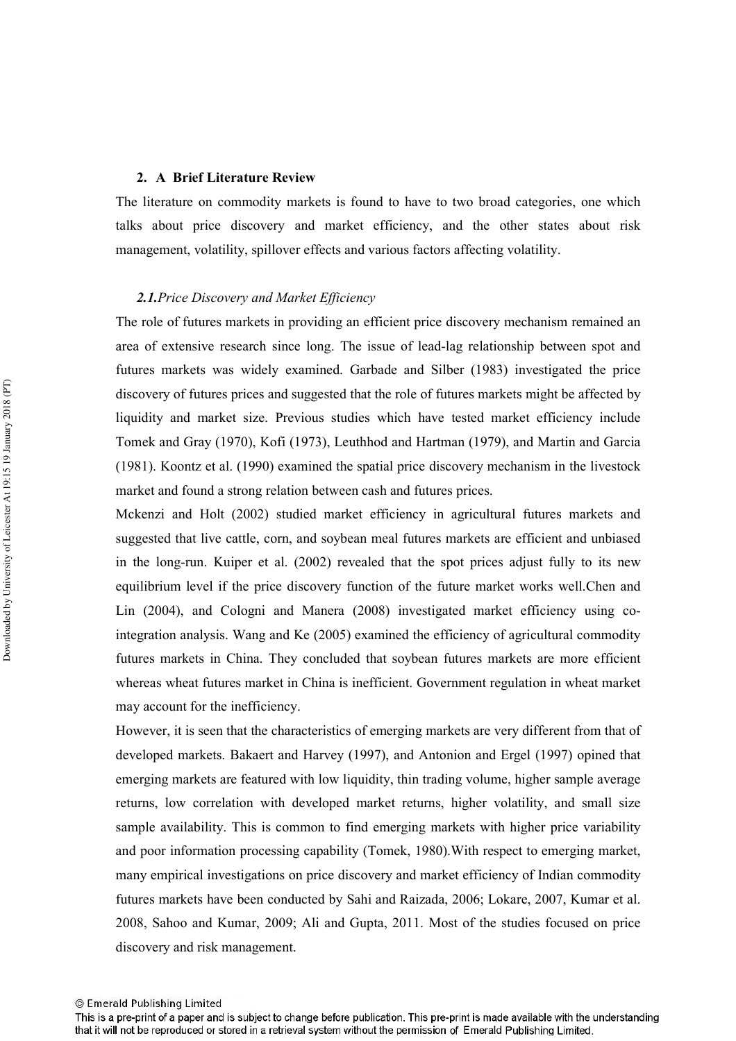#### **2. A Brief Literature Review**

The literature on commodity markets is found to have to two broad categories, one which talks about price discovery and market efficiency, and the other states about risk management, volatility, spillover effects and various factors affecting volatility.

#### 2.1. Price Discovery and Market Efficiency

The role of futures markets in providing an efficient price discovery mechanism remained an area of extensive research since long. The issue of lead-lag relationship between spot and futures markets was widely examined. Garbade and Silber (1983) investigated the price discovery of futures prices and suggested that the role of futures markets might be affected by liquidity and market size. Previous studies which have tested market efficiency include Tomek and Gray (1970), Kofi (1973), Leuthhod and Hartman (1979), and Martin and Garcia (1981). Koontz et al. (1990) examined the spatial price discovery mechanism in the livestock market and found a strong relation between cash and futures prices.

Mckenzi and Holt (2002) studied market efficiency in agricultural futures markets and suggested that live cattle, corn, and soybean meal futures markets are efficient and unbiased in the long-run. Kuiper et al. (2002) revealed that the spot prices adjust fully to its new equilibrium level if the price discovery function of the future market works well.Chen and Lin  $(2004)$ , and Cologni and Manera  $(2008)$  investigated market efficiency using cointegration analysis. Wang and Ke (2005) examined the efficiency of agricultural commodity futures markets in China. They concluded that soybean futures markets are more efficient whereas wheat futures market in China is inefficient. Government regulation in wheat market may account for the inefficiency.

However, it is seen that the characteristics of emerging markets are very different from that of developed markets. Bakaert and Harvey (1997), and Antonion and Ergel (1997) opined that emerging markets are featured with low liquidity, thin trading volume, higher sample average returns, low correlation with developed market returns, higher volatility, and small size sample availability. This is common to find emerging markets with higher price variability and poor information processing capability (Tomek, 1980).With respect to emerging market, many empirical investigations on price discovery and market efficiency of Indian commodity futures markets have been conducted by Sahi and Raizada, 2006; Lokare, 2007, Kumar et al. 2008, Sahoo and Kumar, 2009; Ali and Gupta, 2011. Most of the studies focused on price discovery and risk management.

This is a pre-print of a paper and is subject to change before publication. This pre-print is made available with the understanding that it will not be reproduced or stored in a retrieval system without the permission of Emerald Publishing Limited.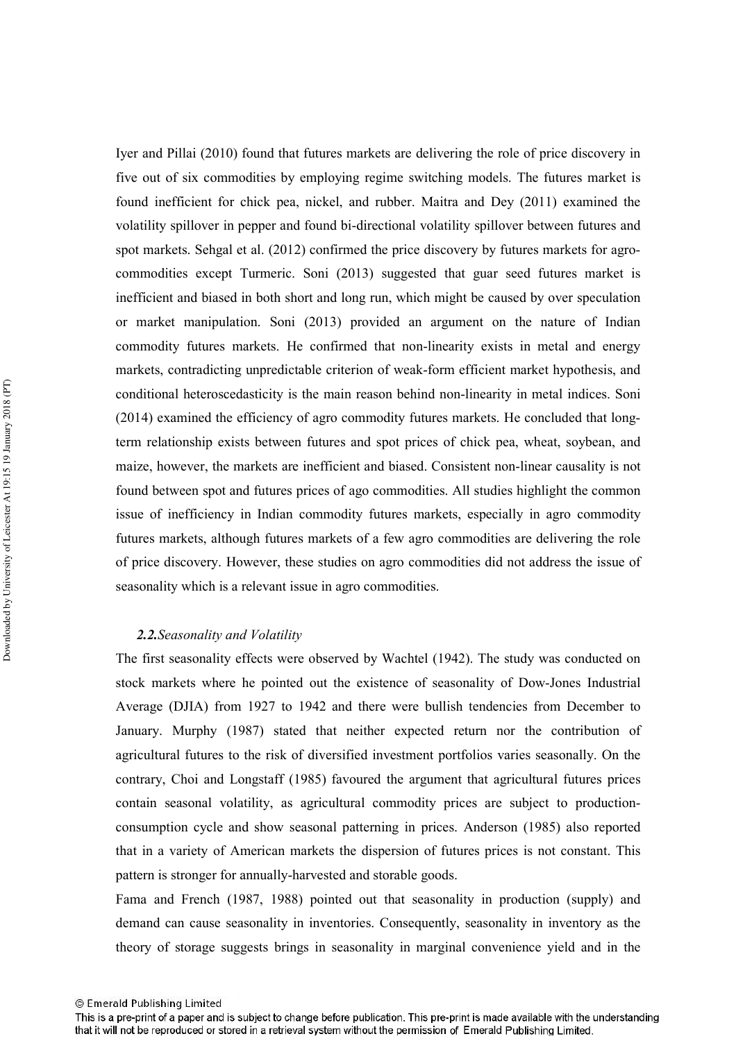Iyer and Pillai (2010) found that futures markets are delivering the role of price discovery in five out of six commodities by employing regime switching models. The futures market is found inefficient for chick pea, nickel, and rubber. Maitra and Dey (2011) examined the volatility spillover in pepper and found bi-directional volatility spillover between futures and spot markets. Sehgal et al.  $(2012)$  confirmed the price discovery by futures markets for agrocommodities except Turmeric. Soni (2013) suggested that guar seed futures market is inefficient and biased in both short and long run, which might be caused by over speculation or market manipulation. Soni (2013) provided an argument on the nature of Indian commodity futures markets. He confirmed that non-linearity exists in metal and energy markets, contradicting unpredictable criterion of weak-form efficient market hypothesis, and conditional heteroscedasticity is the main reason behind non-linearity in metal indices. Soni (2014) examined the efficiency of agro commodity futures markets. He concluded that long# term relationship exists between futures and spot prices of chick pea, wheat, soybean, and maize, however, the markets are inefficient and biased. Consistent non-linear causality is not found between spot and futures prices of ago commodities. All studies highlight the common issue of inefficiency in Indian commodity futures markets, especially in agro commodity futures markets, although futures markets of a few agro commodities are delivering the role of price discovery. However, these studies on agro commodities did not address the issue of seasonality which is a relevant issue in agro commodities.

#### *--Seasonality and Volatility*

The first seasonality effects were observed by Wachtel (1942). The study was conducted on stock markets where he pointed out the existence of seasonality of Dow-Jones Industrial Average (DJIA) from 1927 to 1942 and there were bullish tendencies from December to January. Murphy (1987) stated that neither expected return nor the contribution of agricultural futures to the risk of diversified investment portfolios varies seasonally. On the contrary, Choi and Longstaff (1985) favoured the argument that agricultural futures prices contain seasonal volatility, as agricultural commodity prices are subject to production# consumption cycle and show seasonal patterning in prices. Anderson (1985) also reported that in a variety of American markets the dispersion of futures prices is not constant. This pattern is stronger for annually-harvested and storable goods.

Fama and French (1987, 1988) pointed out that seasonality in production (supply) and demand can cause seasonality in inventories. Consequently, seasonality in inventory as the theory of storage suggests brings in seasonality in marginal convenience yield and in the

This is a pre-print of a paper and is subject to change before publication. This pre-print is made available with the understanding that it will not be reproduced or stored in a retrieval system without the permission of Emerald Publishing Limited.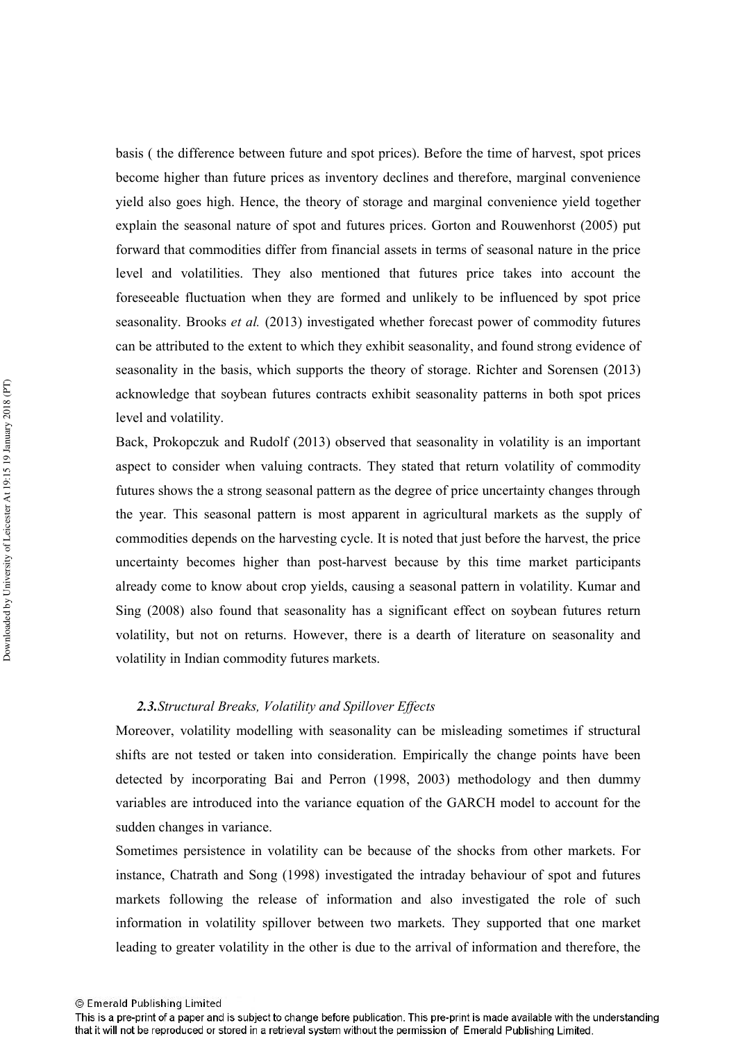basis ( the difference between future and spot prices). Before the time of harvest, spot prices become higher than future prices as inventory declines and therefore, marginal convenience yield also goes high. Hence, the theory of storage and marginal convenience yield together explain the seasonal nature of spot and futures prices. Gorton and Rouwenhorst (2005) put forward that commodities differ from financial assets in terms of seasonal nature in the price level and volatilities. They also mentioned that futures price takes into account the foreseeable fluctuation when they are formed and unlikely to be influenced by spot price seasonality. Brooks *et al.* (2013) investigated whether forecast power of commodity futures can be attributed to the extent to which they exhibit seasonality, and found strong evidence of seasonality in the basis, which supports the theory of storage. Richter and Sorensen (2013) acknowledge that soybean futures contracts exhibit seasonality patterns in both spot prices level and volatility.

Back, Prokopczuk and Rudolf (2013) observed that seasonality in volatility is an important aspect to consider when valuing contracts. They stated that return volatility of commodity futures shows the a strong seasonal pattern as the degree of price uncertainty changes through the year. This seasonal pattern is most apparent in agricultural markets as the supply of commodities depends on the harvesting cycle. It is noted that just before the harvest, the price uncertainty becomes higher than post-harvest because by this time market participants already come to know about crop yields, causing a seasonal pattern in volatility. Kumar and Sing (2008) also found that seasonality has a significant effect on soybean futures return volatility, but not on returns. However, there is a dearth of literature on seasonality and volatility in Indian commodity futures markets.

#### *--Structural Breaks, Volatility and Spillover Effects*

Moreover, volatility modelling with seasonality can be misleading sometimes if structural shifts are not tested or taken into consideration. Empirically the change points have been detected by incorporating Bai and Perron (1998, 2003) methodology and then dummy variables are introduced into the variance equation of the GARCH model to account for the sudden changes in variance.

Sometimes persistence in volatility can be because of the shocks from other markets. For instance, Chatrath and Song (1998) investigated the intraday behaviour of spot and futures markets following the release of information and also investigated the role of such information in volatility spillover between two markets. They supported that one market leading to greater volatility in the other is due to the arrival of information and therefore, the

This is a pre-print of a paper and is subject to change before publication. This pre-print is made available with the understanding that it will not be reproduced or stored in a retrieval system without the permission of Emerald Publishing Limited.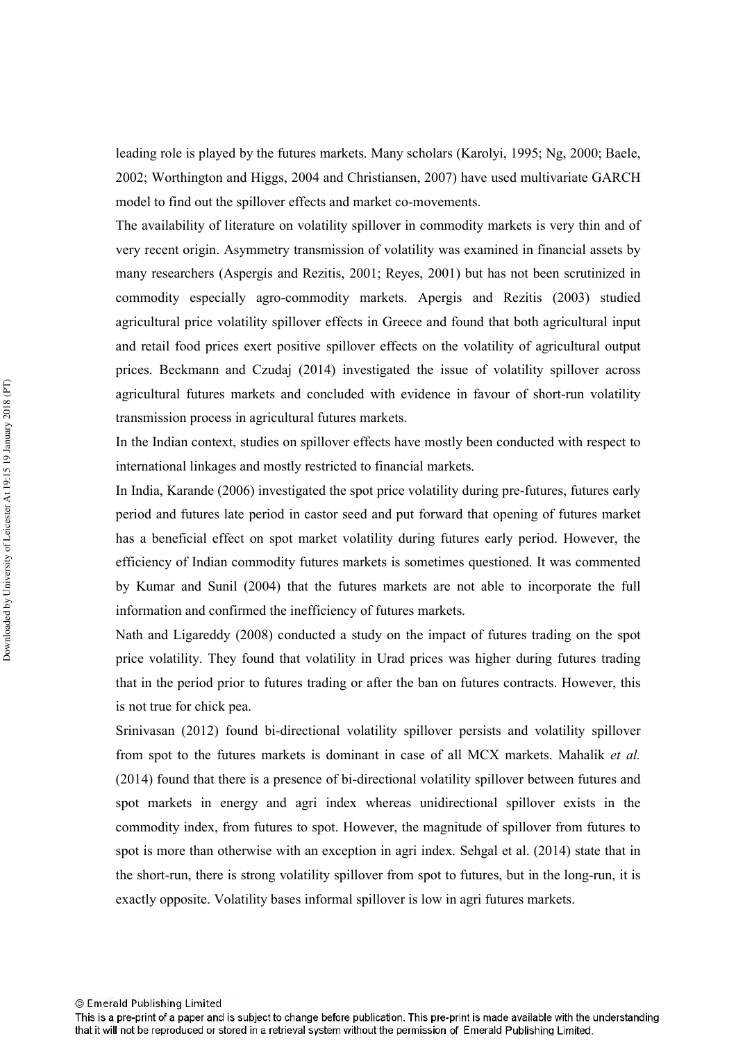leading role is played by the futures markets. Many scholars (Karolyi, 1995; Ng, 2000; Baele, 2002; Worthington and Higgs, 2004 and Christiansen, 2007) have used multivariate GARCH model to find out the spillover effects and market co-movements.

The availability of literature on volatility spillover in commodity markets is very thin and of very recent origin. Asymmetry transmission of volatility was examined in financial assets by many researchers (Aspergis and Rezitis, 2001; Reyes, 2001) but has not been scrutinized in commodity especially agro#commodity markets. Apergis and Rezitis (2003) studied agricultural price volatility spillover effects in Greece and found that both agricultural input and retail food prices exert positive spillover effects on the volatility of agricultural output prices. Beckmann and Czudaj (2014) investigated the issue of volatility spillover across agricultural futures markets and concluded with evidence in favour of short-run volatility transmission process in agricultural futures markets.

In the Indian context, studies on spillover effects have mostly been conducted with respect to international linkages and mostly restricted to financial markets.

In India, Karande (2006) investigated the spot price volatility during pre-futures, futures early period and futures late period in castor seed and put forward that opening of futures market has a beneficial effect on spot market volatility during futures early period. However, the efficiency of Indian commodity futures markets is sometimes questioned. It was commented by Kumar and Sunil (2004) that the futures markets are not able to incorporate the full information and confirmed the inefficiency of futures markets.

Nath and Ligareddy (2008) conducted a study on the impact of futures trading on the spot price volatility. They found that volatility in Urad prices was higher during futures trading that in the period prior to futures trading or after the ban on futures contracts. However, this is not true for chick pea.

Srinivasan (2012) found bi-directional volatility spillover persists and volatility spillover from spot to the futures markets is dominant in case of all MCX markets. Mahalik *et al.*  $(2014)$  found that there is a presence of bi-directional volatility spillover between futures and spot markets in energy and agri index whereas unidirectional spillover exists in the commodity index, from futures to spot. However, the magnitude of spillover from futures to spot is more than otherwise with an exception in agri index. Sehgal et al. (2014) state that in the short-run, there is strong volatility spillover from spot to futures, but in the long-run, it is exactly opposite. Volatility bases informal spillover is low in agri futures markets.

This is a pre-print of a paper and is subject to change before publication. This pre-print is made available with the understanding that it will not be reproduced or stored in a retrieval system without the permission of Emerald Publishing Limited.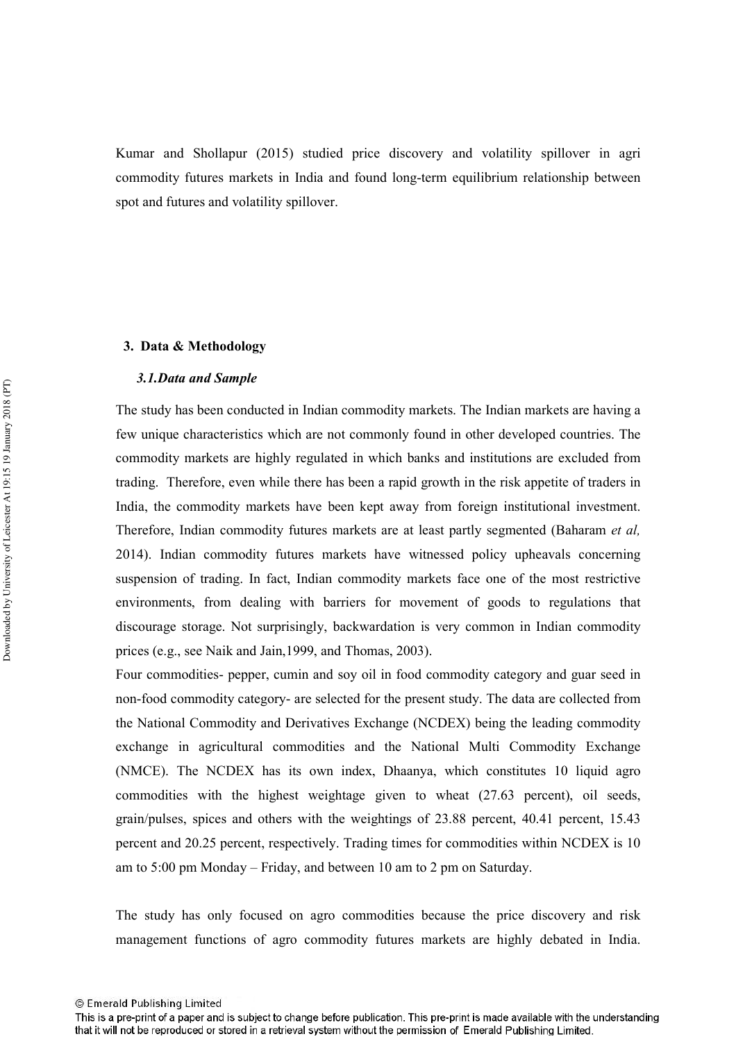Kumar and Shollapur (2015) studied price discovery and volatility spillover in agri commodity futures markets in India and found long-term equilibrium relationship between spot and futures and volatility spillover.

#### **3. Data & Methodology**

#### 3.1.Data and Sample

The study has been conducted in Indian commodity markets. The Indian markets are having a few unique characteristics which are not commonly found in other developed countries. The commodity markets are highly regulated in which banks and institutions are excluded from trading. Therefore, even while there has been a rapid growth in the risk appetite of traders in India, the commodity markets have been kept away from foreign institutional investment. Therefore, Indian commodity futures markets are at least partly segmented (Baharam *et al,*  2014). Indian commodity futures markets have witnessed policy upheavals concerning suspension of trading. In fact, Indian commodity markets face one of the most restrictive environments, from dealing with barriers for movement of goods to regulations that discourage storage. Not surprisingly, backwardation is very common in Indian commodity prices (e.g., see Naik and Jain,1999, and Thomas, 2003).

Four commodities- pepper, cumin and soy oil in food commodity category and guar seed in non-food commodity category- are selected for the present study. The data are collected from the National Commodity and Derivatives Exchange (NCDEX) being the leading commodity exchange in agricultural commodities and the National Multi Commodity Exchange (NMCE). The NCDEX has its own index, Dhaanya, which constitutes 10 liquid agro commodities with the highest weightage given to wheat (27.63 percent), oil seeds, grain/pulses, spices and others with the weightings of 23.88 percent, 40.41 percent, 15.43 percent and 20.25 percent, respectively. Trading times for commodities within NCDEX is 10 am to 5:00 pm Monday – Friday, and between 10 am to 2 pm on Saturday.

The study has only focused on agro commodities because the price discovery and risk management functions of agro commodity futures markets are highly debated in India.

This is a pre-print of a paper and is subject to change before publication. This pre-print is made available with the understanding that it will not be reproduced or stored in a retrieval system without the permission of Emerald Publishing Limited.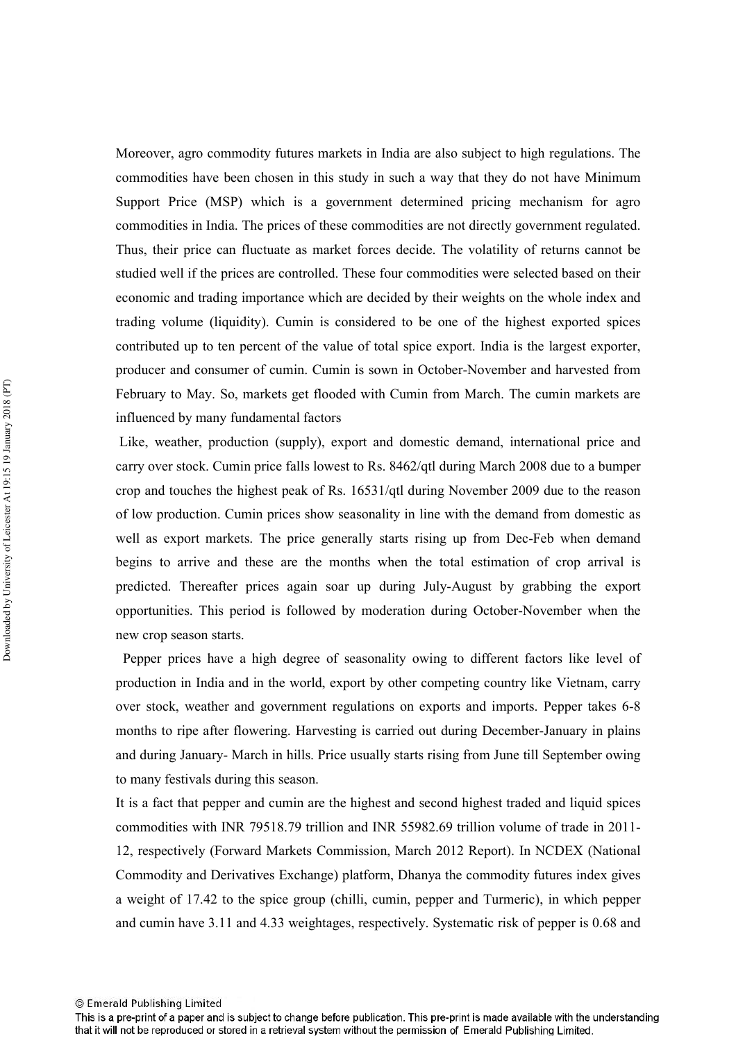Moreover, agro commodity futures markets in India are also subject to high regulations. The commodities have been chosen in this study in such a way that they do not have Minimum Support Price (MSP) which is a government determined pricing mechanism for agro commodities in India. The prices of these commodities are not directly government regulated. Thus, their price can fluctuate as market forces decide. The volatility of returns cannot be studied well if the prices are controlled. These four commodities were selected based on their economic and trading importance which are decided by their weights on the whole index and trading volume (liquidity). Cumin is considered to be one of the highest exported spices contributed up to ten percent of the value of total spice export. India is the largest exporter, producer and consumer of cumin. Cumin is sown in October-November and harvested from February to May. So, markets get flooded with Cumin from March. The cumin markets are influenced by many fundamental factors

 Like, weather, production (supply), export and domestic demand, international price and carry over stock. Cumin price falls lowest to Rs. 8462/qtl during March 2008 due to a bumper crop and touches the highest peak of Rs. 16531/qtl during November 2009 due to the reason of low production. Cumin prices show seasonality in line with the demand from domestic as well as export markets. The price generally starts rising up from Dec-Feb when demand begins to arrive and these are the months when the total estimation of crop arrival is predicted. Thereafter prices again soar up during July#August by grabbing the export opportunities. This period is followed by moderation during October#November when the new crop season starts.

 Pepper prices have a high degree of seasonality owing to different factors like level of production in India and in the world, export by other competing country like Vietnam, carry over stock, weather and government regulations on exports and imports. Pepper takes 6-8 months to ripe after flowering. Harvesting is carried out during December-January in plains and during January- March in hills. Price usually starts rising from June till September owing to many festivals during this season.

It is a fact that pepper and cumin are the highest and second highest traded and liquid spices commodities with INR 79518.79 trillion and INR 55982.69 trillion volume of trade in 2011# 12, respectively (Forward Markets Commission, March 2012 Report). In NCDEX (National Commodity and Derivatives Exchange) platform, Dhanya the commodity futures index gives a weight of 17.42 to the spice group (chilli, cumin, pepper and Turmeric), in which pepper and cumin have 3.11 and 4.33 weightages, respectively. Systematic risk of pepper is 0.68 and

This is a pre-print of a paper and is subject to change before publication. This pre-print is made available with the understanding that it will not be reproduced or stored in a retrieval system without the permission of Emerald Publishing Limited.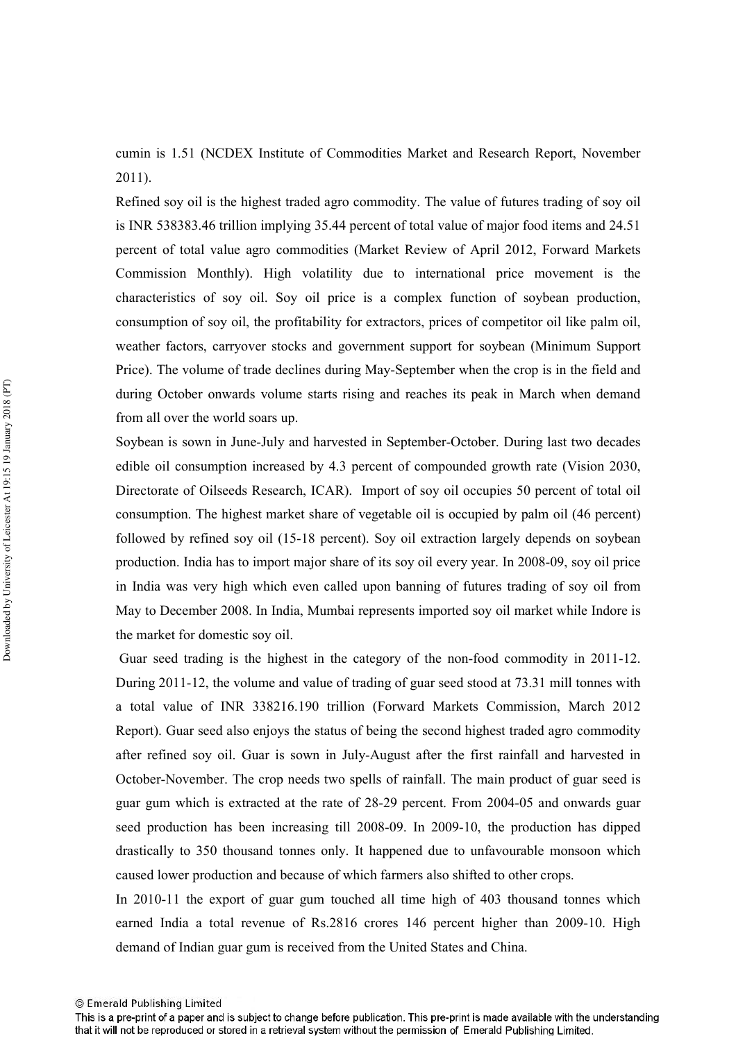cumin is 1.51 (NCDEX Institute of Commodities Market and Research Report, November 2011).

Refined soy oil is the highest traded agro commodity. The value of futures trading of soy oil is INR 538383.46 trillion implying 35.44 percent of total value of major food items and 24.51 percent of total value agro commodities (Market Review of April 2012, Forward Markets Commission Monthly). High volatility due to international price movement is the characteristics of soy oil. Soy oil price is a complex function of soybean production, consumption of soy oil, the profitability for extractors, prices of competitor oil like palm oil, weather factors, carryover stocks and government support for soybean (Minimum Support Price). The volume of trade declines during May-September when the crop is in the field and during October onwards volume starts rising and reaches its peak in March when demand from all over the world soars up.

Soybean is sown in June-July and harvested in September-October. During last two decades edible oil consumption increased by 4.3 percent of compounded growth rate (Vision 2030, Directorate of Oilseeds Research, ICAR). Import of soy oil occupies 50 percent of total oil consumption. The highest market share of vegetable oil is occupied by palm oil (46 percent) followed by refined soy oil (15-18 percent). Soy oil extraction largely depends on soybean production. India has to import major share of its soy oil every year. In 2008-09, soy oil price in India was very high which even called upon banning of futures trading of soy oil from May to December 2008. In India, Mumbai represents imported soy oil market while Indore is the market for domestic soy oil.

Guar seed trading is the highest in the category of the non-food commodity in  $2011-12$ . During 2011-12, the volume and value of trading of guar seed stood at 73.31 mill tonnes with a total value of INR 338216.190 trillion (Forward Markets Commission, March 2012 Report). Guar seed also enjoys the status of being the second highest traded agro commodity after refined soy oil. Guar is sown in July#August after the first rainfall and harvested in October-November. The crop needs two spells of rainfall. The main product of guar seed is guar gum which is extracted at the rate of 28-29 percent. From 2004-05 and onwards guar seed production has been increasing till 2008-09. In 2009-10, the production has dipped drastically to 350 thousand tonnes only. It happened due to unfavourable monsoon which caused lower production and because of which farmers also shifted to other crops.

In 2010-11 the export of guar gum touched all time high of 403 thousand tonnes which earned India a total revenue of Rs.2816 crores  $146$  percent higher than 2009-10. High demand of Indian guar gum is received from the United States and China.

This is a pre-print of a paper and is subject to change before publication. This pre-print is made available with the understanding that it will not be reproduced or stored in a retrieval system without the permission of Emerald Publishing Limited.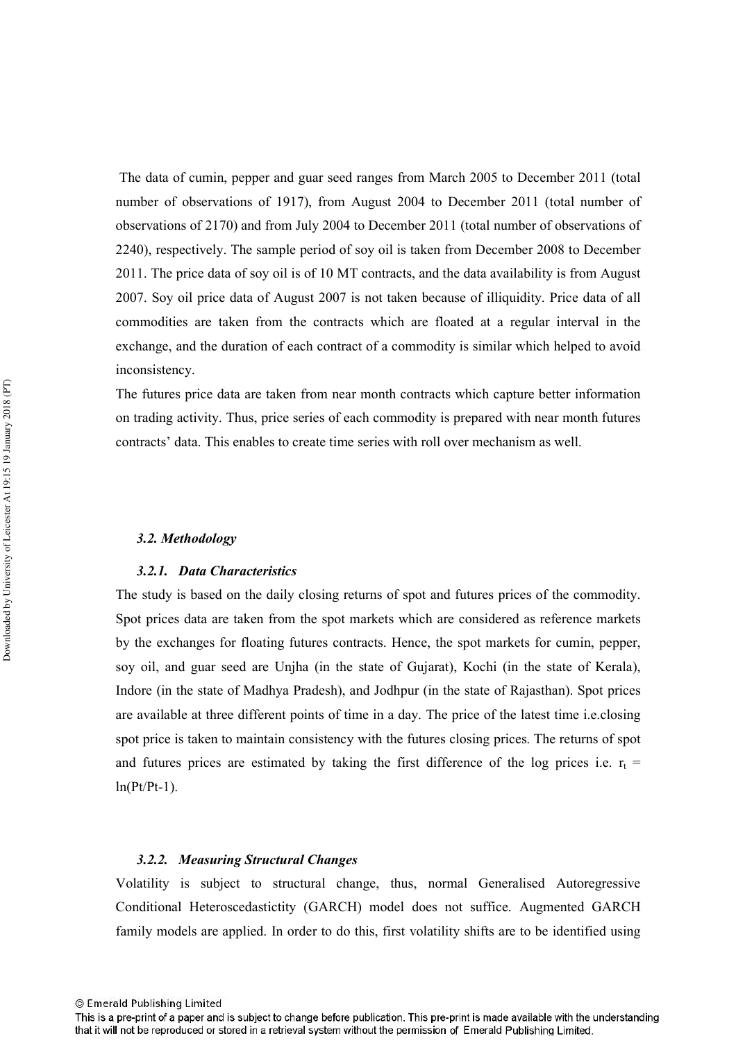The data of cumin, pepper and guar seed ranges from March 2005 to December 2011 (total number of observations of 1917), from August 2004 to December 2011 (total number of observations of 2170) and from July 2004 to December 2011 (total number of observations of 2240), respectively. The sample period of soy oil is taken from December 2008 to December 2011. The price data of soy oil is of 10 MT contracts, and the data availability is from August 2007. Soy oil price data of August 2007 is not taken because of illiquidity. Price data of all commodities are taken from the contracts which are floated at a regular interval in the exchange, and the duration of each contract of a commodity is similar which helped to avoid inconsistency.

The futures price data are taken from near month contracts which capture better information on trading activity. Thus, price series of each commodity is prepared with near month futures contracts' data. This enables to create time series with roll over mechanism as well.

#### 3.2. Methodology

#### 3.2.1. Data Characteristics

The study is based on the daily closing returns of spot and futures prices of the commodity. Spot prices data are taken from the spot markets which are considered as reference markets by the exchanges for floating futures contracts. Hence, the spot markets for cumin, pepper, soy oil, and guar seed are Unjha (in the state of Gujarat), Kochi (in the state of Kerala), Indore (in the state of Madhya Pradesh), and Jodhpur (in the state of Rajasthan). Spot prices are available at three different points of time in a day. The price of the latest time i.e.closing spot price is taken to maintain consistency with the futures closing prices. The returns of spot and futures prices are estimated by taking the first difference of the log prices i.e.  $r_t$  =  $ln(Pt/Pt-1)$ .

#### 3.2.2. Measuring Structural Changes

Volatility is subject to structural change, thus, normal Generalised Autoregressive Conditional Heteroscedastictity (GARCH) model does not suffice. Augmented GARCH family models are applied. In order to do this, first volatility shifts are to be identified using

This is a pre-print of a paper and is subject to change before publication. This pre-print is made available with the understanding that it will not be reproduced or stored in a retrieval system without the permission of Emerald Publishing Limited.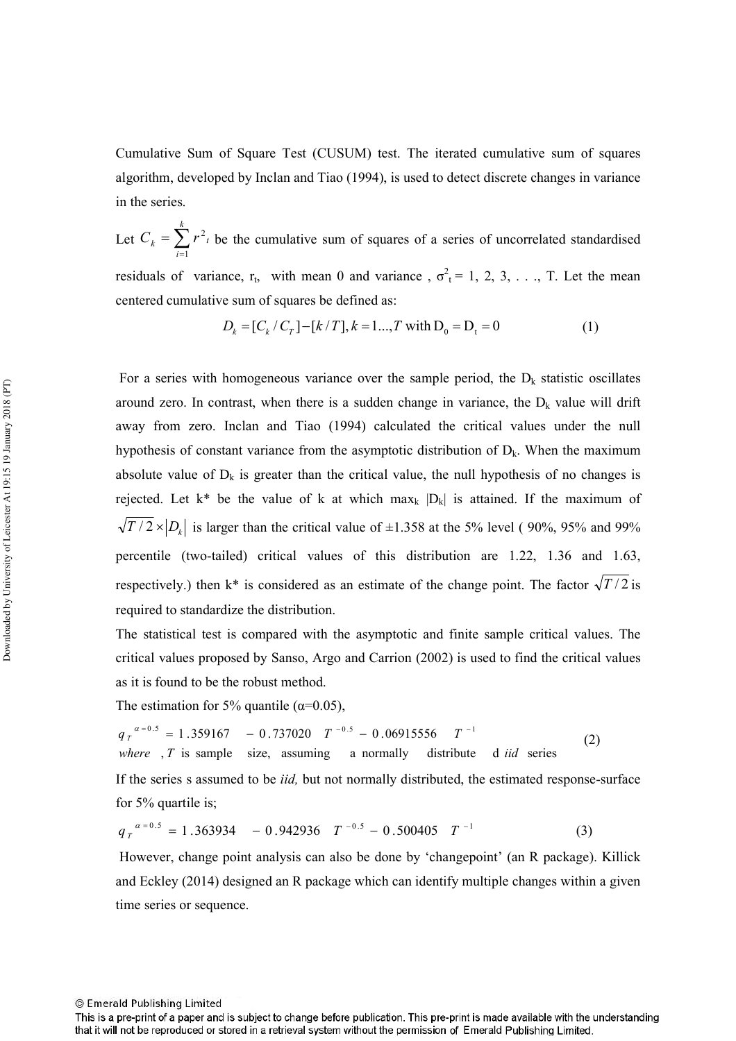Cumulative Sum of Square Test (CUSUM) test. The iterated cumulative sum of squares algorithm, developed by Inclan and Tiao (1994), is used to detect discrete changes in variance in the series.

Let  $C_k = \sum_{i=1}^k$ *i*  $C_k = \sum r^2$  be the cumulative sum of squares of a series of uncorrelated standardised 1 residuals of variance,  $r_t$ , with mean 0 and variance,  $\sigma_t^2 = 1, 2, 3, \ldots$ , T. Let the mean centered cumulative sum of squares be defined as:

$$
D_k = [C_k / C_T] - [k / T], k = 1..., T \text{ with } D_0 = D_t = 0 \tag{1}
$$

For a series with homogeneous variance over the sample period, the  $D_k$  statistic oscillates around zero. In contrast, when there is a sudden change in variance, the  $D_k$  value will drift away from zero. Inclan and Tiao (1994) calculated the critical values under the null hypothesis of constant variance from the asymptotic distribution of  $D_k$ . When the maximum absolute value of  $D_k$  is greater than the critical value, the null hypothesis of no changes is rejected. Let  $k^*$  be the value of k at which max<sub>k</sub>  $|D_k|$  is attained. If the maximum of  $T/2 \times |D_k|$  is larger than the critical value of  $\pm 1.358$  at the 5% level (90%, 95% and 99% percentile (two-tailed) critical values of this distribution are 1.22, 1.36 and 1.63, respectively.) then k<sup>\*</sup> is considered as an estimate of the change point. The factor  $\sqrt{T/2}$  is required to standardize the distribution.

The statistical test is compared with the asymptotic and finite sample critical values. The critical values proposed by Sanso, Argo and Carrion (2002) is used to find the critical values as it is found to be the robust method.

The estimation for 5% quantile ( $\alpha$ =0.05),

*where*, T is sample size, assuming a normally distribute d *iid* series  $q_T^{\alpha=0.5} = 1.359167 - 0.737020 T^{-0.5} - 0.06915556 T^{-1}$ (2)

If the series s assumed to be *iid*, but not normally distributed, the estimated response-surface for 5% quartile is;

$$
q_T^{\alpha=0.5} = 1.363934 - 0.942936 \tT^{-0.5} - 0.500405 \tT^{-1} \t(3)
$$

 However, change point analysis can also be done by 'changepoint' (an R package). Killick and Eckley (2014) designed an R package which can identify multiple changes within a given time series or sequence.

This is a pre-print of a paper and is subject to change before publication. This pre-print is made available with the understanding that it will not be reproduced or stored in a retrieval system without the permission of Emerald Publishing Limited.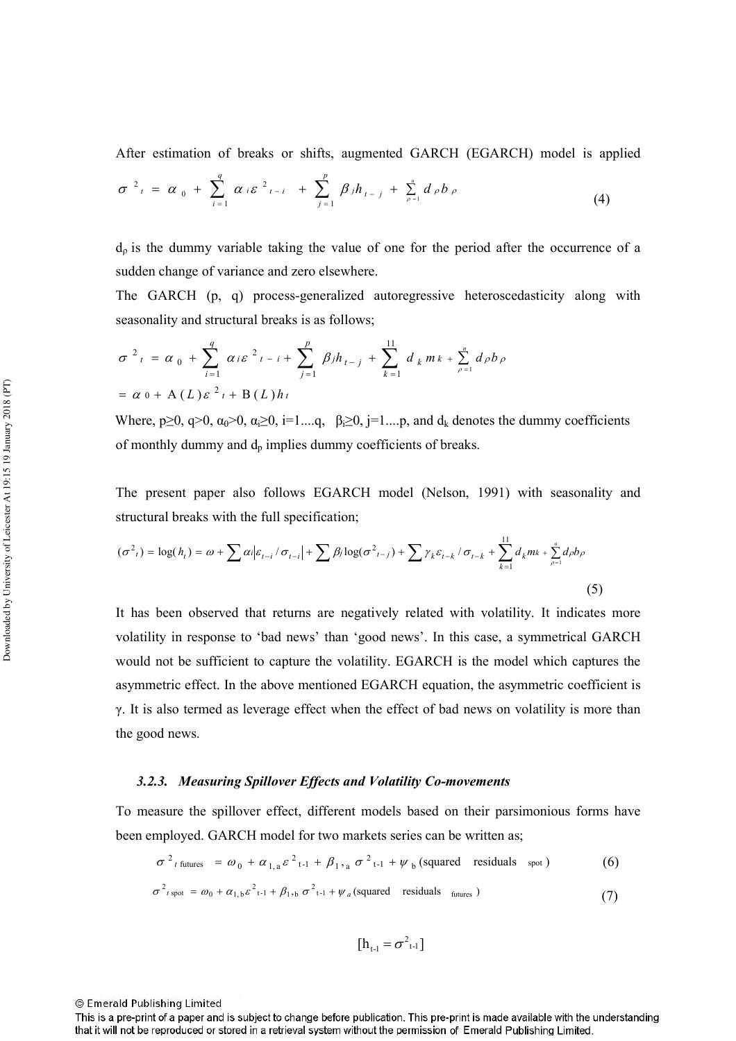After estimation of breaks or shifts, augmented GARCH (EGARCH) model is applied

$$
\sigma^{2}{}_{t} = \alpha{}_{0} + \sum_{i=1}^{q} \alpha_{i} \varepsilon^{2}{}_{t-i} + \sum_{j=1}^{p} \beta_{j} h_{t-j} + \sum_{\rho=1}^{n} d_{\rho} b_{\rho}
$$
\n(4)

 $d<sub>o</sub>$  is the dummy variable taking the value of one for the period after the occurrence of a sudden change of variance and zero elsewhere.

The GARCH  $(p, q)$  process-generalized autoregressive heteroscedasticity along with seasonality and structural breaks is as follows;

$$
\sigma^{2}{}_{t} = \alpha{}_{0} + \sum_{i=1}^{q} \alpha_{i} \varepsilon^{2}{}_{t-i} + \sum_{j=1}^{p} \beta_{j} h_{t-j} + \sum_{k=1}^{11} d_{k} m_{k} + \sum_{\rho=1}^{n} d_{\rho} b_{\rho}
$$
  
=  $\alpha$  0 + A (L)  $\varepsilon^{2}{}_{t}$  + B (L)  $h_{t}$ 

Where,  $p\geq 0$ ,  $q>0$ ,  $\alpha_0>0$ ,  $\alpha_i\geq 0$ ,  $i=1...q$ ,  $\beta_i\geq 0$ ,  $j=1...p$ , and  $d_k$  denotes the dummy coefficients of monthly dummy and  $d_p$  implies dummy coefficients of breaks.

The present paper also follows EGARCH model (Nelson, 1991) with seasonality and structural breaks with the full specification;

$$
(\sigma^2 t) = \log(h_t) = \omega + \sum \alpha |\varepsilon_{t-1}/\sigma_{t-1}| + \sum \beta_j \log(\sigma^2 t - j) + \sum \gamma_k \varepsilon_{t-k}/\sigma_{t-k} + \sum_{k=1}^{11} d_k m_k + \sum_{\rho=1}^n d_\rho b_\rho
$$
\n(5)

It has been observed that returns are negatively related with volatility. It indicates more volatility in response to 'bad news' than 'good news'. In this case, a symmetrical GARCH would not be sufficient to capture the volatility. EGARCH is the model which captures the asymmetric effect. In the above mentioned EGARCH equation, the asymmetric coefficient is γ. It is also termed as leverage effect when the effect of bad news on volatility is more than the good news.

#### 3.2.3. Measuring Spillover Effects and Volatility Co-movements

To measure the spillover effect, different models based on their parsimonious forms have been employed. GARCH model for two markets series can be written as;

$$
\sigma^2_{t \text{ futures}} = \omega_0 + \alpha_{1,a} \varepsilon^2_{t-1} + \beta_{1,a} \sigma^2_{t-1} + \psi_b \text{ (squared residuals spot)} \tag{6}
$$

$$
\sigma^2_{tspot} = \omega_0 + \alpha_{1,b} \varepsilon^2_{t-1} + \beta_{1,b} \sigma^2_{t-1} + \psi_a \text{ (squared residuals }_{futures}) \tag{7}
$$

$$
[h_{t-1} = \sigma^2_{t-1}]
$$

<sup>©</sup> Emerald Publishing Limited

This is a pre-print of a paper and is subject to change before publication. This pre-print is made available with the understanding that it will not be reproduced or stored in a retrieval system without the permission of Emerald Publishing Limited.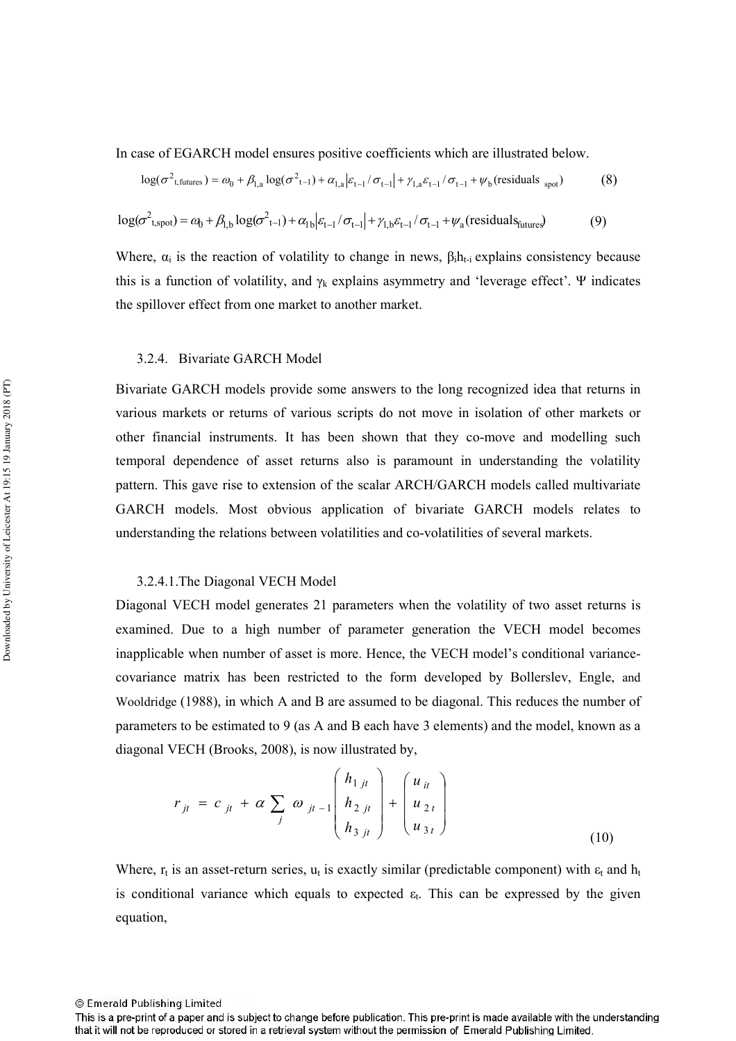In case of EGARCH model ensures positive coefficients which are illustrated below.

$$
\log(\sigma^2_{t,\text{futures}}) = \omega_0 + \beta_{1,a} \log(\sigma^2_{t-1}) + \alpha_{1,a} |\varepsilon_{t-1}/\sigma_{t-1}| + \gamma_{1,a} \varepsilon_{t-1}/\sigma_{t-1} + \psi_b(\text{residuals}_{\text{spot}})
$$
(8)

$$
\log(\sigma^2_{\text{t,spot}}) = \omega_0 + \beta_{1,b} \log(\sigma^2_{t-1}) + \alpha_{1b} |\varepsilon_{t-1}/\sigma_{t-1}| + \gamma_{1,b} \varepsilon_{t-1}/\sigma_{t-1} + \psi_a \text{(residuals}_{\text{future}})
$$
(9)

Where,  $\alpha_i$  is the reaction of volatility to change in news,  $\beta_i h_{t-i}$  explains consistency because this is a function of volatility, and  $\gamma_k$  explains asymmetry and 'leverage effect'. Ψ indicates the spillover effect from one market to another market.

#### 3.2.4. Bivariate GARCH Model

Bivariate GARCH models provide some answers to the long recognized idea that returns in various markets or returns of various scripts do not move in isolation of other markets or other financial instruments. It has been shown that they co-move and modelling such temporal dependence of asset returns also is paramount in understanding the volatility pattern. This gave rise to extension of the scalar ARCH/GARCH models called multivariate GARCH models. Most obvious application of bivariate GARCH models relates to understanding the relations between volatilities and co-volatilities of several markets.

#### 3.2.4.1.The Diagonal VECH Model

Diagonal VECH model generates 21 parameters when the volatility of two asset returns is examined. Due to a high number of parameter generation the VECH model becomes inapplicable when number of asset is more. Hence, the VECH model's conditional variancecovariance matrix has been restricted to the form developed by Bollerslev, Engle, and Wooldridge (1988), in which A and B are assumed to be diagonal. This reduces the number of parameters to be estimated to 9 (as A and B each have 3 elements) and the model, known as a diagonal VECH (Brooks, 2008), is now illustrated by,

$$
r_{jt} = c_{jt} + \alpha \sum_{j} \omega_{jt-1} \begin{pmatrix} h_{1jt} \\ h_{2jt} \\ h_{3jt} \end{pmatrix} + \begin{pmatrix} u_{it} \\ u_{2t} \\ u_{3t} \end{pmatrix}
$$
 (10)

Where,  $r_t$  is an asset-return series,  $u_t$  is exactly similar (predictable component) with  $\varepsilon_t$  and  $h_t$ is conditional variance which equals to expected  $\varepsilon_t$ . This can be expressed by the given equation,

This is a pre-print of a paper and is subject to change before publication. This pre-print is made available with the understanding that it will not be reproduced or stored in a retrieval system without the permission of Emerald Publishing Limited.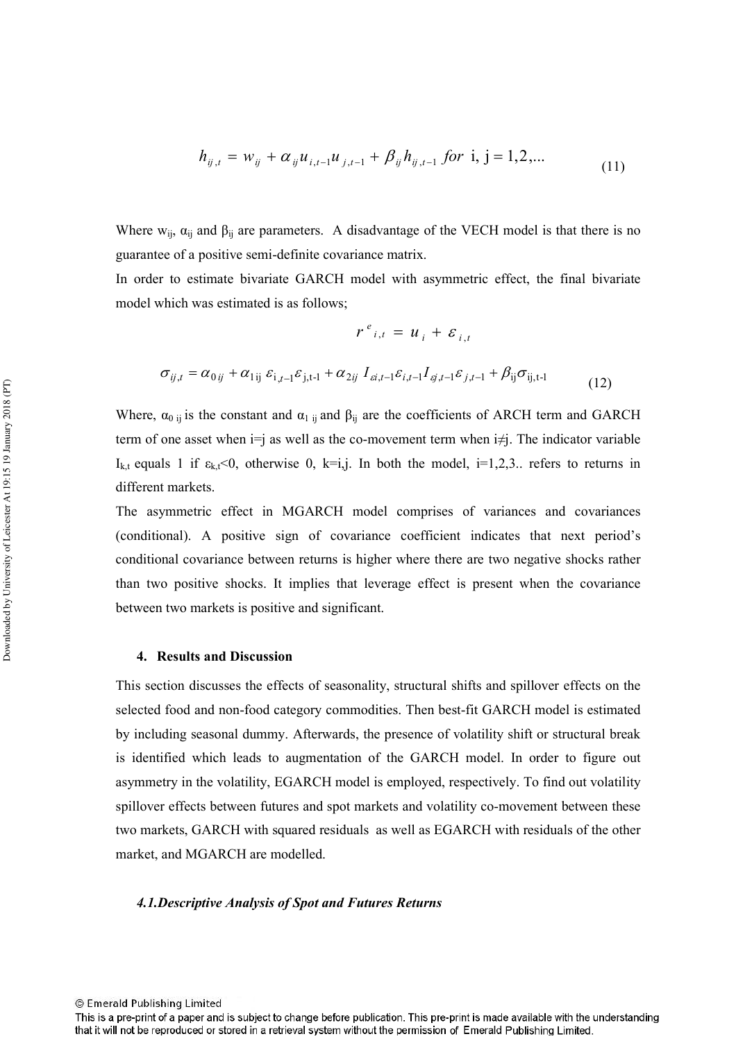$$
h_{ij,t} = w_{ij} + \alpha_{ij} u_{i,t-1} u_{j,t-1} + \beta_{ij} h_{ij,t-1} \text{ for } i, j = 1,2,... \tag{11}
$$

Where  $w_{ij}$ ,  $\alpha_{ij}$  and  $\beta_{ij}$  are parameters. A disadvantage of the VECH model is that there is no guarantee of a positive semi-definite covariance matrix.

In order to estimate bivariate GARCH model with asymmetric effect, the final bivariate model which was estimated is as follows;

$$
r^{e}{}_{i,t} = u_{i} + \varepsilon_{i,t}
$$
  

$$
\sigma_{ij,t} = \alpha_{0ij} + \alpha_{1ij} \varepsilon_{i,t-1} \varepsilon_{j,t-1} + \alpha_{2ij} I_{\varepsilon i,t-1} \varepsilon_{i,t-1} I_{\varepsilon j,t-1} \varepsilon_{j,t-1} + \beta_{ij} \sigma_{ij,t-1}
$$
 (12)

Where,  $\alpha_0$  ij is the constant and  $\alpha_1$  ij and  $\beta_{ij}$  are the coefficients of ARCH term and GARCH term of one asset when  $i=j$  as well as the co-movement term when  $i\neq j$ . The indicator variable  $I_{k,t}$  equals 1 if  $\varepsilon_{k,t}$ <0, otherwise 0, k=i,j. In both the model, i=1,2,3.. refers to returns in different markets.

The asymmetric effect in MGARCH model comprises of variances and covariances (conditional). A positive sign of covariance coefficient indicates that next period's conditional covariance between returns is higher where there are two negative shocks rather than two positive shocks. It implies that leverage effect is present when the covariance between two markets is positive and significant.

#### **4. Results and Discussion**

This section discusses the effects of seasonality, structural shifts and spillover effects on the selected food and non-food category commodities. Then best-fit GARCH model is estimated by including seasonal dummy. Afterwards, the presence of volatility shift or structural break is identified which leads to augmentation of the GARCH model. In order to figure out asymmetry in the volatility, EGARCH model is employed, respectively. To find out volatility spillover effects between futures and spot markets and volatility co-movement between these two markets, GARCH with squared residuals as well as EGARCH with residuals of the other market, and MGARCH are modelled.

#### 4.1. Descriptive Analysis of Spot and Futures Returns

This is a pre-print of a paper and is subject to change before publication. This pre-print is made available with the understanding that it will not be reproduced or stored in a retrieval system without the permission of Emerald Publishing Limited.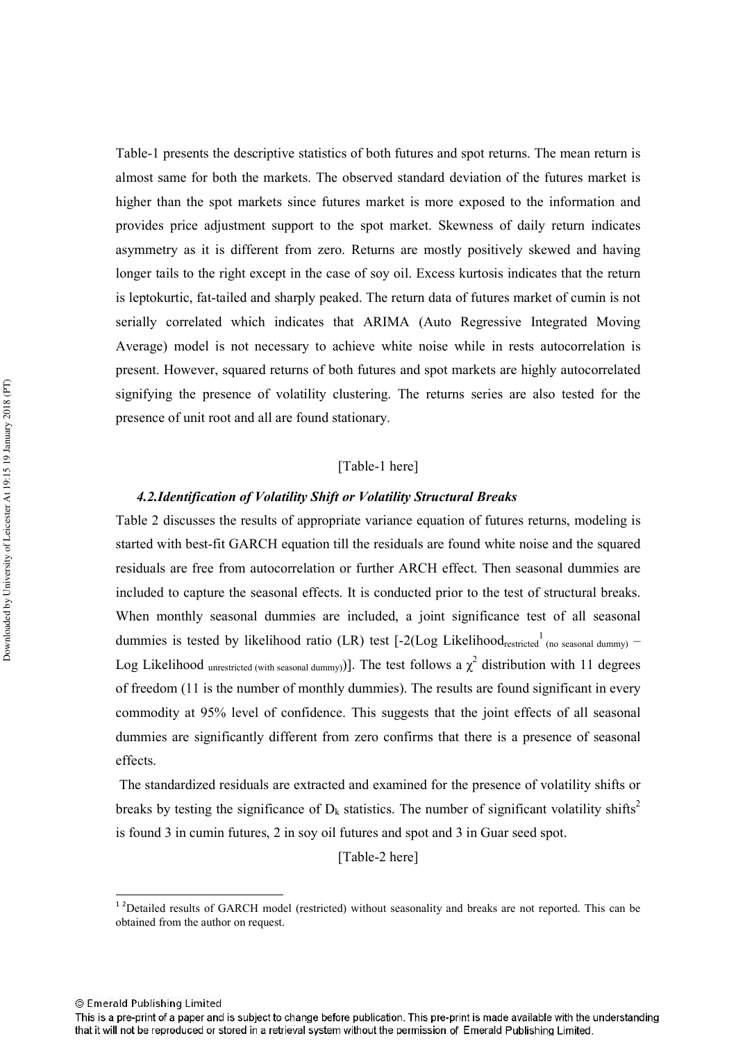Table-1 presents the descriptive statistics of both futures and spot returns. The mean return is almost same for both the markets. The observed standard deviation of the futures market is higher than the spot markets since futures market is more exposed to the information and provides price adjustment support to the spot market. Skewness of daily return indicates asymmetry as it is different from zero. Returns are mostly positively skewed and having longer tails to the right except in the case of soy oil. Excess kurtosis indicates that the return is leptokurtic, fat-tailed and sharply peaked. The return data of futures market of cumin is not serially correlated which indicates that ARIMA (Auto Regressive Integrated Moving Average) model is not necessary to achieve white noise while in rests autocorrelation is present. However, squared returns of both futures and spot markets are highly autocorrelated signifying the presence of volatility clustering. The returns series are also tested for the presence of unit root and all are found stationary.

#### [Table-1 here]

#### 4.2.Identification of Volatility Shift or Volatility Structural Breaks

Table 2 discusses the results of appropriate variance equation of futures returns, modeling is started with best-fit GARCH equation till the residuals are found white noise and the squared residuals are free from autocorrelation or further ARCH effect. Then seasonal dummies are included to capture the seasonal effects. It is conducted prior to the test of structural breaks. When monthly seasonal dummies are included, a joint significance test of all seasonal dummies is tested by likelihood ratio (LR) test  $\left[-2(\text{Log Likelihood}_{\text{restricted}}^{\dagger}\right]_{(no\text{ seasonal dummy})}-$ Log Likelihood unrestricted (with seasonal dummy))]. The test follows a  $\chi^2$  distribution with 11 degrees of freedom (11 is the number of monthly dummies). The results are found significant in every commodity at 95% level of confidence. This suggests that the joint effects of all seasonal dummies are significantly different from zero confirms that there is a presence of seasonal effects.

 The standardized residuals are extracted and examined for the presence of volatility shifts or breaks by testing the significance of  $D_k$  statistics. The number of significant volatility shifts<sup>2</sup> is found 3 in cumin futures, 2 in soy oil futures and spot and 3 in Guar seed spot.

[Table-2 here]

© Emerald Publishing Limited

 $\overline{a}$ 

<sup>&</sup>lt;sup>12</sup>Detailed results of GARCH model (restricted) without seasonality and breaks are not reported. This can be obtained from the author on request.

This is a pre-print of a paper and is subject to change before publication. This pre-print is made available with the understanding that it will not be reproduced or stored in a retrieval system without the permission of Emerald Publishing Limited.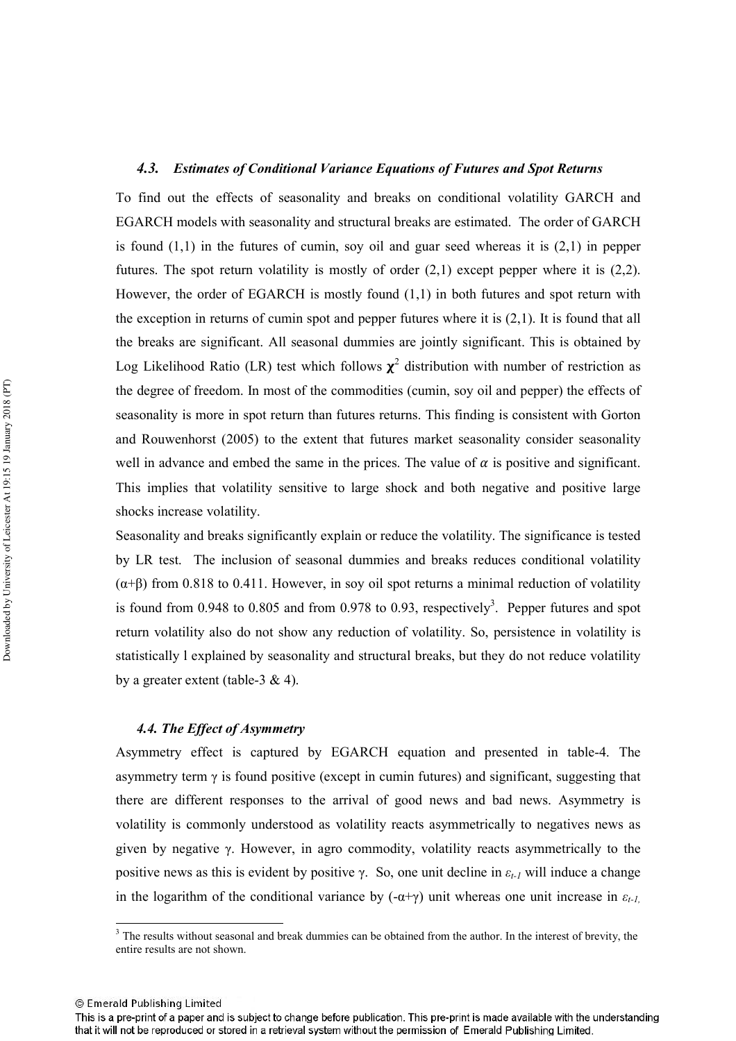#### *--***Estimates of Conditional Variance Equations of Futures and Spot Returns**

To find out the effects of seasonality and breaks on conditional volatility GARCH and EGARCH models with seasonality and structural breaks are estimated. The order of GARCH is found  $(1,1)$  in the futures of cumin, soy oil and guar seed whereas it is  $(2,1)$  in pepper futures. The spot return volatility is mostly of order  $(2,1)$  except pepper where it is  $(2,2)$ . However, the order of EGARCH is mostly found (1,1) in both futures and spot return with the exception in returns of cumin spot and pepper futures where it is (2,1). It is found that all the breaks are significant. All seasonal dummies are jointly significant. This is obtained by Log Likelihood Ratio (LR) test which follows  $\chi^2$  distribution with number of restriction as the degree of freedom. In most of the commodities (cumin, soy oil and pepper) the effects of seasonality is more in spot return than futures returns. This finding is consistent with Gorton and Rouwenhorst (2005) to the extent that futures market seasonality consider seasonality well in advance and embed the same in the prices. The value of  $\alpha$  is positive and significant. This implies that volatility sensitive to large shock and both negative and positive large shocks increase volatility.

Seasonality and breaks significantly explain or reduce the volatility. The significance is tested by LR test. The inclusion of seasonal dummies and breaks reduces conditional volatility  $(\alpha+\beta)$  from 0.818 to 0.411. However, in soy oil spot returns a minimal reduction of volatility is found from  $0.948$  to  $0.805$  and from  $0.978$  to  $0.93$ , respectively<sup>3</sup>. Pepper futures and spot return volatility also do not show any reduction of volatility. So, persistence in volatility is statistically l explained by seasonality and structural breaks, but they do not reduce volatility by a greater extent (table-3  $\&$  4).

#### 4.4. The Effect of Asymmetry

Asymmetry effect is captured by EGARCH equation and presented in table-4. The asymmetry term  $\gamma$  is found positive (except in cumin futures) and significant, suggesting that there are different responses to the arrival of good news and bad news. Asymmetry is volatility is commonly understood as volatility reacts asymmetrically to negatives news as given by negative γ. However, in agro commodity, volatility reacts asymmetrically to the positive news as this is evident by positive γ. So, one unit decline in  $\varepsilon$ <sup>*t*</sup>-*I* will induce a change in the logarithm of the conditional variance by  $(-\alpha + \gamma)$  unit whereas one unit increase in  $\varepsilon_{t-l}$ ,

 $\overline{a}$ 

<sup>&</sup>lt;sup>3</sup> The results without seasonal and break dummies can be obtained from the author. In the interest of brevity, the entire results are not shown.

<sup>©</sup> Emerald Publishing Limited

This is a pre-print of a paper and is subject to change before publication. This pre-print is made available with the understanding that it will not be reproduced or stored in a retrieval system without the permission of Emerald Publishing Limited.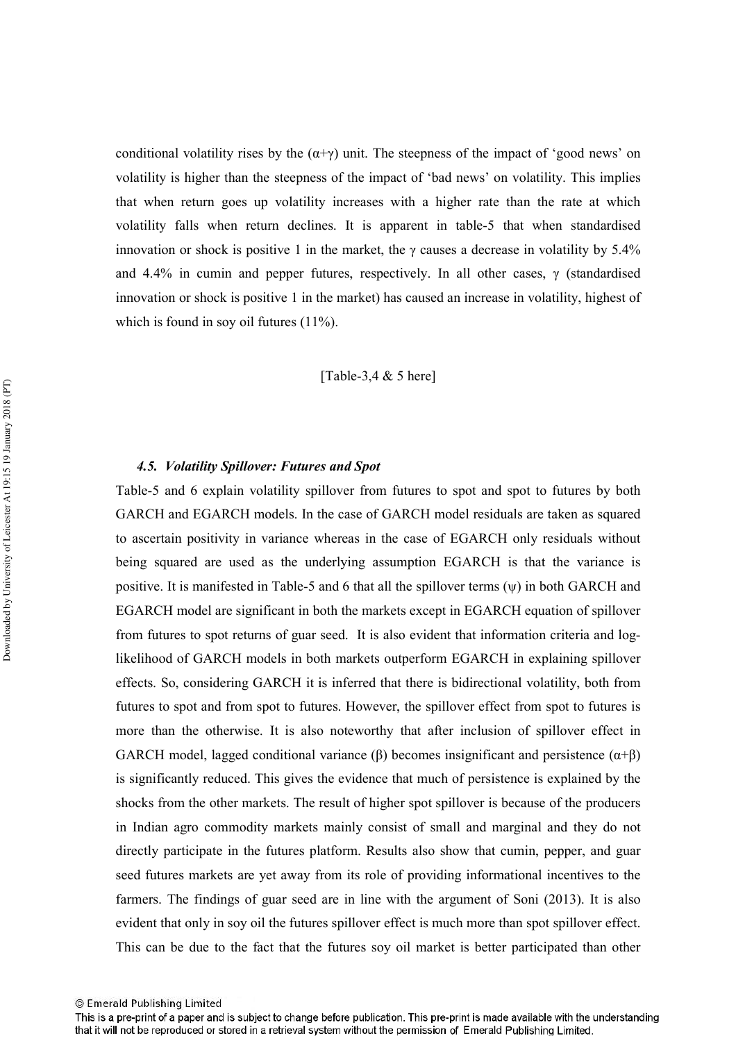conditional volatility rises by the  $(\alpha+\gamma)$  unit. The steepness of the impact of 'good news' on volatility is higher than the steepness of the impact of 'bad news' on volatility. This implies that when return goes up volatility increases with a higher rate than the rate at which volatility falls when return declines. It is apparent in table#5 that when standardised innovation or shock is positive 1 in the market, the  $\gamma$  causes a decrease in volatility by 5.4% and 4.4% in cumin and pepper futures, respectively. In all other cases,  $\gamma$  (standardised innovation or shock is positive 1 in the market) has caused an increase in volatility, highest of which is found in soy oil futures (11%).

$$
[Table-3, 4 & 5 \text{ here}]
$$

#### 4.5. Volatility Spillover: Futures and Spot

Table-5 and 6 explain volatility spillover from futures to spot and spot to futures by both GARCH and EGARCH models. In the case of GARCH model residuals are taken as squared to ascertain positivity in variance whereas in the case of EGARCH only residuals without being squared are used as the underlying assumption EGARCH is that the variance is positive. It is manifested in Table-5 and 6 that all the spillover terms  $(\psi)$  in both GARCH and EGARCH model are significant in both the markets except in EGARCH equation of spillover from futures to spot returns of guar seed. It is also evident that information criteria and log# likelihood of GARCH models in both markets outperform EGARCH in explaining spillover effects. So, considering GARCH it is inferred that there is bidirectional volatility, both from futures to spot and from spot to futures. However, the spillover effect from spot to futures is more than the otherwise. It is also noteworthy that after inclusion of spillover effect in GARCH model, lagged conditional variance ( $\beta$ ) becomes insignificant and persistence ( $\alpha + \beta$ ) is significantly reduced. This gives the evidence that much of persistence is explained by the shocks from the other markets. The result of higher spot spillover is because of the producers in Indian agro commodity markets mainly consist of small and marginal and they do not directly participate in the futures platform. Results also show that cumin, pepper, and guar seed futures markets are yet away from its role of providing informational incentives to the farmers. The findings of guar seed are in line with the argument of Soni (2013). It is also evident that only in soy oil the futures spillover effect is much more than spot spillover effect. This can be due to the fact that the futures soy oil market is better participated than other

<sup>©</sup> Emerald Publishing Limited

This is a pre-print of a paper and is subject to change before publication. This pre-print is made available with the understanding that it will not be reproduced or stored in a retrieval system without the permission of Emerald Publishing Limited.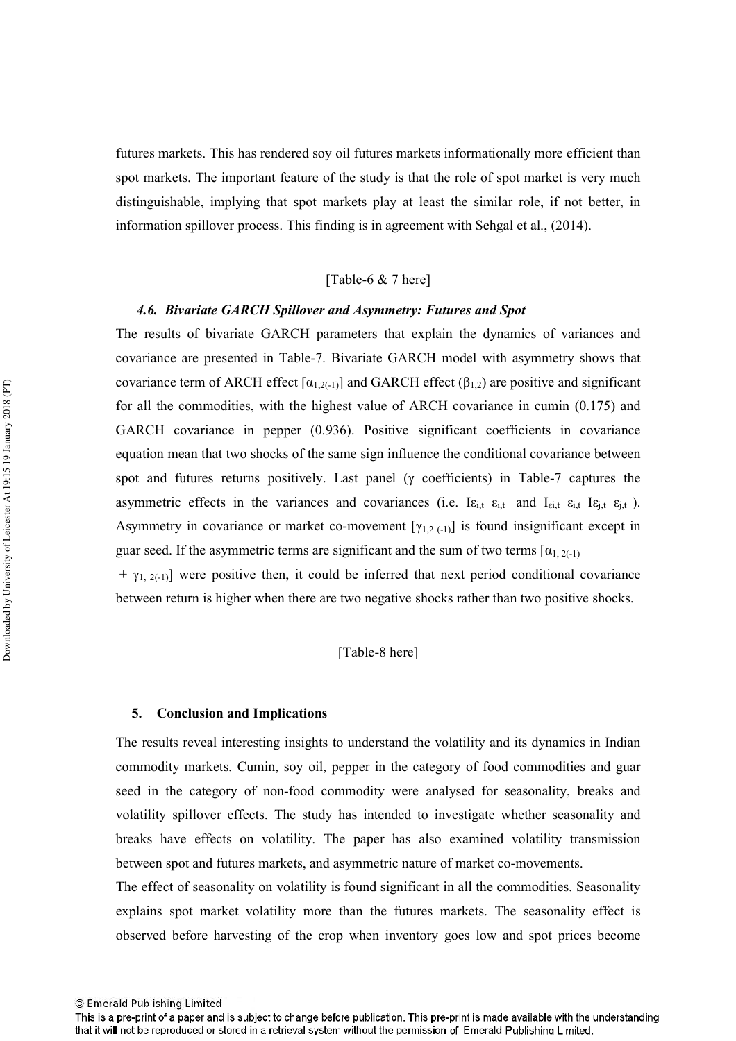futures markets. This has rendered soy oil futures markets informationally more efficient than spot markets. The important feature of the study is that the role of spot market is very much distinguishable, implying that spot markets play at least the similar role, if not better, in information spillover process. This finding is in agreement with Sehgal et al., (2014).

#### [Table-6  $& 7$  here]

#### 4.6. Bivariate GARCH Spillover and Asymmetry: Futures and Spot

The results of bivariate GARCH parameters that explain the dynamics of variances and covariance are presented in Table#7. Bivariate GARCH model with asymmetry shows that covariance term of ARCH effect  $[\alpha_{1,2(-1)}]$  and GARCH effect  $(\beta_{1,2})$  are positive and significant for all the commodities, with the highest value of ARCH covariance in cumin (0.175) and GARCH covariance in pepper (0.936). Positive significant coefficients in covariance equation mean that two shocks of the same sign influence the conditional covariance between spot and futures returns positively. Last panel ( $\gamma$  coefficients) in Table-7 captures the asymmetric effects in the variances and covariances (i.e. I $\varepsilon_{i,t}$   $\varepsilon_{i,t}$  and I<sub> $\varepsilon_{i,t}$ </sub>  $\varepsilon_{i,t}$  I $\varepsilon_{j,t}$   $\varepsilon_{j,t}$ ). Asymmetry in covariance or market co-movement  $[\gamma_{1,2}$  (-1)] is found insignificant except in guar seed. If the asymmetric terms are significant and the sum of two terms  $[\alpha_{1, 2(-1)}]$ 

 $+ \gamma_{1, 2(-1)}$ ] were positive then, it could be inferred that next period conditional covariance between return is higher when there are two negative shocks rather than two positive shocks.

#### [Table-8 here]

#### **5.** Conclusion and Implications

The results reveal interesting insights to understand the volatility and its dynamics in Indian commodity markets. Cumin, soy oil, pepper in the category of food commodities and guar seed in the category of non-food commodity were analysed for seasonality, breaks and volatility spillover effects. The study has intended to investigate whether seasonality and breaks have effects on volatility. The paper has also examined volatility transmission between spot and futures markets, and asymmetric nature of market co-movements.

The effect of seasonality on volatility is found significant in all the commodities. Seasonality explains spot market volatility more than the futures markets. The seasonality effect is observed before harvesting of the crop when inventory goes low and spot prices become

This is a pre-print of a paper and is subject to change before publication. This pre-print is made available with the understanding that it will not be reproduced or stored in a retrieval system without the permission of Emerald Publishing Limited.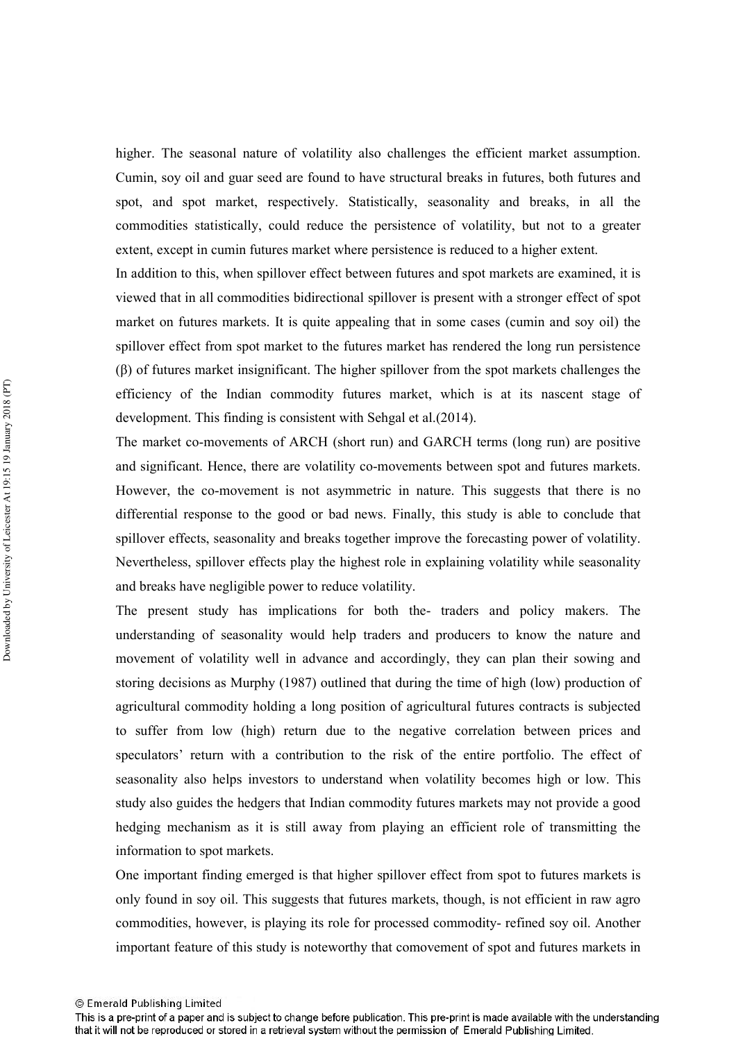higher. The seasonal nature of volatility also challenges the efficient market assumption. Cumin, soy oil and guar seed are found to have structural breaks in futures, both futures and spot, and spot market, respectively. Statistically, seasonality and breaks, in all the commodities statistically, could reduce the persistence of volatility, but not to a greater extent, except in cumin futures market where persistence is reduced to a higher extent.

In addition to this, when spillover effect between futures and spot markets are examined, it is viewed that in all commodities bidirectional spillover is present with a stronger effect of spot market on futures markets. It is quite appealing that in some cases (cumin and soy oil) the spillover effect from spot market to the futures market has rendered the long run persistence (β) of futures market insignificant. The higher spillover from the spot markets challenges the efficiency of the Indian commodity futures market, which is at its nascent stage of development. This finding is consistent with Sehgal et al.(2014).

The market co-movements of ARCH (short run) and GARCH terms (long run) are positive and significant. Hence, there are volatility co-movements between spot and futures markets. However, the co-movement is not asymmetric in nature. This suggests that there is no differential response to the good or bad news. Finally, this study is able to conclude that spillover effects, seasonality and breaks together improve the forecasting power of volatility. Nevertheless, spillover effects play the highest role in explaining volatility while seasonality and breaks have negligible power to reduce volatility.

The present study has implications for both the traders and policy makers. The understanding of seasonality would help traders and producers to know the nature and movement of volatility well in advance and accordingly, they can plan their sowing and storing decisions as Murphy (1987) outlined that during the time of high (low) production of agricultural commodity holding a long position of agricultural futures contracts is subjected to suffer from low (high) return due to the negative correlation between prices and speculators' return with a contribution to the risk of the entire portfolio. The effect of seasonality also helps investors to understand when volatility becomes high or low. This study also guides the hedgers that Indian commodity futures markets may not provide a good hedging mechanism as it is still away from playing an efficient role of transmitting the information to spot markets.

One important finding emerged is that higher spillover effect from spot to futures markets is only found in soy oil. This suggests that futures markets, though, is not efficient in raw agro commodities, however, is playing its role for processed commodity- refined soy oil. Another important feature of this study is noteworthy that comovement of spot and futures markets in

This is a pre-print of a paper and is subject to change before publication. This pre-print is made available with the understanding that it will not be reproduced or stored in a retrieval system without the permission of Emerald Publishing Limited.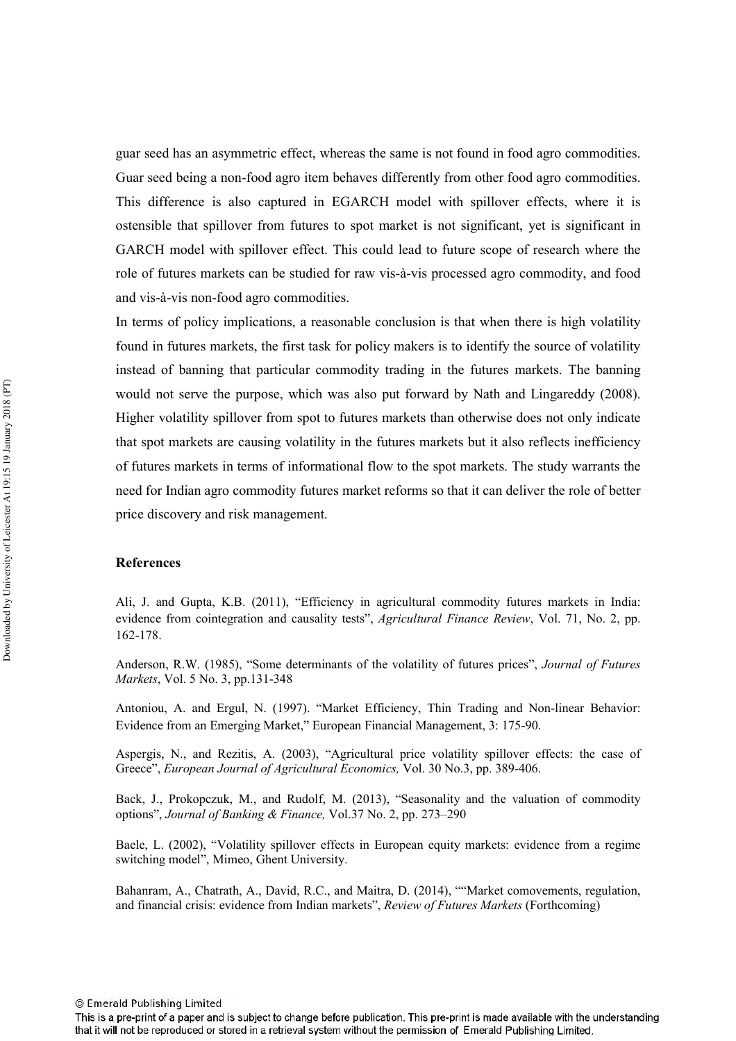guar seed has an asymmetric effect, whereas the same is not found in food agro commodities. Guar seed being a non-food agro item behaves differently from other food agro commodities. This difference is also captured in EGARCH model with spillover effects, where it is ostensible that spillover from futures to spot market is not significant, yet is significant in GARCH model with spillover effect. This could lead to future scope of research where the role of futures markets can be studied for raw vis-à-vis processed agro commodity, and food and vis-à-vis non-food agro commodities.

In terms of policy implications, a reasonable conclusion is that when there is high volatility found in futures markets, the first task for policy makers is to identify the source of volatility instead of banning that particular commodity trading in the futures markets. The banning would not serve the purpose, which was also put forward by Nath and Lingareddy (2008). Higher volatility spillover from spot to futures markets than otherwise does not only indicate that spot markets are causing volatility in the futures markets but it also reflects inefficiency of futures markets in terms of informational flow to the spot markets. The study warrants the need for Indian agro commodity futures market reforms so that it can deliver the role of better price discovery and risk management.

#### **References**

Ali, J. and Gupta, K.B. (2011), "Efficiency in agricultural commodity futures markets in India: evidence from cointegration and causality tests", *Agricultural Finance Review*, Vol. 71, No. 2, pp. 162-178.

Anderson, R.W. (1985), "Some determinants of the volatility of futures prices", *Journal of Futures Markets*, Vol. 5 No. 3, pp.131-348

Antoniou, A. and Ergul, N. (1997). "Market Efficiency, Thin Trading and Non-linear Behavior: Evidence from an Emerging Market," European Financial Management, 3: 175-90.

Aspergis, N., and Rezitis, A. (2003), "Agricultural price volatility spillover effects: the case of Greece", *European Journal of Agricultural Economics*, Vol. 30 No.3, pp. 389-406.

Back, J., Prokopczuk, M., and Rudolf, M. (2013), "Seasonality and the valuation of commodity options", *Journal of Banking & Finance,* Vol.37 No. 2, pp. 273–290

Baele, L. (2002), "Volatility spillover effects in European equity markets: evidence from a regime switching model", Mimeo, Ghent University.

Bahanram, A., Chatrath, A., David, R.C., and Maitra, D. (2014), ""Market comovements, regulation, and financial crisis: evidence from Indian markets", *Review of Futures Markets* (Forthcoming)

This is a pre-print of a paper and is subject to change before publication. This pre-print is made available with the understanding that it will not be reproduced or stored in a retrieval system without the permission of Emerald Publishing Limited.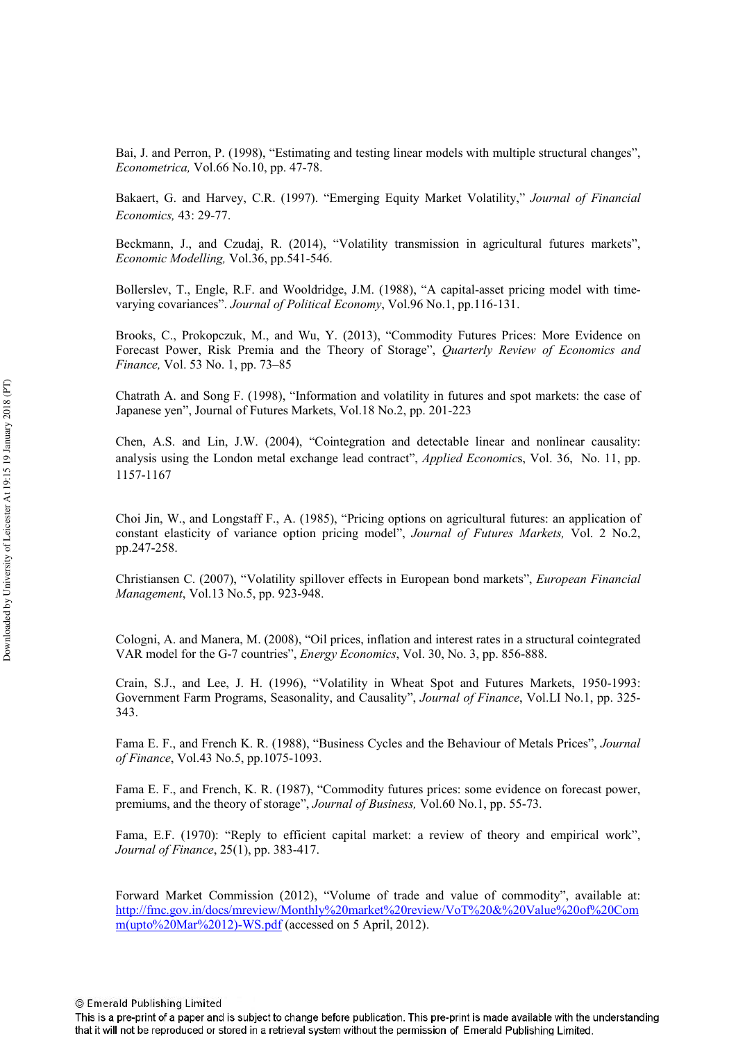Bai, J. and Perron, P. (1998), "Estimating and testing linear models with multiple structural changes", *Econometrica,* Vol.66 No.10, pp. 47-78.

Bakaert, G. and Harvey, C.R. (1997). "Emerging Equity Market Volatility," *Journal of Financial Economics,* 43: 29-77.

Beckmann, J., and Czudaj, R. (2014), "Volatility transmission in agricultural futures markets", *Economic Modelling, Vol.36, pp.541-546.* 

Bollerslev, T., Engle, R.F. and Wooldridge, J.M. (1988), "A capital-asset pricing model with timevarying covariances". *Journal of Political Economy*, Vol.96 No.1, pp.116-131.

Brooks, C., Prokopczuk, M., and Wu, Y. (2013), "Commodity Futures Prices: More Evidence on Forecast Power, Risk Premia and the Theory of Storage", *Quarterly Review of Economics and Finance,* Vol. 53 No. 1, pp. 73–85

Chatrath A. and Song F. (1998), "Information and volatility in futures and spot markets: the case of Japanese yen", Journal of Futures Markets, Vol.18 No.2, pp. 201-223

Chen, A.S. and Lin, J.W. (2004), "Cointegration and detectable linear and nonlinear causality: analysis using the London metal exchange lead contract", *Applied Economic*s, Vol. 36, No. 11, pp. 1157-1167

Choi Jin, W., and Longstaff F., A. (1985), "Pricing options on agricultural futures: an application of constant elasticity of variance option pricing model", *Journal of Futures Markets,* Vol. 2 No.2, pp.247-258.

Christiansen C. (2007), "Volatility spillover effects in European bond markets", *European Financial Management*, Vol.13 No.5, pp. 923-948.

Cologni, A. and Manera, M. (2008), "Oil prices, inflation and interest rates in a structural cointegrated VAR model for the G-7 countries", *Energy Economics*, Vol. 30, No. 3, pp. 856-888.

Crain, S.J., and Lee, J. H. (1996), "Volatility in Wheat Spot and Futures Markets, 1950-1993: Government Farm Programs, Seasonality, and Causality", *Journal of Finance*, Vol.LI No.1, pp. 325# 343.

Fama E. F., and French K. R. (1988), "Business Cycles and the Behaviour of Metals Prices", *Journal of Finance*, Vol.43 No.5, pp.1075-1093.

Fama E. F., and French, K. R. (1987), "Commodity futures prices: some evidence on forecast power, premiums, and the theory of storage", *Journal of Business*, Vol.60 No.1, pp. 55-73.

Fama, E.F. (1970): "Reply to efficient capital market: a review of theory and empirical work", *Journal of Finance*, 25(1), pp. 383-417.

Forward Market Commission (2012), "Volume of trade and value of commodity", available at: http://fmc.gov.in/docs/mreview/Monthly%20market%20review/VoT%20&%20Value%20of%20Com  $m(\text{upto\%20Mar\%2012})$ -WS.pdf (accessed on 5 April, 2012).

This is a pre-print of a paper and is subject to change before publication. This pre-print is made available with the understanding that it will not be reproduced or stored in a retrieval system without the permission of Emerald Publishing Limited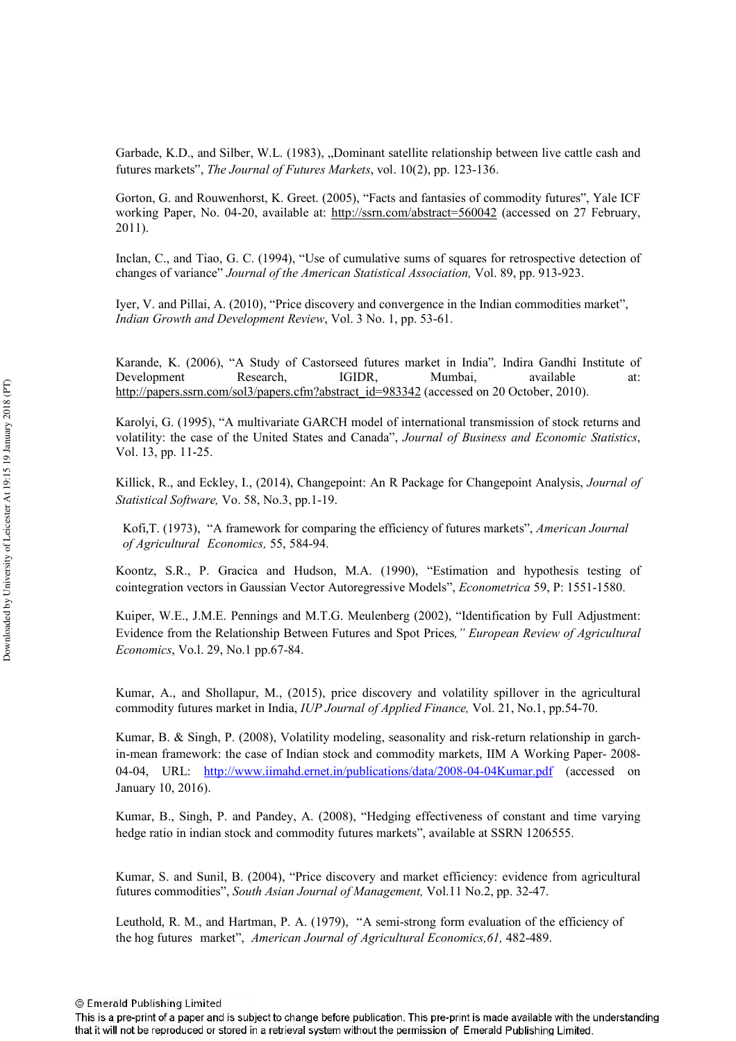Garbade, K.D., and Silber, W.L. (1983), "Dominant satellite relationship between live cattle cash and futures markets", *The Journal of Futures Markets*, vol. 10(2), pp. 123-136.

Gorton, G. and Rouwenhorst, K. Greet. (2005), "Facts and fantasies of commodity futures", Yale ICF working Paper, No. 04-20, available at: http://ssrn.com/abstract=560042 (accessed on 27 February, 2011).

Inclan, C., and Tiao, G. C. (1994), "Use of cumulative sums of squares for retrospective detection of changes of variance" *Journal of the American Statistical Association,* Vol. 89, pp. 913#923.

Iyer, V. and Pillai, A. (2010), "Price discovery and convergence in the Indian commodities market", *Indian Growth and Development Review*, Vol. 3 No. 1, pp. 53-61.

Karande, K. (2006), "A Study of Castorseed futures market in India"*,* Indira Gandhi Institute of Development Research, IGIDR, Mumbai, available at: http://papers.ssrn.com/sol3/papers.cfm?abstract\_id=983342 (accessed on 20 October, 2010).

Karolyi, G. (1995), "A multivariate GARCH model of international transmission of stock returns and volatility: the case of the United States and Canada", *Journal of Business and Economic Statistics*, Vol. 13, pp. 11-25.

Killick, R., and Eckley, I., (2014), Changepoint: An R Package for Changepoint Analysis, *Journal of Statistical Software, Vo.* 58, No.3, pp.1-19.

Kofi,T. (1973), "A framework for comparing the efficiency of futures markets", *American Journal of Agricultural Economics, 55, 584-94.* 

Koontz, S.R., P. Gracica and Hudson, M.A. (1990), "Estimation and hypothesis testing of cointegration vectors in Gaussian Vector Autoregressive Models", *Econometrica* 59, P: 1551-1580.

Kuiper, W.E., J.M.E. Pennings and M.T.G. Meulenberg (2002), "Identification by Full Adjustment: Evidence from the Relationship Between Futures and Spot Prices*," European Review of Agricultural Economics*, Vo.l. 29, No.1 pp.67-84.

Kumar, A., and Shollapur, M., (2015), price discovery and volatility spillover in the agricultural commodity futures market in India, *IUP Journal of Applied Finance*, Vol. 21, No.1, pp.54-70.

Kumar, B. & Singh, P. (2008), Volatility modeling, seasonality and risk-return relationship in garchin-mean framework: the case of Indian stock and commodity markets, IIM A Working Paper- 2008-04-04, URL: http://www.iimahd.ernet.in/publications/data/2008-04-04Kumar.pdf (accessed on January 10, 2016).

Kumar, B., Singh, P. and Pandey, A. (2008), "Hedging effectiveness of constant and time varying hedge ratio in indian stock and commodity futures markets", available at SSRN 1206555.

Kumar, S. and Sunil, B. (2004), "Price discovery and market efficiency: evidence from agricultural futures commodities", *South Asian Journal of Management*, Vol.11 No.2, pp. 32-47.

Leuthold, R. M., and Hartman, P. A. (1979), "A semi-strong form evaluation of the efficiency of the hog futures market", American Journal of Agricultural Economics, 61, 482-489.

This is a pre-print of a paper and is subject to change before publication. This pre-print is made available with the understanding that it will not be reproduced or stored in a retrieval system without the permission of Emerald Publishing Limited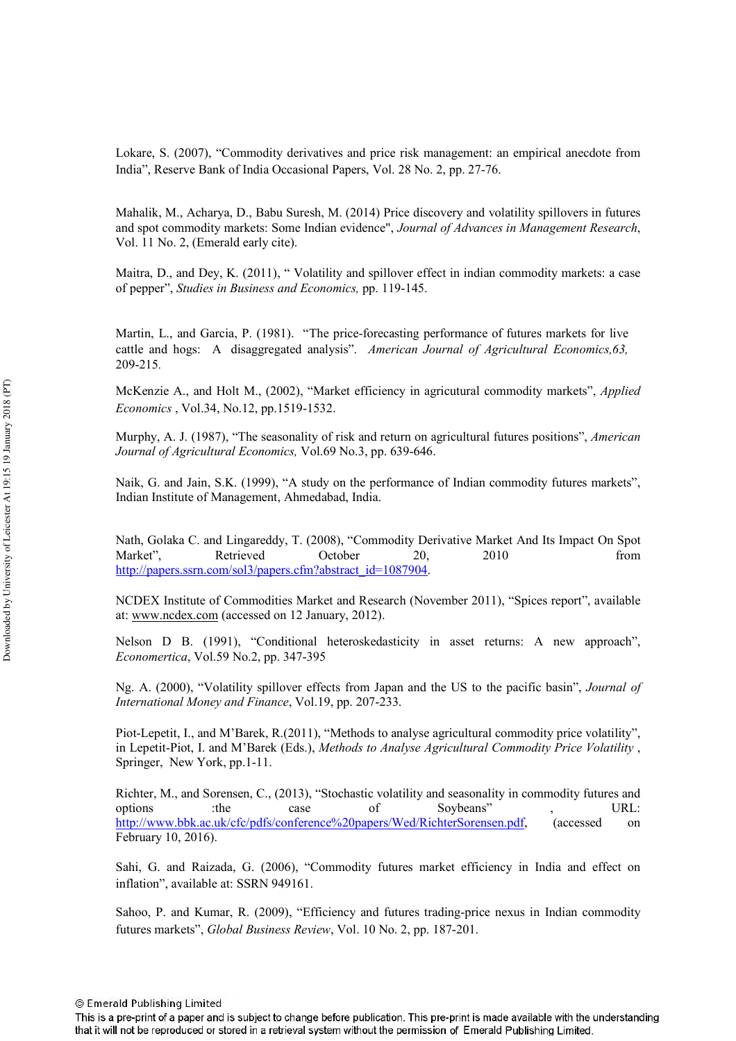Lokare, S. (2007), "Commodity derivatives and price risk management: an empirical anecdote from India", Reserve Bank of India Occasional Papers, Vol. 28 No. 2, pp. 27-76.

Mahalik, M., Acharya, D., Babu Suresh, M. (2014) Price discovery and volatility spillovers in futures and spot commodity markets: Some Indian evidence", *Journal of Advances in Management Research*, Vol. 11 No. 2, (Emerald early cite).

Maitra, D., and Dey, K. (2011), " Volatility and spillover effect in indian commodity markets: a case of pepper", *Studies in Business and Economics*, pp. 119-145.

Martin, L., and Garcia, P. (1981). "The price-forecasting performance of futures markets for live cattle and hogs: A disaggregated analysis". *American Journal of Agricultural Economics,63,*  209#215*.*

McKenzie A., and Holt M., (2002), "Market efficiency in agricutural commodity markets", *Applied Economics*, Vol.34, No.12, pp.1519-1532.

Murphy, A. J. (1987), "The seasonality of risk and return on agricultural futures positions", *American*  Journal of Agricultural Economics, Vol.69 No.3, pp. 639-646.

Naik, G. and Jain, S.K. (1999), "A study on the performance of Indian commodity futures markets", Indian Institute of Management, Ahmedabad, India.

Nath, Golaka C. and Lingareddy, T. (2008), "Commodity Derivative Market And Its Impact On Spot Market", Retrieved October 20, 2010 from http://papers.ssrn.com/sol3/papers.cfm?abstract\_id=1087904.

NCDEX Institute of Commodities Market and Research (November 2011), "Spices report", available at: www.ncdex.com (accessed on 12 January, 2012).

Nelson D B. (1991), "Conditional heteroskedasticity in asset returns: A new approach", *Economertica*, Vol.59 No.2, pp. 347-395

Ng. A. (2000), "Volatility spillover effects from Japan and the US to the pacific basin", *Journal of International Money and Finance*, Vol.19, pp. 207-233.

Piot-Lepetit, I., and M'Barek, R.(2011), "Methods to analyse agricultural commodity price volatility", in Lepetit-Piot, I. and M'Barek (Eds.), *Methods to Analyse Agricultural Commodity Price Volatility* , Springer, New York, pp.1-11.

Richter, M., and Sorensen, C., (2013), "Stochastic volatility and seasonality in commodity futures and options : the case of Soybeans", URL: http://www.bbk.ac.uk/cfc/pdfs/conference%20papers/Wed/RichterSorensen.pdf, (accessed on February 10, 2016).

Sahi, G. and Raizada, G. (2006), "Commodity futures market efficiency in India and effect on inflation", available at: SSRN 949161.

Sahoo, P. and Kumar, R. (2009), "Efficiency and futures trading-price nexus in Indian commodity futures markets", *Global Business Review*, Vol. 10 No. 2, pp. 187-201.

<sup>©</sup> Emerald Publishing Limited

This is a pre-print of a paper and is subject to change before publication. This pre-print is made available with the understanding that it will not be reproduced or stored in a retrieval system without the permission of Emerald Publishing Limited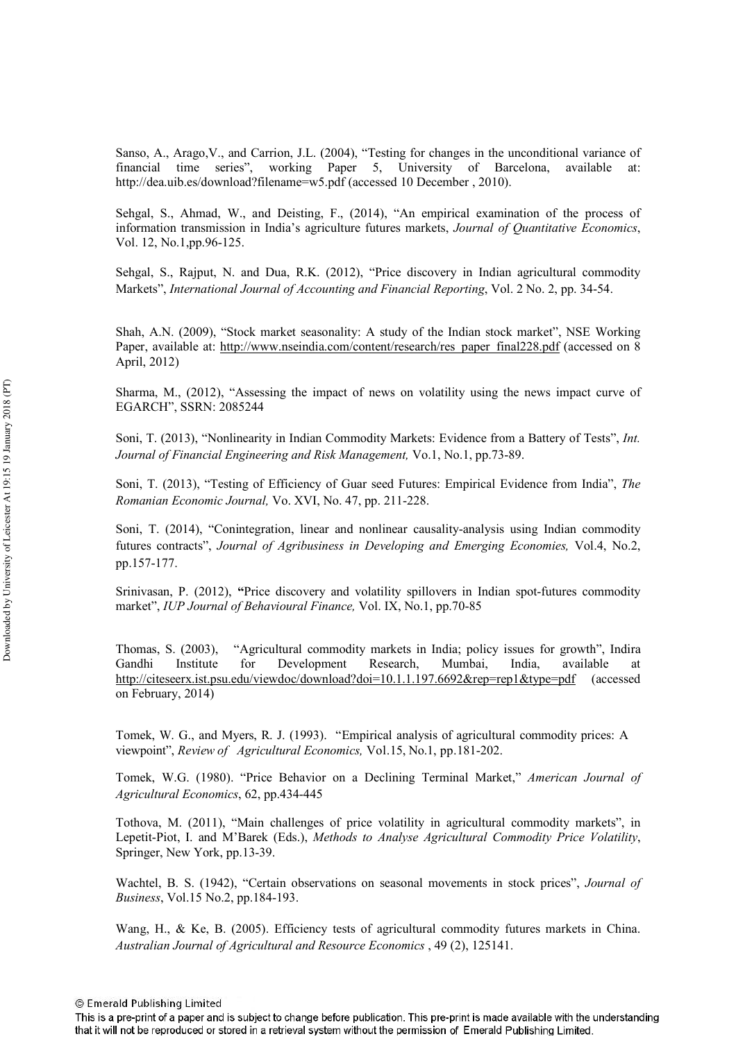Sanso, A., Arago,V., and Carrion, J.L. (2004), "Testing for changes in the unconditional variance of financial time series", working Paper 5, University of Barcelona, available at: http://dea.uib.es/download?filename=w5.pdf (accessed 10 December , 2010).

Sehgal, S., Ahmad, W., and Deisting, F., (2014), "An empirical examination of the process of information transmission in India's agriculture futures markets, *Journal of Quantitative Economics*, Vol. 12, No.1,pp.96-125.

Sehgal, S., Rajput, N. and Dua, R.K. (2012), "Price discovery in Indian agricultural commodity Markets", *International Journal of Accounting and Financial Reporting*, Vol. 2 No. 2, pp. 34-54.

Shah, A.N. (2009), "Stock market seasonality: A study of the Indian stock market", NSE Working Paper, available at: http://www.nseindia.com/content/research/res\_paper\_final228.pdf (accessed on 8 April, 2012)

Sharma, M., (2012), "Assessing the impact of news on volatility using the news impact curve of EGARCH", SSRN: 2085244

Soni, T. (2013), "Nonlinearity in Indian Commodity Markets: Evidence from a Battery of Tests", *Int. Journal of Financial Engineering and Risk Management, Vo.1, No.1, pp.73-89.* 

Soni, T. (2013), "Testing of Efficiency of Guar seed Futures: Empirical Evidence from India", *The Romanian Economic Journal, Vo. XVI, No. 47, pp. 211-228.* 

Soni, T. (2014), "Conintegration, linear and nonlinear causality-analysis using Indian commodity futures contracts", *Journal of Agribusiness in Developing and Emerging Economies,* Vol.4, No.2, pp.157-177.

Srinivasan, P. (2012), "Price discovery and volatility spillovers in Indian spot-futures commodity market", *IUP Journal of Behavioural Finance*, Vol. IX, No.1, pp.70-85

Thomas, S. (2003), "Agricultural commodity markets in India; policy issues for growth", Indira Gandhi Institute for Development Research, Mumbai, India, available at http://citeseerx.ist.psu.edu/viewdoc/download?doi=10.1.1.197.6692&rep=rep1&type=pdf (accessed on February, 2014)

Tomek, W. G., and Myers, R. J. (1993). "Empirical analysis of agricultural commodity prices: A viewpoint", *Review of Agricultural Economics*, Vol.15, No.1, pp.181-202.

Tomek, W.G. (1980). "Price Behavior on a Declining Terminal Market," *American Journal of Agricultural Economics*, 62, pp.434-445

Tothova, M. (2011), "Main challenges of price volatility in agricultural commodity markets", in Lepetit-Piot, I. and M'Barek (Eds.), *Methods to Analyse Agricultural Commodity Price Volatility*, Springer, New York, pp.13-39.

Wachtel, B. S. (1942), "Certain observations on seasonal movements in stock prices", *Journal of Business*, Vol.15 No.2, pp.184-193.

Wang, H., & Ke, B. (2005). Efficiency tests of agricultural commodity futures markets in China. *Australian Journal of Agricultural and Resource Economics* , 49 (2), 125141.

This is a pre-print of a paper and is subject to change before publication. This pre-print is made available with the understanding that it will not be reproduced or stored in a retrieval system without the permission of Emerald Publishing Limited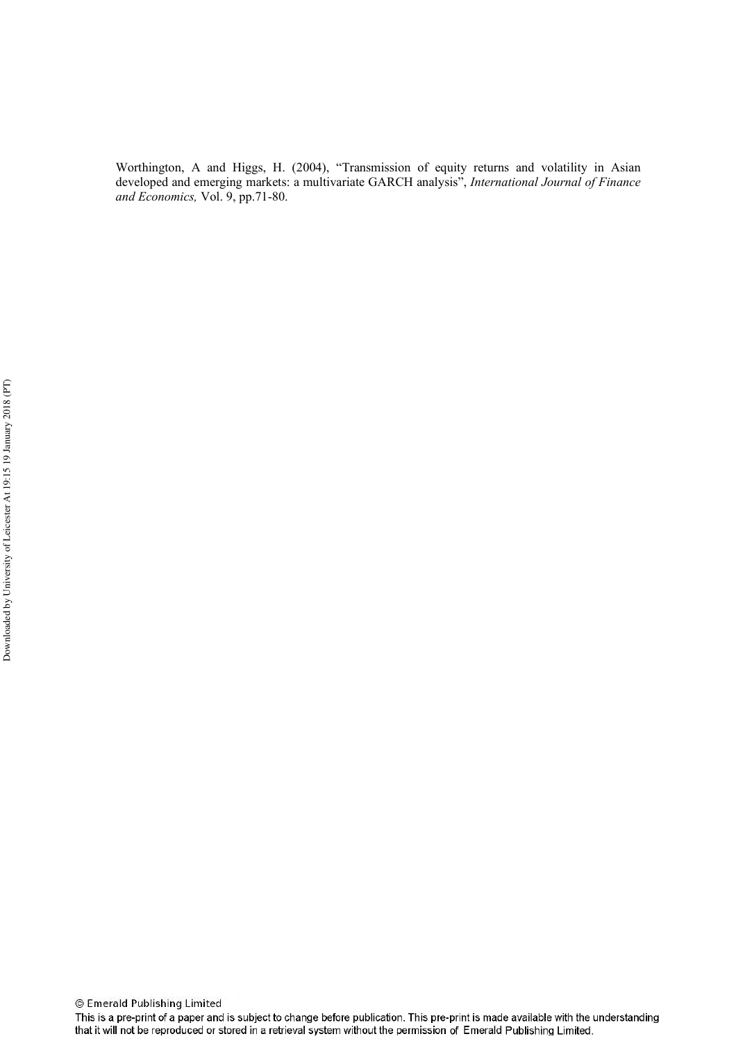Worthington, A and Higgs, H. (2004), "Transmission of equity returns and volatility in Asian developed and emerging markets: a multivariate GARCH analysis", *International Journal of Finance*  and Economics, Vol. 9, pp.71-80.

<sup>©</sup> Emerald Publishing Limited

This is a pre-print of a paper and is subject to change before publication. This pre-print is made available with the understanding that it will not be reproduced or stored in a retrieval system without the permission of Emerald Publishing Limited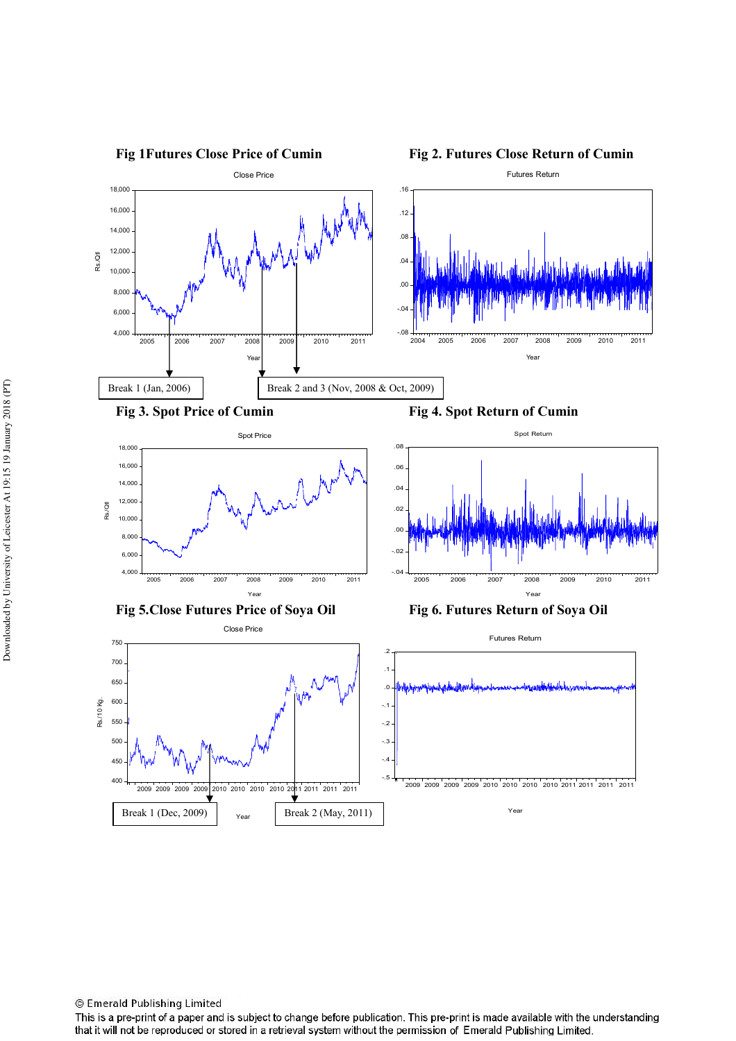

This is a pre-print of a paper and is subject to change before publication. This pre-print is made available with the understanding that it will not be reproduced or stored in a retrieval system without the permission of Emerald Publishing Limited.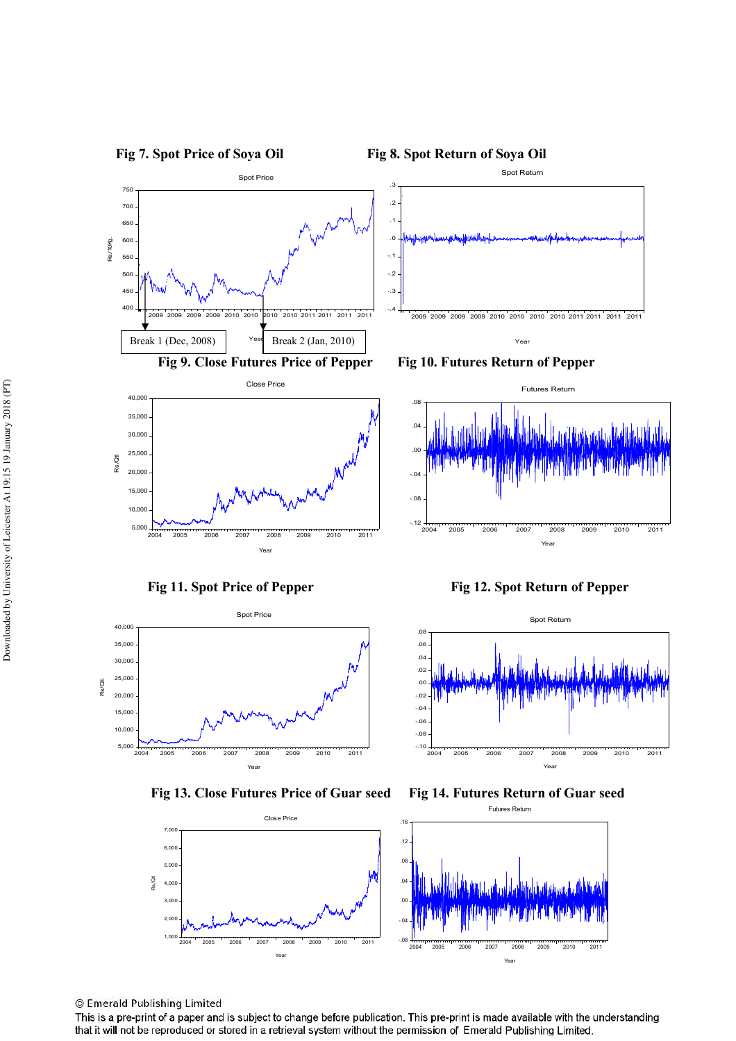







2004 2005 2006 2007 2008 2009

Year



 $-10 +$  $-08$  $-06$  $-04$ 

© Emerald Publishing Limited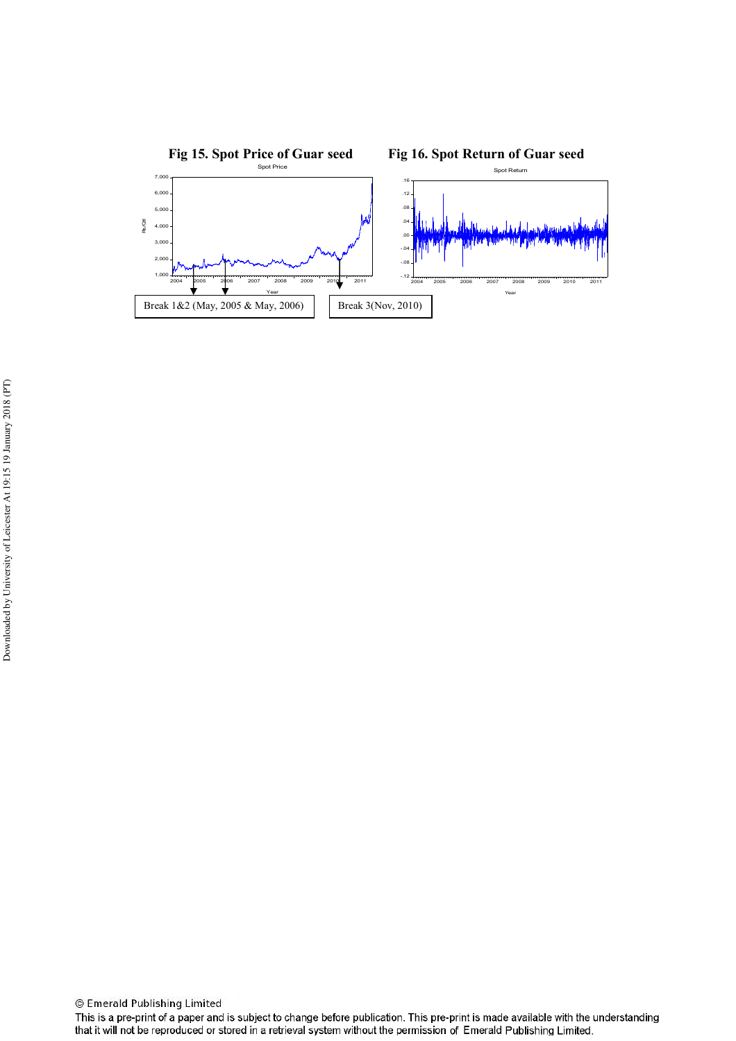

This is a pre-print of a paper and is subject to change before publication. This pre-print is made available with the understanding that it will not be reproduced or stored in a retrieval system without the permission of Emerald Publishing Limited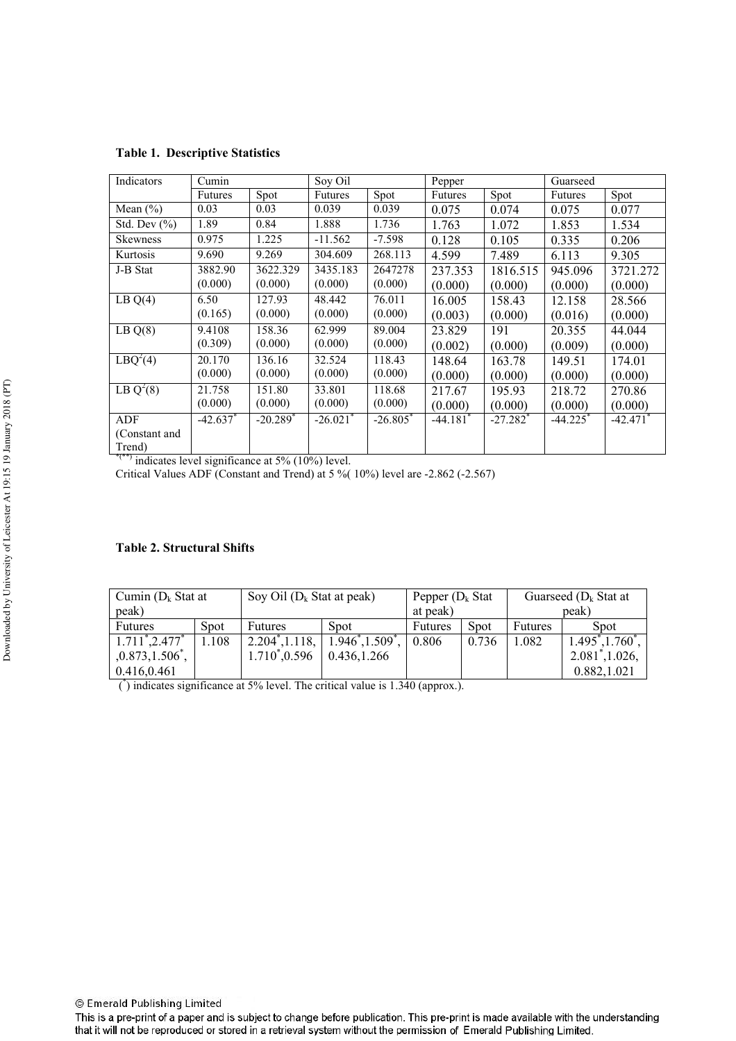|  | <b>Table 1. Descriptive Statistics</b> |  |
|--|----------------------------------------|--|
|--|----------------------------------------|--|

| Indicators            | Cumin                  |                        | Sov Oil                |                        | Pepper    |                        | Guarseed  |           |
|-----------------------|------------------------|------------------------|------------------------|------------------------|-----------|------------------------|-----------|-----------|
|                       | Futures                | Spot                   | Futures                | Spot                   | Futures   | Spot                   | Futures   | Spot      |
| Mean $(\% )$          | 0.03                   | 0.03                   | 0.039                  | 0.039                  | 0.075     | 0.074                  | 0.075     | 0.077     |
| Std. Dev $(\% )$      | 1.89                   | 0.84                   | 1.888                  | 1.736                  | 1.763     | 1.072                  | 1.853     | 1.534     |
| <b>Skewness</b>       | 0.975                  | 1.225                  | $-11.562$              | $-7.598$               | 0.128     | 0.105                  | 0.335     | 0.206     |
| Kurtosis              | 9.690                  | 9.269                  | 304.609                | 268.113                | 4.599     | 7.489                  | 6.113     | 9.305     |
| J-B Stat              | 3882.90                | 3622.329               | 3435.183               | 2647278                | 237.353   | 1816.515               | 945.096   | 3721.272  |
|                       | (0.000)                | (0.000)                | (0.000)                | (0.000)                | (0.000)   | (0.000)                | (0.000)   | (0.000)   |
| LBQ(4)                | 6.50                   | 127.93                 | 48.442                 | 76.011                 | 16.005    | 158.43                 | 12.158    | 28.566    |
|                       | (0.165)                | (0.000)                | (0.000)                | (0.000)                | (0.003)   | (0.000)                | (0.016)   | (0.000)   |
| LBQ(8)                | 9.4108                 | 158.36                 | 62.999                 | 89.004                 | 23.829    | 191                    | 20.355    | 44.044    |
|                       | (0.309)                | (0.000)                | (0.000)                | (0.000)                | (0.002)   | (0.000)                | (0.009)   | (0.000)   |
| L BQ <sup>2</sup> (4) | 20.170                 | 136.16                 | 32.524                 | 118.43                 | 148.64    | 163.78                 | 149.51    | 174.01    |
|                       | (0.000)                | (0.000)                | (0.000)                | (0.000)                | (0.000)   | (0.000)                | (0.000)   | (0.000)   |
| LB $Q^2(8)$           | 21.758                 | 151.80                 | 33.801                 | 118.68                 | 217.67    | 195.93                 | 218.72    | 270.86    |
|                       | (0.000)                | (0.000)                | (0.000)                | (0.000)                | (0.000)   | (0.000)                | (0.000)   | (0.000)   |
| ADF                   | $-42.637$ <sup>*</sup> | $-20.289$ <sup>*</sup> | $-26.021$ <sup>*</sup> | $-26.805$ <sup>*</sup> | $-44.181$ | $-27.282$ <sup>*</sup> | $-44.225$ | $-42.471$ |
| (Constant and         |                        |                        |                        |                        |           |                        |           |           |
| Trend)                |                        |                        |                        |                        |           |                        |           |           |

\*(\*\*) indicates level significance at 5% (10%) level.

Critical Values ADF (Constant and Trend) at  $5\%$  (10%) level are -2.862 (-2.567)

#### Table 2. Structural Shifts

| Cumin $(D_k$ Stat at           |             | Soy Oil $(D_k$ Stat at peak) |                                    | Pepper $(D_k$ Stat |       |                | Guarseed $(D_k$ Stat at   |
|--------------------------------|-------------|------------------------------|------------------------------------|--------------------|-------|----------------|---------------------------|
| peak)                          |             |                              |                                    | at peak)           |       |                | peak)                     |
| <b>Futures</b>                 | <b>Spot</b> | <b>Futures</b>               | <b>Spot</b>                        | <b>Futures</b>     | Spot  | <b>Futures</b> | <b>Spot</b>               |
| $1.711^*$ , 2.477 <sup>*</sup> | 1.108       | $2.204$ , 1.118,             | $1.946^{\degree}, 1.509^{\degree}$ | 0.806              | 0.736 | 1.082          | $1.495$ , $1.760$         |
| $,0.873,1.506^*$ ,             |             | $1.710^{\ast}.0.596$         | 0.436, 1.266                       |                    |       |                | $2.081^{\degree}, 1.026,$ |
| 0.416,0.461                    |             |                              |                                    |                    |       |                | 0.882, 1.021              |

(\* ) indicates significance at 5% level. The critical value is 1.340 (approx.).

© Emerald Publishing Limited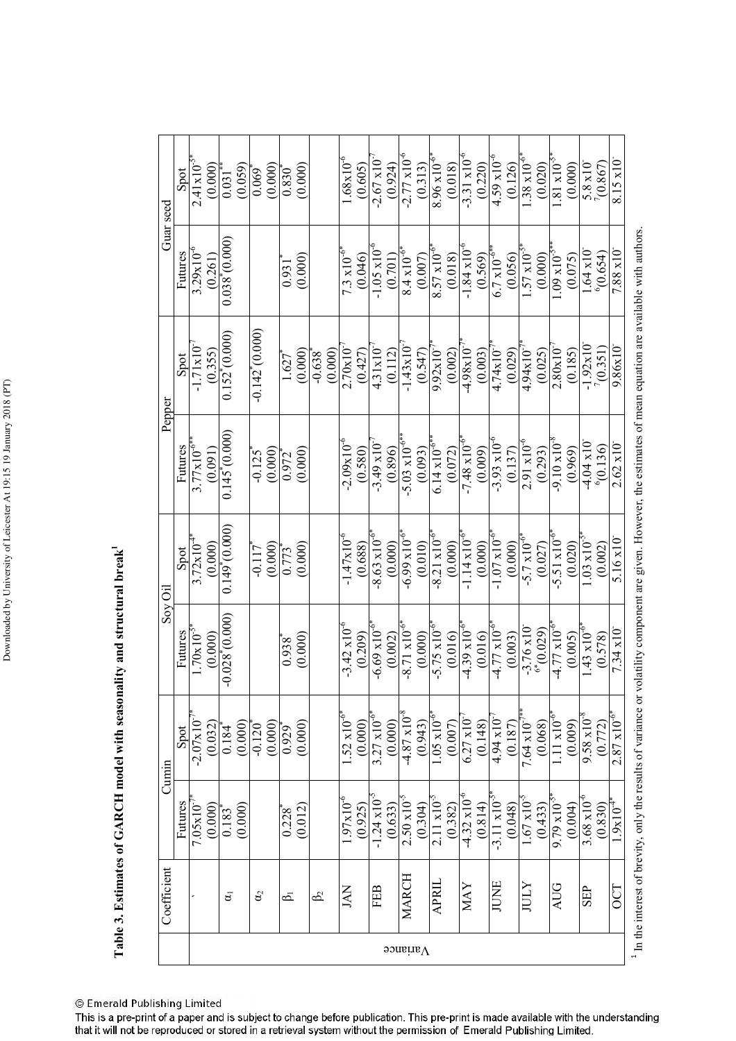|                                                                                                   |         | Spot | $2.41 \times 10^{-5}$<br>(0.000)  | (0.059)<br>$0.031***$         | (0.000)<br>$0.069$ <sup>*</sup>  | $\frac{1}{0.830}$      | (0.000) |                                  | $1.68 \times 10^{-6}$  | (0.605) | $-2.67 \times 10^{-7}$ | (0.924)          | $-2.77 \times 10^{-6}$ | (0.313) | $8.96 \times 10^{-6}$  | (0.018) | $-3.31 \times 10^{-6}$ | (0.220) | $4.59 \times 10^{-6}$  | (0.126) | $1.38 \times 10^{-6}$  | (0.020)     | $1.81 \times 10^{-5}$  | (0.000) | $^{7}_{6}$ (0.867)     |               | 8.15 x10              |
|---------------------------------------------------------------------------------------------------|---------|------|-----------------------------------|-------------------------------|----------------------------------|------------------------|---------|----------------------------------|------------------------|---------|------------------------|------------------|------------------------|---------|------------------------|---------|------------------------|---------|------------------------|---------|------------------------|-------------|------------------------|---------|------------------------|---------------|-----------------------|
| Guar seed                                                                                         | Futures |      | $3.29 \times 10^{-6}$<br>(0.261)  | $(0.0000)_*850.0$             |                                  | $\overline{0.931}^{*}$ | (0.000) |                                  | 7.3 $\times 10^{-6*}$  | (0.046) | $-1.05 \times 10^{-6}$ | (0.701)          | $8.4 \times 10^{-6}$   | (0.007) | $8.57 \times 10^{-6}$  | (0.018) | $-1.84 \times 10^{-6}$ | (0.569) | $6.7 \times 10^{-6}$   | (0.056) | $1.57 \times 10^{-5}$  | (0.000)     | $1.09 \times 10^{-5}$  | (0.075) | $.64 \times 10$        | (60.654)      | 7.88 x10              |
|                                                                                                   |         | Spot | $-1.71x10$<br>(0.355)             | $0.152^{*}(0.000)$            | $-0.142$ <sup>*</sup> $(0.000)$  | $1.627$ <sup>*</sup>   | (0.000) | (0.000)<br>$-0.638$ <sup>*</sup> | $2.70x10^{-7}$         | (0.427) | $4.31 \times 10^{-7}$  | (0.112)          | $-1.43 \times 10^{-7}$ | (0.547) | $9.92x10^{-7}$         | (0.002) | $-4.98 \times 10^{-7}$ | (0.003) | $4.74x10^{-7}$         | (0.029) | $4.94x10^{-7}$         | (0.025)     | $2.80x10^{-7}$         | (0.185) | $-1.92x10$             | 7(0.351)      | 9.86x10               |
| Pepper                                                                                            | Futures |      | $3.77 \times 10^{-6*}$<br>(0.091) | $0.145^{*}(0.000)$            | (0.000)<br>$-0.125$ <sup>*</sup> | $0.972$ <sup>*</sup>   | (0.000) |                                  | $-2.09x10^{-6}$        | (0.580) | $-3.49 \times 10^{-7}$ | (0.896)          | 5.03 $\times 10^{-6}$  | (0.093) | $6.14 \times 10^{-6}$  | (0.072) | $-7.48 \times 10^{-6}$ | (0.009) | $-3.93 \times 10^{-6}$ | (0.137) | $2.91 \times 10^{-6}$  | (0.293)     | $-9.10 \times 10^{-8}$ | (0.969) | $-4.04 \times 10^{-7}$ | $^{6}(0.136)$ | $2.62 \times 10^{-7}$ |
|                                                                                                   | Spot    |      | $3.72 \times 10^{-4}$<br>(0.000)  | $(0.0000)$ <sub>,</sub> 671'0 | (0.000)<br>$-0.117$ <sup>*</sup> | 0.773                  | (0.000) |                                  | $-1.47x10^{-6}$        | (0.688) | $-8.63 \times 10^{-6}$ | (0.000)          | $-6.99 \times 10^{-6}$ | (0.010) | $-8.21 \times 10^{-6}$ | (0.000) | $-1.14 \times 10^{-6}$ | (0.000) | $-1.07 \times 10^{-6}$ | (0.000) | $-5.7 \times 10^{-6}$  | (0.027)     | $-5.51 \times 10^{-6}$ | (0.020) | $1.03 \times 10^{-5}$  | (0.002)       | 5.16 x10              |
| Table 3. Estimates of GARCH model with seasonality and structural break <sup>1</sup><br>$Sov$ Oil | Futures |      | $1.70x10^{-5}$<br>(0.000)         | $(0.0000)_*$ 870.0-           |                                  | $0.938^{*}$            | (0.000) |                                  | $-3.42 \times 10^{-6}$ | (0.209) | $-6.69 \times 10^{-6}$ | (0.002)          | $-8.71 \times 10^{-6}$ | (0.000) | $-5.75 \times 10^{-6}$ | (0.016) | $-4.39 \times 10^{-6}$ | (0.016) | $-4.77 \times 10^{-6}$ | (0.003) | $-3.76 \times 10^{-7}$ | $6*(0.029)$ | $4.77 \times 10^{-6}$  | (0.005) | $1.43 \times 10^{-6}$  | (0.578)       | 7.34 x10              |
| Cumin                                                                                             | Spot    |      | $-2.07x10$<br>(0.032)             | (0.000)<br>0.184              | (0.000)<br>$-0.120$ <sup>*</sup> | $\frac{1}{0.929}$      | (0.000) |                                  | $1.52 \times 10^{-6}$  | (0.000) | $3.27 \times 10^{-6}$  | (0.000)          | $-4.87 \times 10^{-8}$ | (0.943) | $1.05 \times 10^{-6}$  | (0.007) | $6.27 \times 10^{-7}$  | (0.148) | 4.94 x 10              | (0.187) | 7.64 $\times 10^{-7}$  | (0.068)     | $1.11 \times 10^{-6}$  | (0.009) | $9.58 \times 10^{-8}$  | (0.772)       | $2.87 \times 10^{-6}$ |
|                                                                                                   | Futures |      | $7.05x10^{-7}$<br>(0.000)         | (0.000)<br>$0.183*$           |                                  | $0.228^{*}$            | (0.012) |                                  | $1.97x10^{-6}$         | (0.925) | $-1.24 \times 10^{-5}$ | (0.633)          | $2.50 \times 10^{-5}$  | (0.304) | $2.11 \times 10^{-5}$  | (0.382) | $-4.32 \times 10^{-6}$ | (0.814) | $-3.11 \times 10^{-5}$ | (0.048) | $1.67 \times 10^{-5}$  | (0.433)     | $9.79 \times 10^{-5}$  | (0.004) | $3.68 \times 10^{-6}$  | (0.830)       | $1.9x10^{-4}$         |
| Coefficient                                                                                       |         |      |                                   | $\overline{d}$                | $\alpha_2$                       | ති                     |         | 2                                | KN                     |         | <b>FEB</b>             |                  | MARCH                  |         | <b>TIHAV</b>           |         | <b>NAY</b>             |         | <b>JUNE</b>            |         | JULY                   |             | <b>AUG</b>             |         | <b>SEP</b>             |               | OCT                   |
|                                                                                                   |         |      |                                   |                               |                                  |                        |         |                                  |                        |         |                        | $\Delta$ ariance |                        |         |                        |         |                        |         |                        |         |                        |             |                        |         |                        |               |                       |

<sup>1</sup> In the interest of brevity, only the results of variance or volatility component are given. However, the estimates of mean equation are available with authors. In the interest of brevity, only the results of variance or volatility component are given. However, the estimates of mean equation are available with authors.

© Emerald Publishing Limited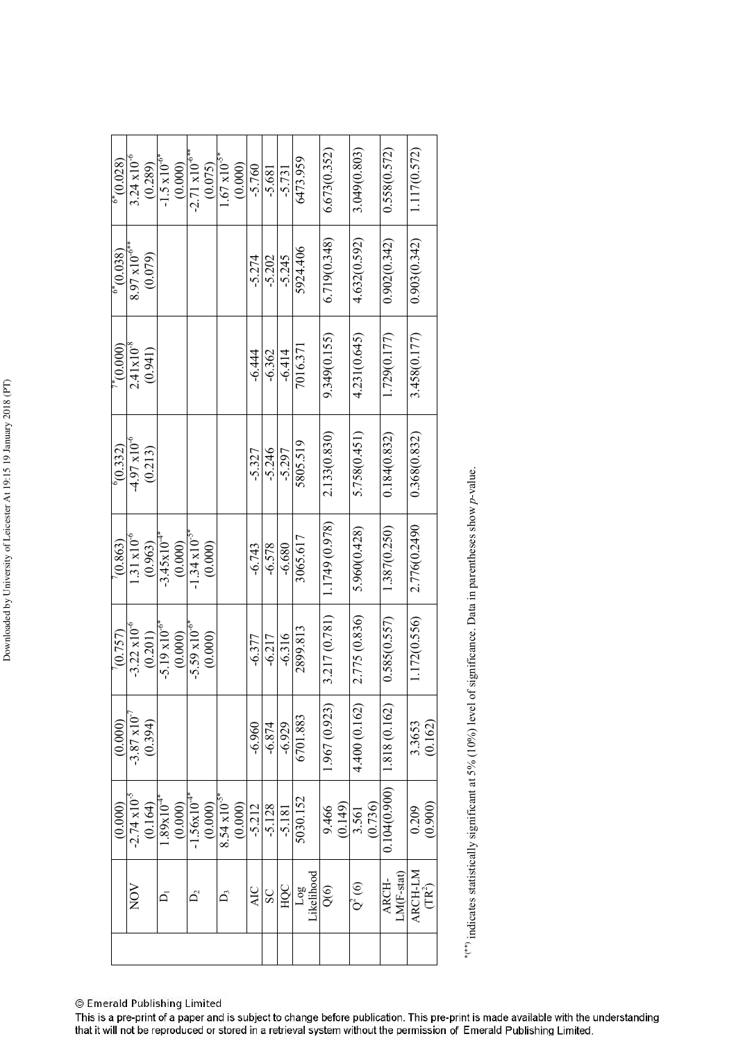Downloaded by University of Leicester At 19:15 19 January 2018 (PT) Downloaded by University of Leicester At 19:15 19 January 2018 (PT)

| $6*_{(0.028)}$ | $3.24 \times 10^{-6}$  | (0.289) | $-1.5 \times 10^{-6}$  | (0.000) | $-2.71 \times 10^{-6}$ | (0.075) | $1.67 \times 10^{-5}$ | (0.000) | $-5.760$   | $-5.681$  | -5.731   | 6473.959 |            | 6.673(0.352)       | 3.049(0.803)  |         | 0.558(0.572)          | 1.117(0.572)                           |  |
|----------------|------------------------|---------|------------------------|---------|------------------------|---------|-----------------------|---------|------------|-----------|----------|----------|------------|--------------------|---------------|---------|-----------------------|----------------------------------------|--|
| $6* (0.038)$   | $8.97 \times 10^{-6}$  | (0.079) |                        |         |                        |         |                       |         | $-5.274$   | $-5.202$  | $-5.245$ | 5924.406 |            | 6.719(0.348)       | 4.632(0.592)  |         | 0.902(0.342)          | 0.903(0.342)                           |  |
| (0.000)        | $2.41 \times 10^{-8}$  | (0.941) |                        |         |                        |         |                       |         | -6.44      | $-6.362$  | $-6.414$ | 7016.371 |            | 9.349(0.155)       | 4.231(0.645)  |         | 1.729(0.177)          | 3.458(0.177)                           |  |
| $^{6}(0.332)$  | $-4.97 \times 10^{-6}$ | (0.213) |                        |         |                        |         |                       |         | -5327      | $-5.246$  | -5.297   | 5805.519 |            | 2.133(0.830)       | 5.758(0.451)  |         | 0.184(0.832)          | 0.368(0.832)                           |  |
| (0.863)        | $1.31 \times 10^{-6}$  | (0.963) | $-3.45 \times 10^{-4}$ | (0.000) | $-1.34 \times 10^{-5}$ | (0.000) |                       |         | $-6.743$   | $-6.578$  | $-6.680$ | 3065.617 |            | 1.1749 (0.978)     | 5.960(0.428)  |         | 1.387(0.250)          | 2.776(0.2490                           |  |
| (0.757)        | $-3.22 \times 10^{-6}$ | (0.201) | $-5.19 \times 10^{-6}$ | (0.000) | $-5.59 \times 10^{-6}$ | (0.000) |                       |         | $-6.377$   | $-6.217$  | $-6.316$ | 2899.813 |            | 3.217 (0.781)      | 2.775 (0.836) |         | 0.585(0.557)          | 1.172(0.556)                           |  |
| (0.000)        | $-3.87 \times 10^{-7}$ | (0.394) |                        |         |                        |         |                       |         | $-6.960$   | $-6.874$  | $-6.929$ | 6701.883 |            | 1.967(0.923)       | 4.400(0.162)  |         | 1.818(0.162)          | 3.3653<br>(0.162)                      |  |
| (0.000)        | $-2.74 \times 10^{-5}$ | (0.164) | $1.89x10^{4}$          | (0.000) | $-1.56x10^{-4*}$       | (0.000) | $8.54 \times 10^{-5}$ | (0.000) | $-5.212$   | $-5.128$  | $-5.181$ | 5030.152 |            | (0.149)<br>9.466   | 3.561         | (0.736) | 0.104(0.900)          | (0.900)<br>0.209                       |  |
|                | $\sum_{i=1}^{n}$       |         | á                      |         | $\mathsf{D}_2$         |         | $\vec{D}_i$           |         | <b>AIC</b> | <b>SC</b> | HQC      | Log      | Likelihood | $\widetilde{Q(6)}$ | $Q^2(6)$      |         | $LM(F-stat)$<br>ARCH- | $\frac{\text{ARCH-LM}}{(\text{TR}^2)}$ |  |
|                |                        |         |                        |         |                        |         |                       |         |            |           |          |          |            |                    |               |         |                       |                                        |  |

\*(\*\*) indicates statistically significant at 5% (10%) level of significance. Data in parentheses show *-*\*(\*\*) indicates statistically significant at 5% (10%) level of significance. Data in parentheses show p-value.

© Emerald Publishing Limited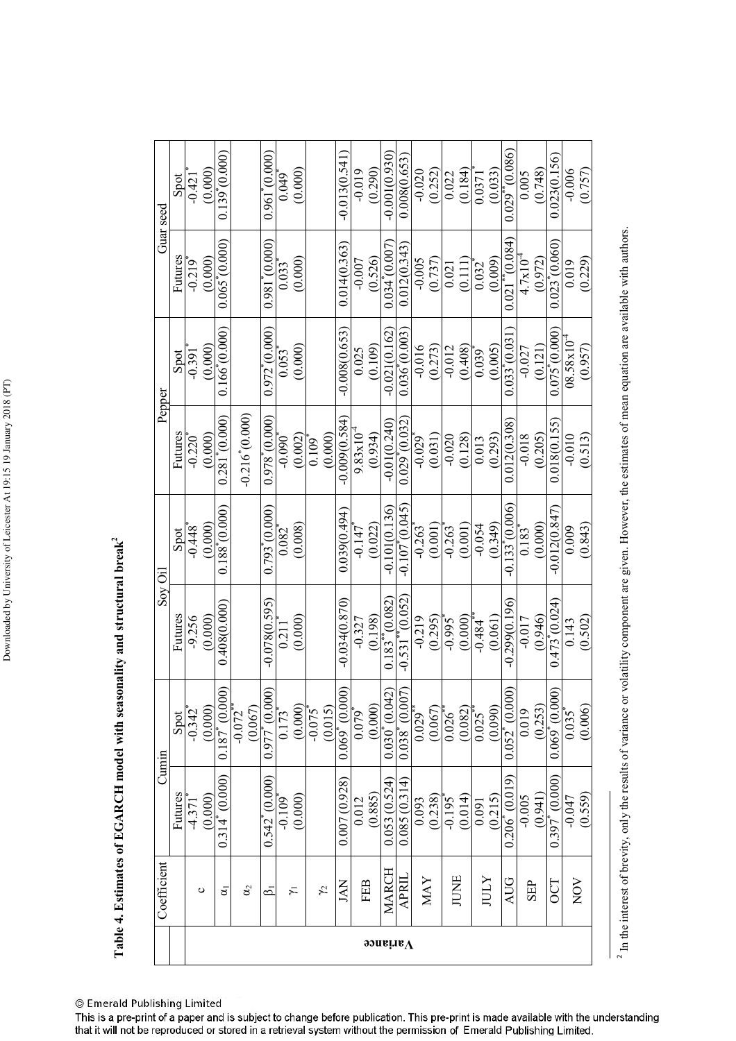$Table 4.$  Es **timates** of EGARCH model wi **) 83 -\$**  $\text{tructural break}^2$ 

| Coefficient |         |          | ပ       | $\bar{\mathcal{S}}$      | $\mathcal{S}$                     | <u>යි</u>            | $\bar{z}$                        | $\mathcal{E}$                    | JAN             | FEB                   |         | MARCH                   | APRII<br>$\mathfrak{g}$ anging $\Lambda$ |                         | $\ensuremath{\text{MAN}}$ |                       | <b>JUNE</b> |                      | <b>IULY</b> | <b>AUG</b>                    | <b>SEP</b>           |         | <b>DCT</b>       |                      | NON     |
|-------------|---------|----------|---------|--------------------------|-----------------------------------|----------------------|----------------------------------|----------------------------------|-----------------|-----------------------|---------|-------------------------|------------------------------------------|-------------------------|---------------------------|-----------------------|-------------|----------------------|-------------|-------------------------------|----------------------|---------|------------------|----------------------|---------|
|             |         |          |         |                          |                                   |                      |                                  |                                  |                 |                       |         |                         |                                          |                         |                           |                       |             |                      |             |                               |                      |         |                  |                      |         |
|             | Futures | $-4.371$ | (0.000) | $0.314 \degree (0.000)$  |                                   | $0.542^* (0.000)$    | (0.000)<br>$-0.109$ <sup>*</sup> |                                  | 0.007(0.928)    | 0.012                 | (0.885) | 0.053(0.524)            | 0.085(0.314)                             | <b>£60:0</b>            | (0.238)                   | $-0.195$ <sup>*</sup> | (0.014)     | 0.091                | (0.215)     | $\overline{0.206}^{*}(0.019)$ | $-0.005$             | (0.941) | $0.397$ (0.000)  | $-0.047$             | (0.559) |
| Cumin       | Spot    | $-0.342$ | (0.000) | $0.187^{\degree} (0.000$ | $-0.072$ <sup>**</sup><br>(0.067) | $0.977^{*}$ (0.000   | (0.000)<br>0.173                 | (0.015)<br>$-0.075$ <sup>*</sup> | 0.069700000     | $0.079$ <sup>*</sup>  | (0.000) | $0.030*(0.042$          | $0.038^{\circ}$ (0.007                   | $\overline{0.029}^{**}$ | (0.067)                   | $0.026^{**}$          | (0.082)     | 0.025                | (0.090)     | $\overline{0.052}^{*}$ (0.000 | 0.019                | (0.253) | $0.069$ $(0.000$ | $0.035$ <sup>*</sup> | (0.006) |
| Soy Oil     | Futures | -9.256   | (0.000) | 0.408(0.0000)            |                                   | $-0.078(0.595$       | (0.000)<br>0.211                 |                                  | $-0.034(0.870)$ | $-0.327$              | (6198)  | $0.183$ $(0.082)$       | $-0.531$ $(0.052$                        | $-0.219$                | (0.295)                   | $-0.995$ <sup>*</sup> | (0.000)     | $-0.484$             | (0.061)     | $-0.299(0.196)$               | $-0.017$             | (0.946) | 0.473(0.024)     | 0.143                | (0.502) |
|             | Spot    | $-0.448$ | (0.000) | $0.188\  \  0.000$       |                                   | 0.793 (0.000)        | (0.008)<br>0.082                 |                                  | 0.039(0.494)    | $-0.147$              | (0.022) | $-0.101(0.136)$         | $-0.107,00.045$                          | $-0.263$                | (0.001)                   | $-0.263$              | (0.001)     | $-0.054$             | (0.349)     | $-0.133(0.006)$               | $0.183$ <sup>*</sup> | (0.000) | $-0.012(0.847)$  | 0.009                | (0.843) |
| Pepper      | Futures | $-0.220$ | (0.000) | 0.281(0.000)             | $-0.216(0.000)$                   | 0.978 (0.000         | (0.002)<br>$-0.090$ <sup>*</sup> | (0.000)<br>$0.109$ <sup>*</sup>  | $-0.00900.584$  | $9.83 \times 10^{-7}$ | (0.934) | $-0.01(0.240)$          | $0.029\ 00.032$                          | $-0.029$                | (0.031)                   | $-0.020$              | (0.128)     | 0.013                | (0.293)     | 0.012(0.308)                  | $-0.018$             | (0.205) | 0.018(0.155)     | $-0.010$             | (0.513) |
|             | Spot    | $-0.391$ | (0.000) | 0.166(0.000)             |                                   | 0.972(0.000)         | (0.000)<br>0.053                 |                                  | $-0.008(0.653)$ | 0.025                 | (0.109) | $-0.021(0.162)$         | $0.036\ 00.003$                          | $-0.016$                | (0.273)                   | $-0.012$              | (0.408)     | $0.039$ <sup>*</sup> | (0.005)     | 0.033(0.031)                  | $-0.027$             | (0.121) | 0.075(0.000      | $08.58\times10^{-7}$ | (0.957) |
| Guar seed   | Futures | $-0.219$ | (0.000) | 0.065(0.000)             |                                   | $0.981\degree 0.000$ | (0.000)<br>0.033                 |                                  | 0.014(0.363)    | $-0.007$              | (0.526) | $0.034^{\circ} (0.007)$ | 0.012(0.343)                             | $-0.005$                | (0.737)                   | 0.021                 | (0.111)     | $0.032$ <sup>*</sup> | (0.009)     | $0.021^{**} (0.084)$          | $4.7x10^{-4}$        | (0.972) | 0.023(0.060)     | 0.019                | (0.229) |
|             | Spot    | $-0.421$ | (0.000) | $0.139\ [0.000]$         |                                   | 0.961(0.000)         | (0.000)<br>0.049                 |                                  | $-0.013(0.541)$ | $-0.019$              | (0.290) | $-0.001(0.930)$         | 0.008(0.653                              | $-0.020$                | (0.252)                   | 0.022                 | (0.184)     | 0.0371               | (0.033)     | $0.029$ $(0.086)$             | 0.005                | (0.748) | 0.023(0.156)     | $-0.006$             | (0.757) |

<sup>2</sup> In the interest of brevity, only the results of variance or volatility component are given. However, the estimates of mean equation are available with authors. In the interest of brevity, only the results of variance or volatility component are given. However, the estimates of mean equation are available with authors.

© Emerald Publishing Limited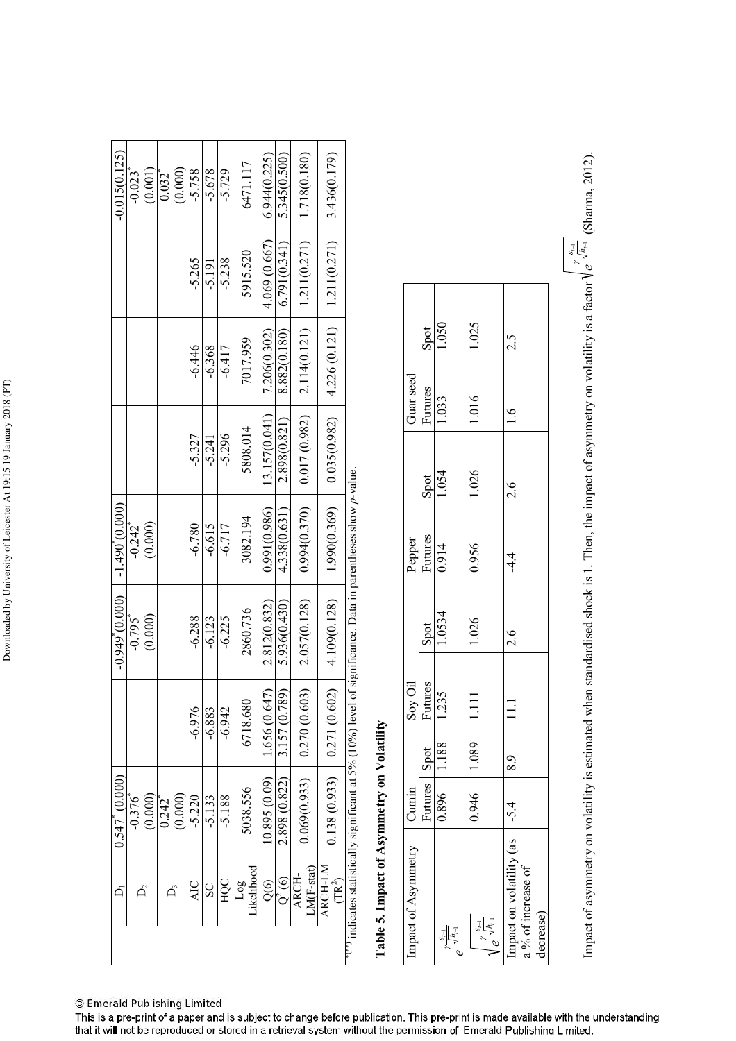| l<br>l                |
|-----------------------|
|                       |
| i                     |
|                       |
| ۱<br>Ï<br>í<br>i      |
| ţ<br>í                |
|                       |
| í                     |
| l                     |
|                       |
| I<br>ı                |
| l<br>١<br>ı<br>١      |
| ı                     |
| I<br>i<br>ı<br>ì<br>ı |
| l<br>l<br>I           |
| ۱<br>l                |
|                       |
|                       |
|                       |
| ĺ<br>I                |

|                            | $0.547$ (0.000)                     |               | $-0.949$ <sup>*</sup> $(0.000)$                                                                               | $-1.490(0.000)$       |               |                               |               | $-0.015(0.125)$       |
|----------------------------|-------------------------------------|---------------|---------------------------------------------------------------------------------------------------------------|-----------------------|---------------|-------------------------------|---------------|-----------------------|
|                            | $-0.376$ <sup>*</sup>               |               | $-0.795$ *                                                                                                    | $-0.242$ <sup>*</sup> |               |                               |               | $-0.023$ <sup>*</sup> |
|                            | (0.000)                             |               | (0.000)                                                                                                       | (0.000)               |               |                               |               | (0.001)               |
|                            | 0.242                               |               |                                                                                                               |                       |               |                               |               | $0.032$ <sup>*</sup>  |
|                            | (0.000)                             |               |                                                                                                               |                       |               |                               |               | (0.000)               |
| <b>AIC</b>                 | $-5.220$                            | $-6.976$      | $-6.288$                                                                                                      | $-6.780$              | $-5.327$      | $-6.446$                      | -5.265        | $-5.758$              |
| S                          | $-5.133$                            | $-6.883$      | $-6.123$                                                                                                      | $-6.615$              | -5.241        | $-6.368$                      | $-5.191$      | $-5.678$              |
| HQC                        | $-5.188$                            | $-6.942$      | $-6.225$                                                                                                      | $-6.717$              | $-5.296$      | $-6.417$                      | $-5.238$      | -5.729                |
| Likelihood<br>Log          | 5038.556                            | 6718.680      | 2860.736                                                                                                      | 3082.194              | 5808.014      | 7017.959                      | 5915.520      | 6471.117              |
| $\frac{6}{5}$              | 10.895 (0.09)                       | 1.656 (0.647  | 2.812(0.832)                                                                                                  | 0.991(0.986)          | 13.157(0.041) | 7.206(0.302)                  | 4.069 (0.667) | 6.944(0.225)          |
| $O^2(6)$                   | 2.898 (0.822)                       | 3.157 (0.789) | 5.936(0.430)                                                                                                  | 4.338(0.631)          | 2.898(0.821)  | 8.882(0.180)                  | 6.791(0.341)  | 5.345(0.500)          |
| LM(F-stat)<br>ARCH-        | 0.069(0.933)                        | 0.270(0.603)  | 2.057(0.128)                                                                                                  | 0.994(0.370)          | 0.017(0.982)  | 2.114(0.121)                  | 1.211(0.271)  | 1.718(0.180)          |
| <b>ARCH-LM</b><br>$(TR^2)$ | $0.138(0.933)$ $\vert 0.271(0.602)$ |               | 4.109(0.128)                                                                                                  | 1.990(0.369)          | 0.035(0.982)  | $4.226(0.121)$   1.211(0.271) |               | 3.436(0.179)          |
|                            |                                     |               | **** indicates statistically significant at 5% (10%) level of significance. Data in parentheses show p-value. |                       |               |                               |               |                       |

á  $\ddot{\phantom{0}}$ qra C

# **Table 5. Impact of As** ymmetry on Volati lity

|                    |                               | $\frac{\text{Spot}}{1.050}$                                            | 1.025                                                                  | 2.5                                                         |
|--------------------|-------------------------------|------------------------------------------------------------------------|------------------------------------------------------------------------|-------------------------------------------------------------|
|                    | Guar seed<br>Futures<br>1.033 |                                                                        | 1.016                                                                  | $\frac{6}{1}$                                               |
|                    |                               | Spot<br>1.054                                                          | 1.026                                                                  | $\frac{6}{2}$                                               |
|                    | Pepper<br>Futures<br>0.914    |                                                                        | 0.956                                                                  | $\frac{4}{3}$                                               |
|                    |                               | $\frac{\text{Spot}}{1.0534}$                                           | 1.026                                                                  | 2.6                                                         |
|                    |                               | $\frac{\text{Soy Oil}}{\text{Futures}}$<br>1.235                       | 1.111                                                                  | $\Xi$                                                       |
|                    |                               |                                                                        | 1.089                                                                  | 8.9                                                         |
|                    |                               | Cumin<br>Futures Spot<br>0.896 1.188                                   | 0.946                                                                  | 4                                                           |
| mpact of Asymmetry |                               | $\rho \frac{\sqrt{\frac{\mathcal{E}_{t-1}}{h_{t-1}}}}{\sqrt{h_{t-1}}}$ | $\int_{\mathcal{C}}^{\gamma} \frac{s_{t-1}^{c_{t-1}}}{\sqrt{h_{t-1}}}$ | Impact on volatility (as<br>1 % of increase of<br>decrease) |

Impact of asymmetry on volatility is estimated when standardised shock is 1. Then, the impact of asymmetry on volatility is a factor  $\mathsf{V} e^{\mathsf{v}'^{\mu,1}}$ <sup>1</sup>−−  $e^{\frac{\mathcal{E}_{t-1}}{\sqrt{h_{t-1}}}}$  (Sharma, 2012).

© Emerald Publishing Limited<br>This is a pre-print of a paper and is subject to change before publication. This pre-print is made available with the understanding<br>that it will not be reproduced or stored in a retrieval syste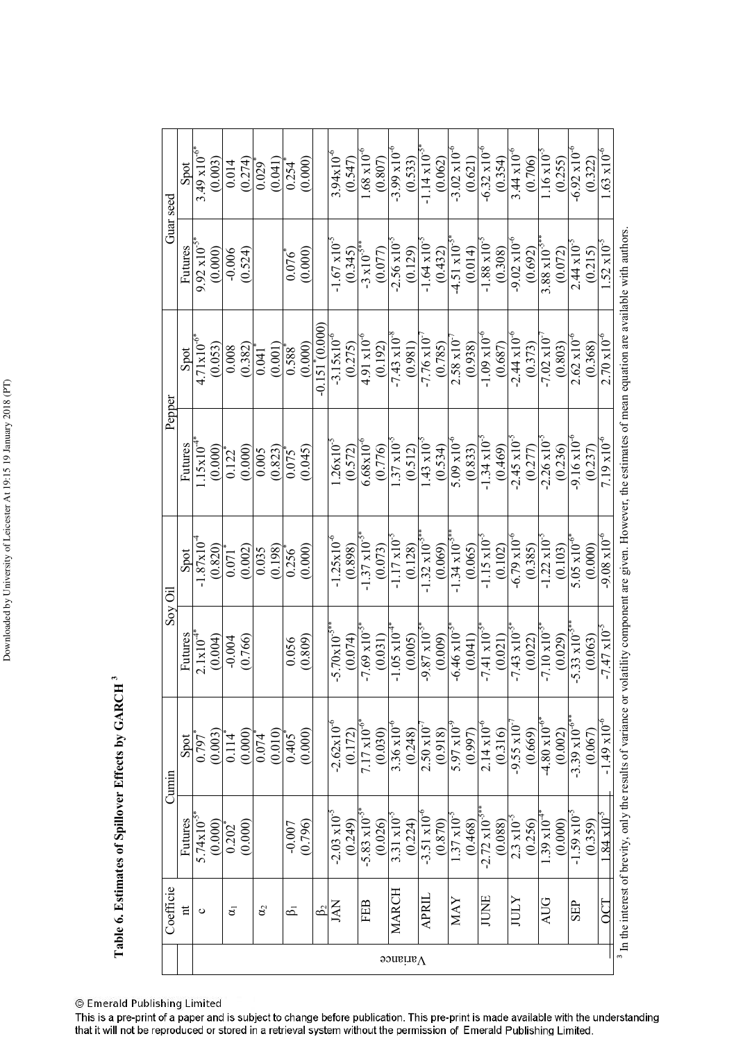|                  | Coefficie                 |                               | Cumin                   |                        | Soy Oil                | Pepper                                                                                                                                                                      |                         | Guar seed              |                        |
|------------------|---------------------------|-------------------------------|-------------------------|------------------------|------------------------|-----------------------------------------------------------------------------------------------------------------------------------------------------------------------------|-------------------------|------------------------|------------------------|
|                  | $\overline{\mathbf{u}}$   | Futures                       | Spot                    | Futures                | Spot                   | Futures                                                                                                                                                                     | Spot                    | Futures                | Spot                   |
|                  | $\circ$                   | $5.74x10^{-5}$                | 0.797                   | $2.1 \times 10^{-4}$   | $-1.87x10^{-4}$        | $1.15x10^{-4}$                                                                                                                                                              | $4.71 \times 10^{-6}$   | $9.92 \times 10^{-5}$  | $3.49 \times 10^{-6}$  |
|                  |                           | (0.000)                       | (0.003)                 | (0.004)                | (0.820)                | (0.000)                                                                                                                                                                     | (0.053)                 | (0.000)                | (0.003)                |
|                  | වි                        | 0.202                         | 0.114                   | $-0.004$               | 0.071                  | $0.122$ <sup>*</sup>                                                                                                                                                        | 0.008                   | $-0.006$               | 0.014                  |
|                  |                           | (0.000)                       | $\frac{(0.000)}{0.074}$ | (0.766)                | (0.002)                | $\frac{(0.000)}{0.005}$                                                                                                                                                     | $\frac{(0.382)}{0.041}$ | (0.524)                | (0.274)                |
|                  | $\mathcal{S}$             |                               |                         |                        | 0.035                  |                                                                                                                                                                             |                         |                        | 0.029                  |
|                  |                           |                               | (0.010)                 |                        | (0.198)                | (0.823)                                                                                                                                                                     | (0.001)                 |                        | (0.041)                |
|                  | ය                         | $-0.007$                      | $0.405$ <sup>*</sup>    | 0.056                  | $0.256$ <sup>*</sup>   | $0.075$ <sup>*</sup>                                                                                                                                                        | $0.588^{*}$             | 0.076                  | $0.254$ <sup>*</sup>   |
|                  |                           | (0.796)                       | (0.000)                 | (0.809)                | (0.000)                | (0.045)                                                                                                                                                                     | (0.000)                 | (0.000)                | (0.000)                |
|                  | တ်                        |                               |                         |                        |                        |                                                                                                                                                                             | $-0.151(0.000)$         |                        |                        |
|                  | KN                        | $-2.03 \overline{\mathrm{m}}$ | $-2.62 \times 10^{-6}$  | $-5.70 \times 10^{-5}$ | $-1.25 \times 10^{-6}$ | $.26x10^{-5}$                                                                                                                                                               | $-3.15x10$              | $-1.67 \times 10^{-7}$ | 3.94 $\times 10^{-6}$  |
|                  |                           | (0.249)                       | (0.172)                 | (0.074)                | (0.898)                | (0.572)                                                                                                                                                                     | (0.275)                 | (0.345)                | (0.547)                |
|                  | <b>FEB</b>                | $-5.83 \times 10^{-5}$        | $7.17 \times 10^{-6}$   | $-7.69 \times 10^{-5}$ | $-1.37 \times 10^{-5}$ | $6.68 \times 10^{-6}$                                                                                                                                                       | $4.91 \times 10^{-6}$   | $-3 \times 10^{-5}$    | $1.68 \times 10^{-6}$  |
|                  |                           | (0.026)                       | (0.030)                 | (0.031)                | (0.073)                | (0.776)                                                                                                                                                                     | (0.192)                 | (0.077)                | (0.807)                |
|                  | <b>MARCH</b>              | $3.31 \times 10^{-5}$         | $3.36 \times 10^{-6}$   | $-1.05 \times 10^{-4}$ | $-1.17 \times 10^{-4}$ | $1.37 \times 10^{-3}$                                                                                                                                                       | $-7.43 \times 10^{-8}$  | $-2.56 \times 10^{-7}$ | $-3.99 \times 10^{-6}$ |
| $\Delta$ ariance |                           | (0.224)                       | (0.248)                 | (0.005)                | (0.128)                | (0.512)                                                                                                                                                                     | (0.981)                 | (0.129)                | (0.533)                |
|                  | <b>APRIL</b>              | $-3.51 \times 10^{-6}$        | 2.50 x 10               | $-9.87 \times 10$      | $-1.32 \times 10^{-5}$ | $1.43 \times 10^{-7}$                                                                                                                                                       | $-7.76 \times 10^{-7}$  | $-1.64 \times 10^{-7}$ | $-1.14 \times 10^{-5}$ |
|                  |                           | (0.870)                       | (0.918)                 | (0.009)                | (0.069)                | (0.534)                                                                                                                                                                     | (0.785)                 | (0.432)                | (0.062)                |
|                  | $\ensuremath{\text{MAX}}$ | $1.37 \times 10^{-5}$         | $5.97 \times 10^{-4}$   | $-6.46 \times 10^{-5}$ | $-1.34 \times 10^{-5}$ | $5.09 \times 10^{-4}$                                                                                                                                                       | $2.58 \times 10^{-7}$   | $-4.51 \times 10^{-5}$ | $-3.02 \times 10^{-6}$ |
|                  |                           | (0.468)                       | (0.997)                 | (0.041)                | (0.065)                | (0.833)                                                                                                                                                                     | (0.938)                 | (0.014)                | (0.621)                |
|                  | <b>JUNE</b>               | $-2.72 \times 10^{-5}$        | $2.14 \times 10^{-6}$   | $-7.41 \times 10^{-5}$ | $-1.15 \times 10^{-5}$ | $-1.34 \times 10^{-5}$                                                                                                                                                      | $-1.09 \times 10^{-6}$  | $-1.88 \times 10^{-3}$ | $-6.32 \times 10^{-6}$ |
|                  |                           | (0.088)                       | (0.316)                 | (0.021)                | (0.102)                | (0.469)                                                                                                                                                                     | (0.687)                 | (0.308)                | (0.354)                |
|                  | <b>IULY</b>               | $2.3 \times 10^{-5}$          | $-9.55 \times 10^{-7}$  | $-7.43 \times 10^{-7}$ | $-6.79 \times 10^{-6}$ | $-2.45 \times 10^{-7}$                                                                                                                                                      | $-2.44 \times 10^{-6}$  | $-9.02 \times 10^{-7}$ | $3.44 \times 10^{-6}$  |
|                  |                           | (0.256)                       | (0.669)                 | (0.022)                | (0.385)                | (0.277)                                                                                                                                                                     | (0.373)                 | (0.692)                | (0.706)                |
|                  | <b>AUG</b>                | $1.39 \times 10^{-4}$         | $-4.80 \times 10^{-6}$  | $-7.10 \times 10^{-5}$ | $-1.22 \times 10^{-4}$ | $-2.26 \times 10^{-4}$                                                                                                                                                      | $-7.02 \times 10^{-7}$  | $3.88 \times 10^{-5}$  | $1.16 \times 10^{-7}$  |
|                  |                           | (0.000)                       | (0.002)                 | (0.029)                | (0.103)                | (0.236)                                                                                                                                                                     | (0.803)                 | (0.072)                | (0.255)                |
|                  | <b>SEP</b>                | $-1.59 \times 10^{-5}$        | $-3.39 \times 10^{-6}$  | $-5.33 \times 10^{-5}$ | $5.05 \times 10^{-6}$  | $-9.16 \times 10^{-6}$                                                                                                                                                      | $2.62 \times 10^{-6}$   | $2.44 \times 10^{-7}$  | $-6.92 \times 10^{-6}$ |
|                  |                           | (0.359)                       | (0.067)                 | (0.063)                | (0.000)                | (0.237)                                                                                                                                                                     | (0.368)                 | (0.215)                | (0.322)                |
|                  | OCT                       | $-84 \times 10^{-5}$          | $-1.49 \times 10^{-6}$  | $-7.47 \times 10^{-5}$ | $-9.08 \times 10^{-6}$ | $7.19 \times 10^{-6}$                                                                                                                                                       | $2.70 \times 10^{-6}$   | $.52 \times 10^{-2}$   | $1.63 \times 10^{-6}$  |
|                  |                           |                               |                         |                        |                        | <sup>3</sup> In the interest of brevity, only the results of variance or volatility component are given. However, the estimates of mean equation are available with authors |                         |                        |                        |

 $\rm Table\,6.\,Es$ **timates** of Spi llover Effects  $_{\text{by}}$  GARCH  $^{3}$ 

© Emerald Publishing Limited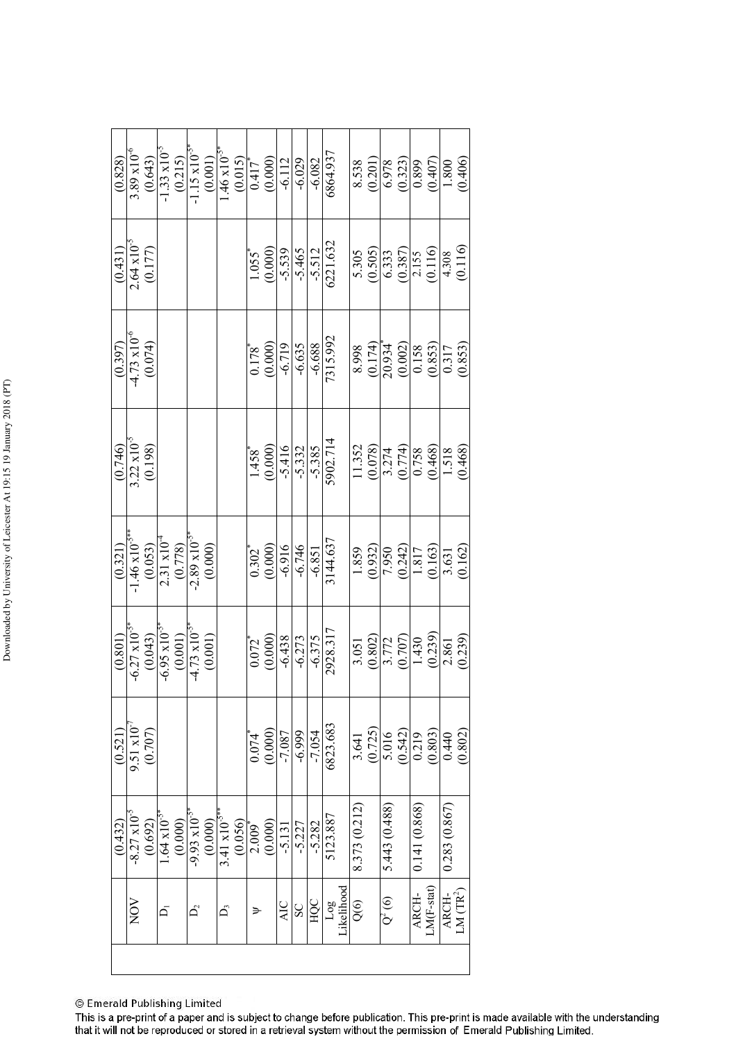|                        | (0.432)                | (0.521)               | (0.801)                | (0.321)                | (0.746)               | (0.397)                | (0.431)                 | (0.828)                |
|------------------------|------------------------|-----------------------|------------------------|------------------------|-----------------------|------------------------|-------------------------|------------------------|
| NON                    | $-8.27 \times 10^{-5}$ | 9.51 x10 <sup>-</sup> | $-6.27 \times 10^{-5}$ | $-1.46 \times 10^{-5}$ | $3.22 \times 10^{-5}$ | $-4.73 \times 10^{-6}$ | $2.64 \times 10^{-5}$   | $3.89 \times 10^{-6}$  |
|                        | (0.692)                | (0.707)               | (0.043)                | (0.053)                | (0.198)               | (0.074)                | (0.177)                 | (0.643)                |
| Á                      | $1.64 \times 10^{-5}$  |                       | $-6.95 \times 10^{-5}$ | $2.31 \times 10^{-4}$  |                       |                        |                         | $-1.33 \times 10^{-5}$ |
|                        | (0.000)                |                       | (0.001)                | (0.778)                |                       |                        |                         | (0.215)                |
| D <sub>2</sub>         | $-9.93 \times 10^{-5}$ |                       | $-4.73 \times 10^{-5}$ | $-2.89 \times 10^{-5}$ |                       |                        |                         | $-1.15 \times 10^{-5}$ |
|                        | (0.000)                |                       | (0.001)                | (0.000)                |                       |                        |                         | (0.001)                |
| Δ                      | $3.41 \times 10^{-5}$  |                       |                        |                        |                       |                        |                         | $1.46 \times 10^{-5}$  |
|                        | (0.056)                |                       |                        |                        |                       |                        |                         | (0.015)                |
|                        | $2.009$ <sup>*</sup>   | $0.074$ <sup>*</sup>  | $0.072$ <sup>*</sup>   | $0.302^{*}$            | $1.458$ <sup>*</sup>  | $0.178$ <sup>*</sup>   | $1.055$ <sup>*</sup>    | $0.417$ <sup>*</sup>   |
|                        | (0.000)                | (0.000)               | (0.000)                | (0.000)                | (0.000)               | (0.000)                | (0.000)                 | (0.000)                |
| <b>AIC</b>             | $-5.131$               | $-7.087$              | $-6.438$               | $-6.916$               | $-5.416$              | $-6.719$               | $-5.539$                | $-6.112$               |
| $\overline{\text{SC}}$ | $-5.227$               | $-6.999$              | $-6.273$               | $-6.746$               | $-5.332$              | $-6.635$               | $-5.465$                | $-6.029$               |
| HQC                    | $-5.282$               | $-7.054$              | -6.375                 | $-6.851$               | $-5.385$              | $-6.688$               | $-5.512$                | $-6.082$               |
| Log<br>Likelihood      | 5123.887               | 6823.683              | 2928.317               | 3144.637               | 5902.714              | 7315.992               | 6221.632                | 6864.937               |
| Q(6)                   | 8.373 (0.212)          | 3.641                 | 3.051                  | 1.859                  | 11.352                | 8.998                  | $5.305$<br>(0.505)      | 8.538                  |
|                        |                        | (0.725)               | (0.802)                | (0.932)                | (0.078)               | (0.174)                |                         | (0.201)                |
| $Q^2(6)$               | 5.443(0.488)           | 5.016                 | 3.772                  | 7.950                  | $3.274$<br>(0.774)    | $\frac{1}{20.934}$     |                         | 6.978                  |
|                        |                        | (0.542)               | (0.707)                | (0.242)                |                       | (0.002)                | $6.333$<br>$(0.387)$    | (0.323)                |
| ARCH-                  | 0.141(0.868)           | 0.219                 | 1.430                  | 1.817                  | 0.758                 | 0.158                  | $\frac{2.155}{(0.116)}$ | 0.899                  |
| $M(F-stat)$            |                        | (0.803)               | (0.239)                | (0.163)                | (0.468)               | (0.853)                |                         | (0.407)                |
| ARCH-                  | 0.283(0.867)           | 0.440                 | 2.861                  | 3.631                  | 1.518                 | 0.317                  | 4.308                   | 1.800                  |
| $LM$ $(TR2)$           |                        | (0.802)               | (0.239)                | (0.162)                | (0.468)               | (0.853)                | (0.116)                 | (0.406)                |

© Emerald Publishing Limited This is a pre-print of a paper and is subject to change before publication. This pre-print is made available with the understanding<br>that it will not be reproduced or stored in a retrieval system without the permission of E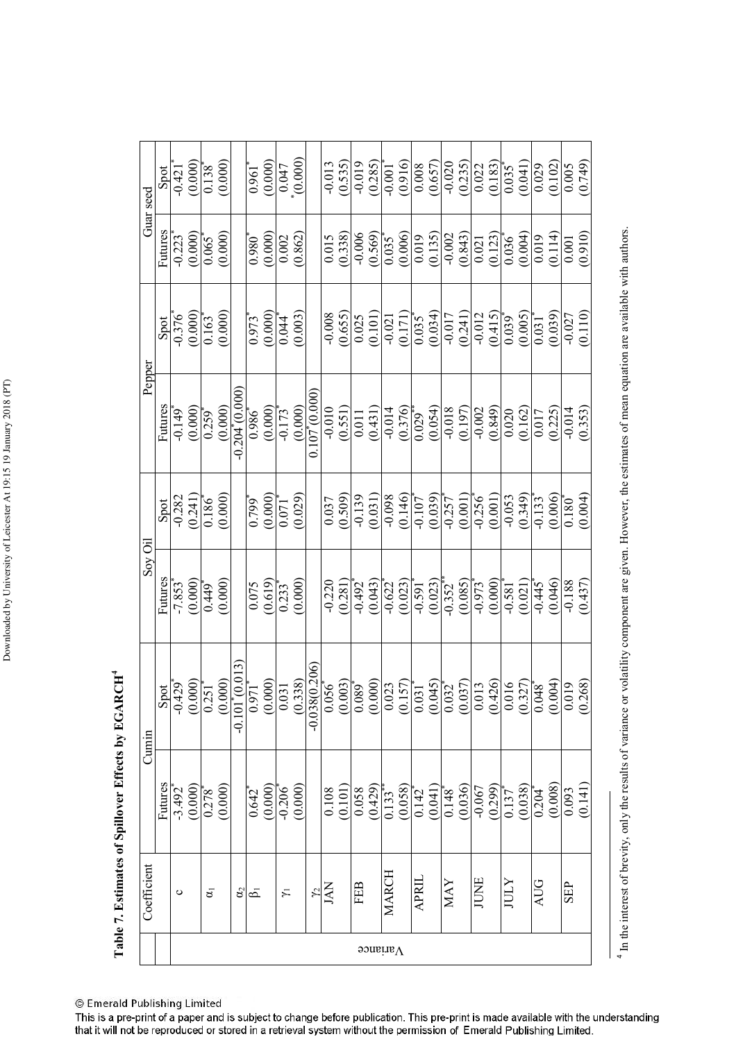| ĺ<br>I           |
|------------------|
| ١<br>í           |
|                  |
| l                |
| í<br>i<br>l<br>I |
| l<br>i           |
|                  |
| í                |
|                  |
|                  |
|                  |
| í<br>l           |
| I<br>i<br>í<br>í |
|                  |
| ۱<br>l<br>١<br>í |
| I                |
| I                |
| ۱                |
| í                |
|                  |
|                  |
|                  |
|                  |
| j                |

**Table 7. Es timates** of Spi llover Effects  $\mathbf{b}$ y EGARCH<sup>4</sup>

| Guar seed   | Spot                                                                |                       | $\begin{array}{c} -0.421^{*} \\ (0.000) \\ 0.138^{*} \end{array}$ |                           |         |                 | 0.961'               |                                                                           |                           | $\begin{array}{c} (0.000) \\ 0.047 \\ (0.000) \end{array}$ |                    | (550)                   |         | $\begin{array}{r} -0.019 \\ -0.285) \\ -0.001 \\ -0.008 \\ -0.008 \\ -0.008 \\ -0.021 \\ -0.021 \\ -0.022 \\ -0.0183 \end{array}$ |                                                                                                                                                                                                                                                                                                                                                                                             |                                                                                                               |               |                           |         |                              |                          |      | $\frac{0.035^*}{(0.041)}$                                                                                                                         |                       |                         | $\frac{(0.102)}{(0.100)}$<br>$\frac{(0.102)}{0.005}$                                                                                                                                                                                                                                                                             |         |
|-------------|---------------------------------------------------------------------|-----------------------|-------------------------------------------------------------------|---------------------------|---------|-----------------|----------------------|---------------------------------------------------------------------------|---------------------------|------------------------------------------------------------|--------------------|-------------------------|---------|-----------------------------------------------------------------------------------------------------------------------------------|---------------------------------------------------------------------------------------------------------------------------------------------------------------------------------------------------------------------------------------------------------------------------------------------------------------------------------------------------------------------------------------------|---------------------------------------------------------------------------------------------------------------|---------------|---------------------------|---------|------------------------------|--------------------------|------|---------------------------------------------------------------------------------------------------------------------------------------------------|-----------------------|-------------------------|----------------------------------------------------------------------------------------------------------------------------------------------------------------------------------------------------------------------------------------------------------------------------------------------------------------------------------|---------|
|             | Futures                                                             |                       | $\frac{0.223}{(0.000)}$                                           | $\frac{0.065^*}{(0.000)}$ |         |                 | $0.980^{*}$          | (0.000)                                                                   | $\overline{0.002}$        | (0.862)                                                    |                    | 0.015<br>(0.338)        |         | $\frac{1}{0.006}$                                                                                                                 |                                                                                                                                                                                                                                                                                                                                                                                             |                                                                                                               |               |                           |         |                              |                          |      | $\begin{array}{l} (0.035^* \atop (0.006) \\ (0.009) \\ (0.135) \\ (0.135) \\ (0.843) \\ (0.021) \\ (0.123) \\ (0.036^* \atop (0.004) \end{array}$ |                       | $\frac{0.019}{0.114}$   |                                                                                                                                                                                                                                                                                                                                  | (0.910) |
|             | Spot                                                                |                       | $\frac{0.376^*}{0.000}$<br>$\frac{(0.000)}{0.163^*}$              |                           |         |                 | $0.973*$             | $\frac{(0.000)}{0.044}$<br>(0.003)                                        |                           |                                                            |                    | (559.0)                 |         |                                                                                                                                   |                                                                                                                                                                                                                                                                                                                                                                                             |                                                                                                               |               |                           |         |                              |                          |      |                                                                                                                                                   |                       |                         | $\begin{array}{l} 0.025 \\ 0.0101 \\ -0.021 \\ -0.035 \\ -0.033 \\ -0.017 \\ -0.017 \\ -0.012 \\ -0.012 \\ -0.039 \\ -0.039 \\ -0.031 \\ -0.027 \\ -0.039 \\ -0.027 \\ -0.027 \\ -0.027 \\ -0.027 \\ -0.010 \\ -0.010 \\ -0.010 \\ -0.010 \\ -0.010 \\ -0.010 \\ -0.010 \\ -0.010 \\ -0.010 \\ -0.010 \\ -0.010 \\ -0.010 \\ -0$ |         |
| Pepper      | Futures                                                             | $-0.149$ <sup>*</sup> | (0.000)                                                           | $\frac{0.259^*}{(0.000)}$ |         | $-0.204(0.000)$ | $0.986^{*}$          | (0.000)                                                                   |                           | $\frac{1}{1}$ . (0.000)                                    | $0.107^{*}(0.000)$ |                         |         | $\begin{array}{c} \hline 0.010 \\ (0.551) \\ 0.011 \\ (0.431) \end{array}$                                                        | $\begin{array}{c}\n 0.016 \\  0.0376 \\  \hline\n 0.050 \\  \hline\n 0.010 \\  \hline\n 0.010 \\  \hline\n 0.010 \\  \hline\n 0.010 \\  \hline\n 0.010 \\  \hline\n 0.010 \\  \hline\n 0.010 \\  \hline\n 0.010 \\  \hline\n 0.001 \\  \hline\n 0.001 \\  \hline\n 0.001 \\  \hline\n 0.001 \\  \hline\n 0.001 \\  \hline\n 0.001 \\  \hline\n 0.001 \\  \hline\n 0.002 \\  \hline\n 0.001$ |                                                                                                               |               |                           |         |                              | $\frac{10.002}{(0.849)}$ |      | $\frac{0.020}{(0.162)}$                                                                                                                           |                       | $\frac{0.017}{(0.225)}$ | $-0.014$                                                                                                                                                                                                                                                                                                                         | (0.353) |
|             | Spot                                                                | $-0.282$              | (0.241)                                                           | $\frac{0.186^{*}}{0.000}$ |         |                 |                      | (0.000)                                                                   | $\frac{0.071^*}{(0.029)}$ |                                                            |                    | 0.037                   | (0.509) | 9 139<br>0031)<br>0031 107<br>0039 107 107<br>0039 107 107 10<br>000 107 107 10<br>000 107 107 10                                 |                                                                                                                                                                                                                                                                                                                                                                                             |                                                                                                               |               |                           |         |                              |                          |      | $\frac{0.053}{(0.349)}$                                                                                                                           | $-0.133$ <sup>*</sup> | $\frac{(0.006)}{0.180}$ |                                                                                                                                                                                                                                                                                                                                  | (0.004) |
| Soy Oil     | Futures                                                             |                       | $-7.853$ <sup>*</sup><br>(0.000)                                  | (0.000)                   |         |                 |                      | $\begin{array}{c} 0.075 \\ (0.619) \\ 0.233 \\ \hline 0.0000 \end{array}$ |                           |                                                            |                    | (0.220)                 |         |                                                                                                                                   |                                                                                                                                                                                                                                                                                                                                                                                             |                                                                                                               |               |                           |         |                              |                          |      |                                                                                                                                                   |                       |                         |                                                                                                                                                                                                                                                                                                                                  |         |
| Cumin       | $\frac{\overline{\text{Spot}}}{0.429^*}$<br>$\frac{(0.000)}{0.251}$ |                       |                                                                   |                           |         |                 |                      |                                                                           |                           |                                                            |                    |                         |         |                                                                                                                                   |                                                                                                                                                                                                                                                                                                                                                                                             |                                                                                                               |               |                           |         |                              |                          |      |                                                                                                                                                   |                       |                         | $\begin{array}{r rrrr} -0.101(0.013) \ \hline -0.101(0.013) \ \hline 0.971 & -0.0000 \ \hline 0.038(0.206) \ \hline 0.038(0.206) \ \hline 0.003 & -0.003 \ \hline 0.003 & 0.003 \ \hline 0.0000 & 0.0157 \ \hline 0.001 & 0.011 \ \hline 0.001 & 0.013 \ \hline 0.001 & 0.013 \ \hline 0.001 & 0.013 \ \hline 0.$                |         |
|             | Futures                                                             | $-3.492$              | (0.000)                                                           | $0.278$ <sup>*</sup>      | (0.000) |                 | $0.642$ <sup>*</sup> | (0.000)                                                                   | $-0.206$<br>(0.000)       |                                                            |                    | $\frac{0.108}{(0.101)}$ |         | $(67t)$<br>(0.429)                                                                                                                | $0.133^{**}$                                                                                                                                                                                                                                                                                                                                                                                | $\begin{array}{c} (0.058) \\ 0.142 \end{array}$<br>$\begin{array}{c} (0.041) \\ (0.041) \\ 0.148 \end{array}$ |               |                           | (0.036) | $\frac{1}{0.067}$<br>(0.299) |                          |      | $\frac{0.137^{*}}{0.038}$                                                                                                                         | $0.204$ <sup>*</sup>  | (0.008)                 | $\frac{6000}{10000}$                                                                                                                                                                                                                                                                                                             | (0.141) |
| Coefficient |                                                                     | ပ                     |                                                                   | ಕ                         |         | $\mathcal{S}$   | ත්                   |                                                                           | $\bar{\sim}$              |                                                            | $Y^2$              | JAN                     |         | <b>FEB</b>                                                                                                                        | MARCH                                                                                                                                                                                                                                                                                                                                                                                       |                                                                                                               | <b>TIRITY</b> | $\ensuremath{\text{MAX}}$ |         | <b>JUNE</b>                  |                          | JULY |                                                                                                                                                   | AUG                   |                         | <b>SEP</b>                                                                                                                                                                                                                                                                                                                       |         |
|             |                                                                     | $\alpha$ ariance      |                                                                   |                           |         |                 |                      |                                                                           |                           |                                                            |                    |                         |         |                                                                                                                                   |                                                                                                                                                                                                                                                                                                                                                                                             |                                                                                                               |               |                           |         |                              |                          |      |                                                                                                                                                   |                       |                         |                                                                                                                                                                                                                                                                                                                                  |         |

<sup>4</sup> In the interest of brevity, only the results of variance or volatility component are given. However, the estimates of mean equation are available with authors. In the interest of brevity, only the results of variance or volatility component are given. However, the estimates of mean equation are available with authors.

© Emerald Publishing Limited<br>This is a pre-print of a paper and is subject to change before publication. This pre-print is made available with the understanding<br>that it will not be reproduced or stored in a retrieval syste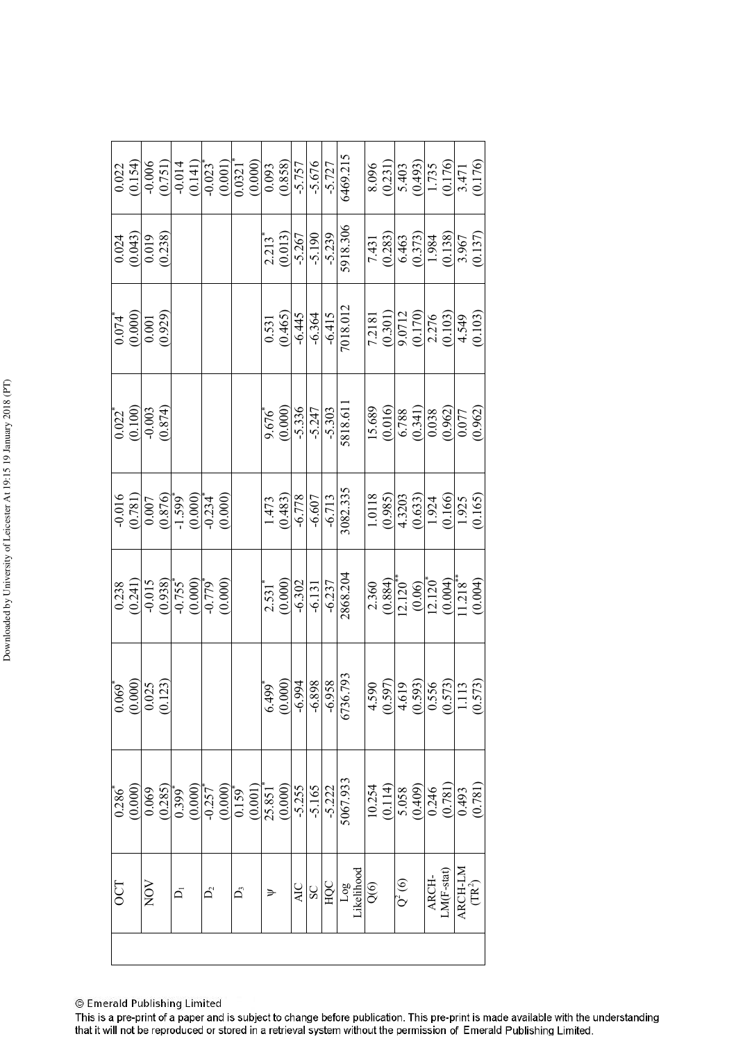| $\overline{\phantom{a}}$<br>l<br>l   |  |
|--------------------------------------|--|
| ţ<br>ı<br>۱                          |  |
| Ì                                    |  |
| i                                    |  |
| l                                    |  |
| ï<br>í<br>í<br>١<br>l                |  |
| l<br>l                               |  |
| í<br>l<br>ì<br>í<br>í                |  |
| ۱<br>ı<br>ı<br>١<br>í<br>í<br>l<br>I |  |
| ı                                    |  |
|                                      |  |
| Ï                                    |  |

| <b>CCT</b>                              | $\frac{1}{0.286}$                |                                                                                                                        |                                                                                             |                                                                                                     |                                                                                                    |                                                                                             |                                                                                          | 0.022                                                                                                                                                                                                                                                                                                                   |
|-----------------------------------------|----------------------------------|------------------------------------------------------------------------------------------------------------------------|---------------------------------------------------------------------------------------------|-----------------------------------------------------------------------------------------------------|----------------------------------------------------------------------------------------------------|---------------------------------------------------------------------------------------------|------------------------------------------------------------------------------------------|-------------------------------------------------------------------------------------------------------------------------------------------------------------------------------------------------------------------------------------------------------------------------------------------------------------------------|
|                                         | (0.000)                          | $\frac{0.069^{*}}{(0.000)}$<br>$\frac{(0.000)}{0.025}$                                                                 | $\begin{array}{c} 0.238 \\ (0.241) \end{array}$                                             | $-0.016$<br>$(0.781)$                                                                               | $\frac{0.022^{*}}{0.100}$                                                                          | $\begin{array}{c} 0.074^{*} \\ (0.000) \\ (0.001) \\ (0.929) \end{array}$                   | (0.043)                                                                                  | (0.154)                                                                                                                                                                                                                                                                                                                 |
| NON                                     | 0.069                            |                                                                                                                        |                                                                                             |                                                                                                     |                                                                                                    |                                                                                             | $\frac{1}{0.019}$<br>(0.238)                                                             |                                                                                                                                                                                                                                                                                                                         |
|                                         | (0.285)                          |                                                                                                                        | $\frac{1}{10000}$<br>$\frac{(0.938)}{(0.755)}$<br>$\frac{(0.000)}{(0.779)}$                 | $\begin{array}{r} 0.007 \\ 0.876 \\ 0.593 \\ -1.599 \\ 0.000 \\ -2.334 \\ 0.000 \\ \end{array}$     | $\frac{1}{(0.874)}$                                                                                |                                                                                             |                                                                                          |                                                                                                                                                                                                                                                                                                                         |
| $\overline{\Delta}$                     | $0.399*$                         |                                                                                                                        |                                                                                             |                                                                                                     |                                                                                                    |                                                                                             |                                                                                          |                                                                                                                                                                                                                                                                                                                         |
|                                         | (0.000)                          |                                                                                                                        |                                                                                             |                                                                                                     |                                                                                                    |                                                                                             |                                                                                          |                                                                                                                                                                                                                                                                                                                         |
| $\mathsf{D}_2$                          | $-0.257$ <sup>*</sup>            |                                                                                                                        |                                                                                             |                                                                                                     |                                                                                                    |                                                                                             |                                                                                          |                                                                                                                                                                                                                                                                                                                         |
|                                         | (0.000)                          |                                                                                                                        | (0.000)                                                                                     |                                                                                                     |                                                                                                    |                                                                                             |                                                                                          |                                                                                                                                                                                                                                                                                                                         |
| $\mathsf{D}_3$                          | $0.159$ <sup>*</sup>             |                                                                                                                        |                                                                                             |                                                                                                     |                                                                                                    |                                                                                             |                                                                                          | $\begin{array}{r l} \hline 0.006 \\[-4pt] 0.751 \\[-4pt] 0.014 \\[-4pt] 0.023 \\[-4pt] 0.001 \\[-4pt] 0.032 \\[-4pt] 0.000 \\[-4pt] 0.000 \\[-4pt] 0.000 \\[-4pt] 0.000 \\[-4pt] 0.000 \\[-4pt] 0.000 \\[-4pt] 0.000 \\[-4pt] 0.000 \\[-4pt] 0.000 \\[-4pt] 0.000 \\[-4pt] 0.000 \\[-4pt] 0.000 \\[-4pt] 0.000 \\[-4pt$ |
|                                         | (0.001)                          |                                                                                                                        |                                                                                             |                                                                                                     |                                                                                                    |                                                                                             |                                                                                          |                                                                                                                                                                                                                                                                                                                         |
| $\Rightarrow$                           |                                  | $6.499*$                                                                                                               |                                                                                             |                                                                                                     | (0.000)                                                                                            |                                                                                             | $2.213$ <sup>*</sup><br>(0.013)                                                          |                                                                                                                                                                                                                                                                                                                         |
|                                         | $25.\overline{851}^*$<br>(0.000) |                                                                                                                        | $2.531$ <sup>*</sup><br>(0.000)                                                             | $1.473$<br>(0.483)                                                                                  |                                                                                                    | $\frac{0.531}{(0.465)}$                                                                     |                                                                                          |                                                                                                                                                                                                                                                                                                                         |
| <b>AIC</b>                              | $-5.255$                         |                                                                                                                        | $-6.302$                                                                                    | $-6.778$                                                                                            | $-5.336$                                                                                           | $-6.445$                                                                                    | $-5.267$                                                                                 |                                                                                                                                                                                                                                                                                                                         |
| <b>SC</b>                               | $-5.165$                         |                                                                                                                        | $\frac{-6.131}{ }$                                                                          | $-6.607$                                                                                            | $-5.247$                                                                                           | $-6.364$                                                                                    | $\frac{1}{5.190}$                                                                        | $-5.676$                                                                                                                                                                                                                                                                                                                |
| <b>HQC</b>                              | $-5.222$                         | $\begin{array}{r l} (0.000) \\ \hline -6.994 \\ \hline -6.898 \\ \hline -6.958 \\ \hline -6.958 \\ \hline \end{array}$ | $-6.237$                                                                                    | $-6.713$                                                                                            | $-5.303$                                                                                           | $-6.415$                                                                                    | $-5.239$                                                                                 | $-5.727$                                                                                                                                                                                                                                                                                                                |
| Log<br>Likelihood                       | 5067.933                         |                                                                                                                        | 2868.204                                                                                    | 3082.335                                                                                            | 5818.611                                                                                           | 7018.012                                                                                    | 908.816                                                                                  | 6469.215                                                                                                                                                                                                                                                                                                                |
| $\overline{Q(6)}$                       | 10.254                           |                                                                                                                        | 2.360                                                                                       | 1.0118                                                                                              | 15.689                                                                                             | 7.2181                                                                                      |                                                                                          | 8.096                                                                                                                                                                                                                                                                                                                   |
|                                         | (0.114)                          |                                                                                                                        |                                                                                             |                                                                                                     |                                                                                                    |                                                                                             | $7,431$<br>$(0.283)$                                                                     |                                                                                                                                                                                                                                                                                                                         |
| $\overline{Q^2(6)}$                     | 5.058                            |                                                                                                                        | $\frac{(0.884)}{12.120}$                                                                    |                                                                                                     |                                                                                                    |                                                                                             |                                                                                          | $\frac{(0.231)}{5.403}$                                                                                                                                                                                                                                                                                                 |
|                                         | (0.409)                          |                                                                                                                        |                                                                                             |                                                                                                     |                                                                                                    |                                                                                             |                                                                                          |                                                                                                                                                                                                                                                                                                                         |
| $\frac{\text{ARCH}}{\text{LM(F-stat)}}$ | 0.246                            |                                                                                                                        |                                                                                             |                                                                                                     |                                                                                                    |                                                                                             |                                                                                          |                                                                                                                                                                                                                                                                                                                         |
|                                         | (0.781)                          | $\begin{array}{c} 4.590 \\ (0.597) \\ (0.619) \\ (0.593) \\ (0.556) \\ (0.573) \\ (1.113) \\ (0.573) \end{array}$      | $\begin{array}{c}\n 0.06 \\  \hline\n 12.120^* \\  12.004 \\  \hline\n 11.218\n\end{array}$ | $\begin{array}{l} (0.985) \\ 4.3203 \\ (0.633) \\ 1.924 \\ (0.166) \\ 1.925 \\ (0.165) \end{array}$ | $\begin{array}{l} (0.016) \\ 6.788 \\ (0.341) \\ 0.038 \\ (0.962) \\ 0.077 \\ (0.962) \end{array}$ | $\begin{array}{l} (0.301) \\ 9.0712 \\ (0.170) \\ 2.276 \\ (0.103) \\ 4.549 \\ \end{array}$ | $\begin{array}{c} 6.463 \\ (0.3.73) \\ 1.984 \\ (0.138) \\ 3.967 \\ (0.137) \end{array}$ | $\frac{(0.493)}{1.735}$ $\frac{(0.176)}{3.471}$ $\frac{(0.176)}{3.471}$                                                                                                                                                                                                                                                 |
| $\frac{\mbox{ARCH-LM}}{\mbox{(TR}^2)}$  | 0.493                            |                                                                                                                        |                                                                                             |                                                                                                     |                                                                                                    |                                                                                             |                                                                                          |                                                                                                                                                                                                                                                                                                                         |
|                                         | (0.781)                          |                                                                                                                        |                                                                                             |                                                                                                     |                                                                                                    |                                                                                             |                                                                                          |                                                                                                                                                                                                                                                                                                                         |

© Emerald Publishing Limited<br>This is a pre-print of a paper and is subject to change before publication. This pre-print is made available with the understanding<br>that it will not be reproduced or stored in a retrieval syste